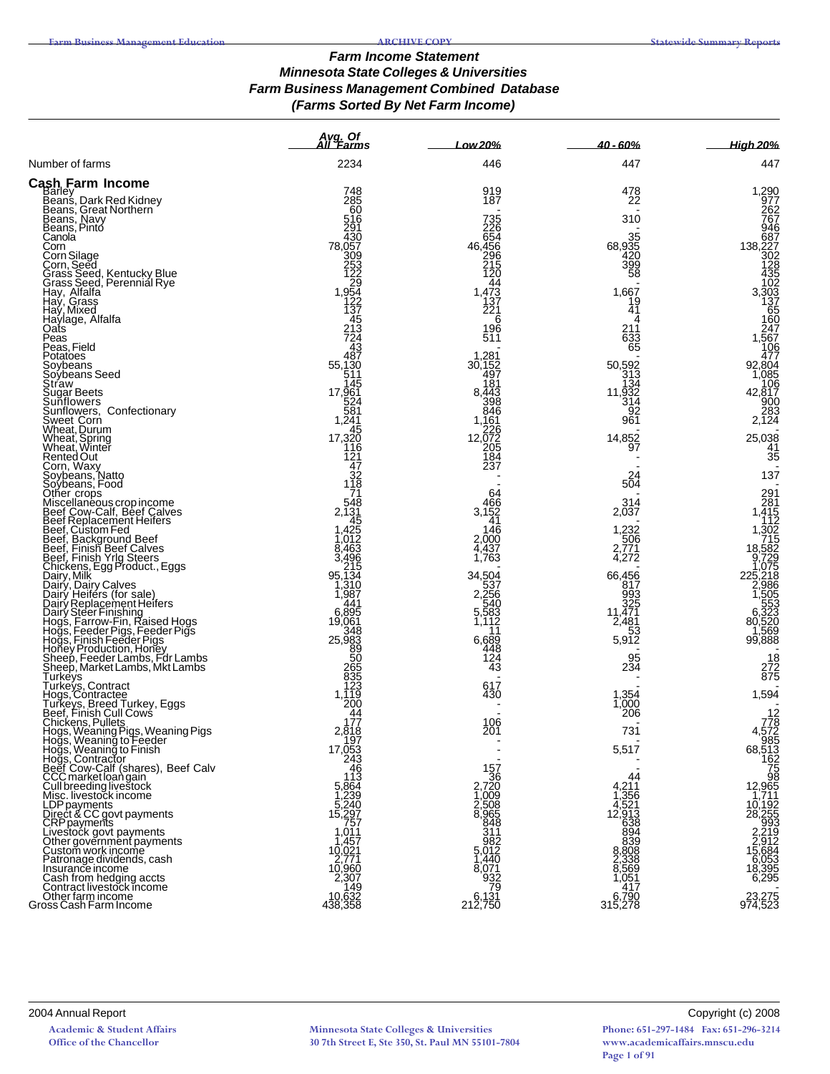### *Farm Income Statement Minnesota State Colleges & Universities Farm Business Management Combined Database (Farms Sorted By Net Farm Income)*

|                                                                                                                                                                                                                                                                       | Avg. Of<br>All_Farms                              | <b>Low20%</b>                 | 40 - 60%                                 | <b>High 20%</b>                                                                                                           |
|-----------------------------------------------------------------------------------------------------------------------------------------------------------------------------------------------------------------------------------------------------------------------|---------------------------------------------------|-------------------------------|------------------------------------------|---------------------------------------------------------------------------------------------------------------------------|
| Number of farms                                                                                                                                                                                                                                                       | 2234                                              | 446                           | 447                                      | 447                                                                                                                       |
| <b>Cash Farm Income</b><br>Barley<br>Beans, Dark Red Kidney<br>Beans, Navy<br>Beans, Navy<br>Camola<br>Com                                                                                                                                                            |                                                   |                               | 478                                      |                                                                                                                           |
|                                                                                                                                                                                                                                                                       | 748<br>285<br>60                                  | 919<br>187                    | 22                                       |                                                                                                                           |
|                                                                                                                                                                                                                                                                       | 516<br>291                                        | 735<br>226                    | 310                                      |                                                                                                                           |
|                                                                                                                                                                                                                                                                       | 430<br>78,057                                     | 654                           |                                          |                                                                                                                           |
| Corn                                                                                                                                                                                                                                                                  | 309<br>253                                        | 46,456                        | 35<br>68,935<br>420                      |                                                                                                                           |
| Corn Silage<br>Corn, Seed<br>Grass Seed, Kentucky Blue<br>Grass Seed, Perennial Rye<br>Hay, Alfalfa<br>Hay, Mixed<br>Hay, Mixed<br>Hay, Mixed                                                                                                                         |                                                   | 296<br>215<br>120             | 399<br>58                                |                                                                                                                           |
|                                                                                                                                                                                                                                                                       | $7,954$ $7,954$ $7,22$                            | 44                            | 1,667                                    |                                                                                                                           |
|                                                                                                                                                                                                                                                                       |                                                   | 1,473<br>137<br>221           | 19                                       |                                                                                                                           |
| Haýlage, Alfalfa<br>Oats                                                                                                                                                                                                                                              | 137                                               | 6                             | 41<br>Δ                                  |                                                                                                                           |
| Peas                                                                                                                                                                                                                                                                  | $\frac{45}{213}$<br>$\frac{724}{43}$              | 196<br>511                    | 211<br>633<br>65                         |                                                                                                                           |
| Peas, Field<br>Potatoes<br>Soybeans<br>Soybeans Seed                                                                                                                                                                                                                  | 487                                               |                               |                                          |                                                                                                                           |
|                                                                                                                                                                                                                                                                       | 55,130<br>511                                     | 1,281<br>30,152               | 50,592<br>313                            |                                                                                                                           |
| <b><i><u>Straw</u></i></b>                                                                                                                                                                                                                                            | 145                                               | 497<br>181                    | 134                                      |                                                                                                                           |
| Sugar Beets<br>Sunflowers                                                                                                                                                                                                                                             | 17,961<br>524ع                                    | 8,443<br>398                  | 11,932<br>314<br>92                      |                                                                                                                           |
|                                                                                                                                                                                                                                                                       | 581<br>1,241                                      |                               | 961                                      |                                                                                                                           |
|                                                                                                                                                                                                                                                                       | 45<br>17,320                                      | 1,161<br>226<br>12,072<br>205 |                                          |                                                                                                                           |
|                                                                                                                                                                                                                                                                       | 116                                               | <u> 184</u>                   | 14,852<br>97                             | 25,038<br>41<br>35                                                                                                        |
|                                                                                                                                                                                                                                                                       | $\frac{121}{47}$                                  | 237                           |                                          | 137                                                                                                                       |
|                                                                                                                                                                                                                                                                       | $\frac{32}{118}$                                  |                               | 504                                      |                                                                                                                           |
|                                                                                                                                                                                                                                                                       | 548                                               | 64<br>466                     |                                          |                                                                                                                           |
|                                                                                                                                                                                                                                                                       |                                                   | $3,152$<br>41                 | 2,037                                    |                                                                                                                           |
|                                                                                                                                                                                                                                                                       | 2,131<br>4425<br>1,425<br>1,012<br>8,463<br>3,496 | 146                           | 1,232<br>506                             |                                                                                                                           |
|                                                                                                                                                                                                                                                                       |                                                   | 2,000<br>4,437<br>1,763       | 2,771<br>4,272                           |                                                                                                                           |
|                                                                                                                                                                                                                                                                       | 215<br>95,134                                     |                               | 66,456                                   |                                                                                                                           |
|                                                                                                                                                                                                                                                                       | $\frac{1,310}{1,987}$                             | 34,504<br>537                 | $\frac{817}{993}$                        |                                                                                                                           |
|                                                                                                                                                                                                                                                                       |                                                   | 2,256<br>540<br>5,583         |                                          |                                                                                                                           |
|                                                                                                                                                                                                                                                                       | $6,895$<br>19,061                                 | 1,112                         | 11,471                                   |                                                                                                                           |
|                                                                                                                                                                                                                                                                       | 348                                               | 11<br>6,689<br>448            | $2,481$<br>53<br>5,912                   |                                                                                                                           |
|                                                                                                                                                                                                                                                                       |                                                   |                               | 95                                       |                                                                                                                           |
|                                                                                                                                                                                                                                                                       |                                                   | $\frac{124}{43}$              | 234                                      | 18<br>272<br>875                                                                                                          |
| Sugar Beets<br>Sunflowers, Confectionary<br>Sumster Corn<br>Wheat, Durum<br>Wheat, Spring<br>Wheat, Spring<br>Wheat, Winter<br>Rented Out<br>Corn, Waxy<br>Soybeans, Food<br>Soybeans, Food<br>Miscellaneous crop income<br>Beet Cou-Call, Beet Calves<br>Beet Replac |                                                   | 617<br>430                    |                                          | 1,594                                                                                                                     |
|                                                                                                                                                                                                                                                                       | 44                                                |                               | 1,354<br>1,000<br>206                    |                                                                                                                           |
|                                                                                                                                                                                                                                                                       | 177                                               | 106<br>201                    | 731                                      | $778$<br>4,572<br>985                                                                                                     |
|                                                                                                                                                                                                                                                                       |                                                   |                               |                                          |                                                                                                                           |
|                                                                                                                                                                                                                                                                       | 2,818<br>197<br>17,053<br>243                     |                               | 5,517                                    |                                                                                                                           |
|                                                                                                                                                                                                                                                                       | -46<br>113                                        | 157<br>36                     | 44                                       |                                                                                                                           |
|                                                                                                                                                                                                                                                                       | 5,864<br>1,239<br>5,240<br>15,297<br>757<br>7.14  | 2,720<br>1,009                | 4,211<br>1,356<br>4,521<br>12,913<br>638 |                                                                                                                           |
|                                                                                                                                                                                                                                                                       |                                                   | 2,508<br>8,965                |                                          |                                                                                                                           |
|                                                                                                                                                                                                                                                                       | 1.011                                             | 848<br>311                    | 894                                      |                                                                                                                           |
|                                                                                                                                                                                                                                                                       | 1,457<br>10,021                                   | 982<br>5,012                  | 839                                      |                                                                                                                           |
|                                                                                                                                                                                                                                                                       | $\frac{2,771}{10,960}$                            | $\frac{1,440}{8,071}$         | 8,808<br>2,338<br>8,569                  | 68,513<br>1625<br>1627588511<br>10,128,2993<br>2,29932<br>2,29932<br>2,29932<br>2,2993<br>16,053<br>3<br>6,3995<br>16,053 |
|                                                                                                                                                                                                                                                                       | 2,307                                             | 932                           |                                          |                                                                                                                           |
| Hogs, Wearing r respectively<br>Hogs, Weaning to Finish<br>Hogs, Weaning to Finish<br>Hogs, Contractor<br>Beef Cow-Calf (shares), Beef Calv<br>CCC market loanging<br>Cult breeding livestock<br>Misc. livestock income<br>DP payments<br>CRP payments<br>CR          | 149<br>10,632                                     | 79<br>$6,131$<br>212,750      | 1,051<br>417<br>6,790<br>315,278         | 23,275<br>974,523                                                                                                         |
|                                                                                                                                                                                                                                                                       | 438,358                                           |                               |                                          |                                                                                                                           |

**Academic & Student Affairs Office of the Chancellor**

**Minnesota State Colleges & Universities 30 7th Street E, Ste 350, St. Paul MN 55101-7804**

2004 Annual Report Copyright (c) 2008 **Phone: 651-297-1484 Fax: 651-296-3214 www.academicaffairs.mnscu.edu Page 1 of 91**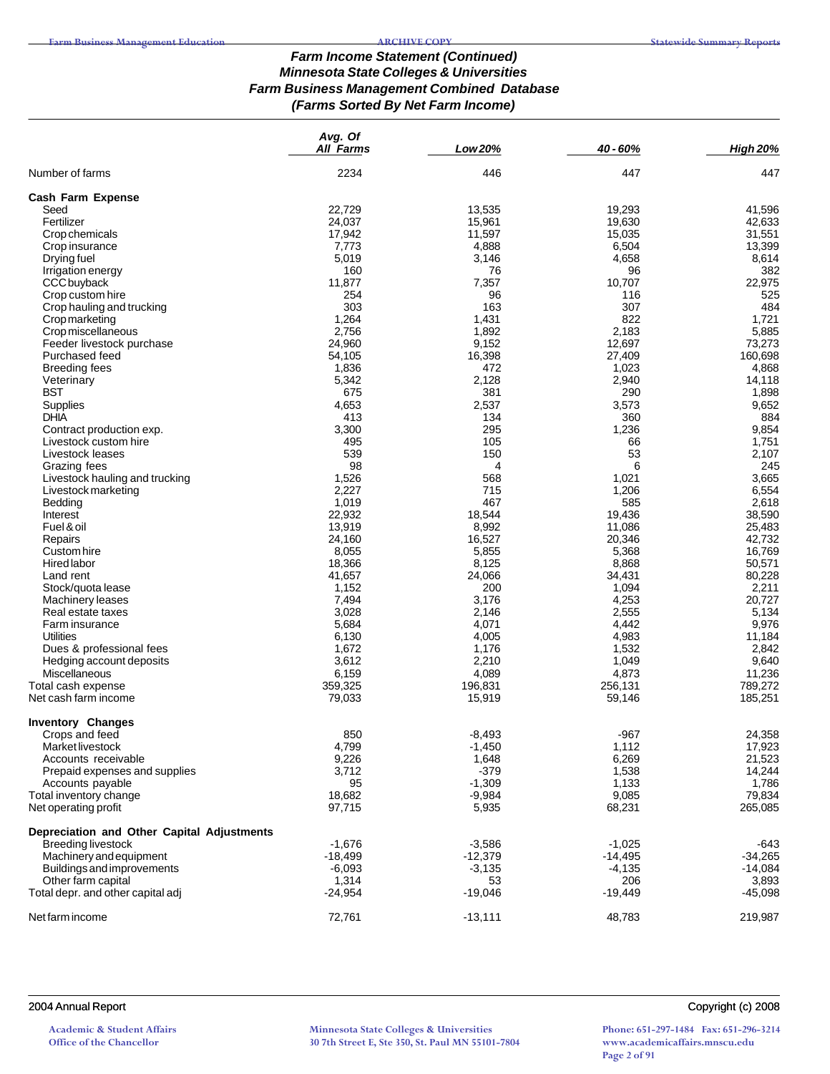### *Farm Income Statement (Continued) Minnesota State Colleges & Universities Farm Business Management Combined Database (Farms Sorted By Net Farm Income)*

|                                            | Avg. Of<br>All Farms | Low 20%   | 40 - 60%  | <b>High 20%</b> |
|--------------------------------------------|----------------------|-----------|-----------|-----------------|
| Number of farms                            | 2234                 | 446       | 447       | 447             |
| Cash Farm Expense                          |                      |           |           |                 |
| Seed                                       | 22,729               | 13,535    | 19,293    | 41,596          |
| Fertilizer                                 | 24,037               | 15,961    | 19,630    | 42,633          |
| Crop chemicals                             | 17,942               | 11,597    | 15,035    | 31,551          |
| Crop insurance                             | 7,773                | 4,888     | 6,504     | 13,399          |
| Drying fuel                                | 5,019                | 3,146     | 4,658     | 8,614           |
| Irrigation energy                          | 160                  | 76        | 96        | 382             |
| CCC buyback                                | 11,877               | 7,357     | 10,707    | 22,975          |
| Crop custom hire                           | 254                  | 96        | 116       | 525             |
| Crop hauling and trucking                  | 303                  | 163       | 307       | 484             |
| Crop marketing                             | 1,264                | 1,431     | 822       | 1,721           |
| Crop miscellaneous                         | 2,756                | 1,892     | 2,183     | 5,885           |
| Feeder livestock purchase                  | 24,960               | 9,152     | 12,697    | 73,273          |
| Purchased feed                             | 54,105               | 16,398    | 27,409    | 160,698         |
| <b>Breeding fees</b>                       | 1,836                | 472       | 1,023     | 4,868           |
| Veterinary                                 | 5,342                | 2,128     | 2,940     | 14,118          |
| <b>BST</b>                                 | 675                  | 381       | 290       | 1,898           |
| Supplies                                   | 4,653                | 2,537     | 3,573     | 9,652           |
| <b>DHIA</b>                                | 413                  | 134       | 360       | 884             |
| Contract production exp.                   | 3,300                | 295       | 1,236     | 9,854           |
| Livestock custom hire                      | 495                  | 105       |           | 1,751           |
|                                            |                      |           | 66        |                 |
| Livestock leases                           | 539                  | 150       | 53        | 2,107           |
| Grazing fees                               | 98                   | 4         | 6         | 245             |
| Livestock hauling and trucking             | 1,526                | 568       | 1,021     | 3,665           |
| Livestock marketing                        | 2,227                | 715       | 1,206     | 6,554           |
| Bedding                                    | 1,019                | 467       | 585       | 2,618           |
| Interest                                   | 22,932               | 18,544    | 19,436    | 38,590          |
| Fuel & oil                                 | 13,919               | 8,992     | 11,086    | 25,483          |
| Repairs                                    | 24,160               | 16,527    | 20,346    | 42,732          |
| Custom hire                                | 8,055                | 5,855     | 5,368     | 16,769          |
| Hired labor                                | 18,366               | 8,125     | 8,868     | 50,571          |
| Land rent                                  | 41,657               | 24,066    | 34,431    | 80,228          |
| Stock/quota lease                          | 1,152                | 200       | 1,094     | 2,211           |
| Machinery leases                           | 7,494                | 3,176     | 4,253     | 20,727          |
| Real estate taxes                          | 3,028                | 2,146     | 2,555     | 5,134           |
| Farm insurance                             | 5,684                | 4,071     | 4,442     | 9,976           |
| Utilities                                  | 6,130                | 4,005     | 4,983     | 11,184          |
| Dues & professional fees                   | 1,672                | 1,176     | 1,532     | 2,842           |
| Hedging account deposits                   | 3,612                | 2,210     | 1,049     | 9,640           |
| Miscellaneous                              | 6,159                | 4,089     | 4,873     | 11,236          |
| Total cash expense                         | 359,325              | 196,831   | 256,131   | 789,272         |
| Net cash farm income                       | 79,033               | 15,919    | 59,146    | 185,251         |
| <b>Inventory Changes</b>                   |                      |           |           |                 |
| Crops and feed                             | 850                  | $-8,493$  | $-967$    | 24,358          |
| Market livestock                           | 4,799                | $-1,450$  | 1,112     | 17,923          |
| Accounts receivable                        | 9,226                | 1,648     | 6,269     | 21,523          |
| Prepaid expenses and supplies              | 3,712                | $-379$    | 1,538     | 14,244          |
| Accounts payable                           | 95                   | $-1,309$  | 1,133     | 1,786           |
| Total inventory change                     | 18,682               | $-9,984$  | 9,085     | 79,834          |
| Net operating profit                       | 97,715               | 5,935     | 68,231    | 265,085         |
| Depreciation and Other Capital Adjustments |                      |           |           |                 |
| <b>Breeding livestock</b>                  | $-1,676$             | $-3,586$  | $-1,025$  | -643            |
| Machinery and equipment                    | $-18,499$            | $-12,379$ | $-14,495$ | $-34,265$       |
| Buildings and improvements                 | $-6,093$             | $-3,135$  | $-4,135$  | -14,084         |
| Other farm capital                         | 1,314                | 53        | 206       | 3,893           |
| Total depr. and other capital adj          | $-24,954$            | $-19,046$ | $-19,449$ | -45,098         |
|                                            |                      |           |           |                 |
| Net farm income                            | 72,761               | $-13,111$ | 48,783    | 219,987         |

2004 Annual Report Copyright (c) 2008

**Phone: 651-297-1484 Fax: 651-296-3214 www.academicaffairs.mnscu.edu Page 2 of 91**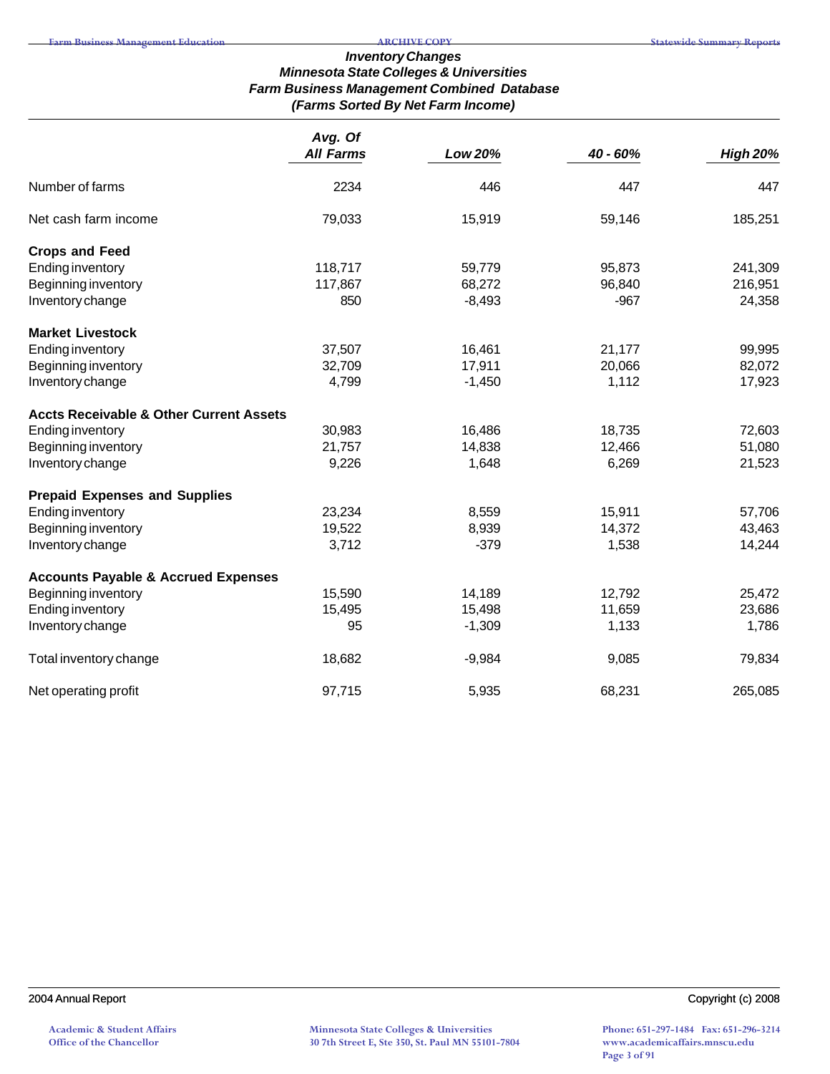## *Inventory Changes Minnesota State Colleges & Universities Farm Business Management Combined Database (Farms Sorted By Net Farm Income)*

|                                                    | Avg. Of          |          |          |                 |
|----------------------------------------------------|------------------|----------|----------|-----------------|
|                                                    | <b>All Farms</b> | Low 20%  | 40 - 60% | <b>High 20%</b> |
| Number of farms                                    | 2234             | 446      | 447      | 447             |
| Net cash farm income                               | 79,033           | 15,919   | 59,146   | 185,251         |
| <b>Crops and Feed</b>                              |                  |          |          |                 |
| <b>Ending inventory</b>                            | 118,717          | 59,779   | 95,873   | 241,309         |
| Beginning inventory                                | 117,867          | 68,272   | 96,840   | 216,951         |
| Inventory change                                   | 850              | $-8,493$ | $-967$   | 24,358          |
| <b>Market Livestock</b>                            |                  |          |          |                 |
| <b>Ending inventory</b>                            | 37,507           | 16,461   | 21,177   | 99,995          |
| Beginning inventory                                | 32,709           | 17,911   | 20,066   | 82,072          |
| Inventory change                                   | 4,799            | $-1,450$ | 1,112    | 17,923          |
| <b>Accts Receivable &amp; Other Current Assets</b> |                  |          |          |                 |
| <b>Ending inventory</b>                            | 30,983           | 16,486   | 18,735   | 72,603          |
| Beginning inventory                                | 21,757           | 14,838   | 12,466   | 51,080          |
| Inventory change                                   | 9,226            | 1,648    | 6,269    | 21,523          |
| <b>Prepaid Expenses and Supplies</b>               |                  |          |          |                 |
| <b>Ending inventory</b>                            | 23,234           | 8,559    | 15,911   | 57,706          |
| Beginning inventory                                | 19,522           | 8,939    | 14,372   | 43,463          |
| Inventory change                                   | 3,712            | $-379$   | 1,538    | 14,244          |
| <b>Accounts Payable &amp; Accrued Expenses</b>     |                  |          |          |                 |
| Beginning inventory                                | 15,590           | 14,189   | 12,792   | 25,472          |
| <b>Ending inventory</b>                            | 15,495           | 15,498   | 11,659   | 23,686          |
| Inventory change                                   | 95               | $-1,309$ | 1,133    | 1,786           |
| Total inventory change                             | 18,682           | $-9,984$ | 9,085    | 79,834          |
| Net operating profit                               | 97,715           | 5,935    | 68,231   | 265,085         |

2004 Annual Report Copyright (c) 2008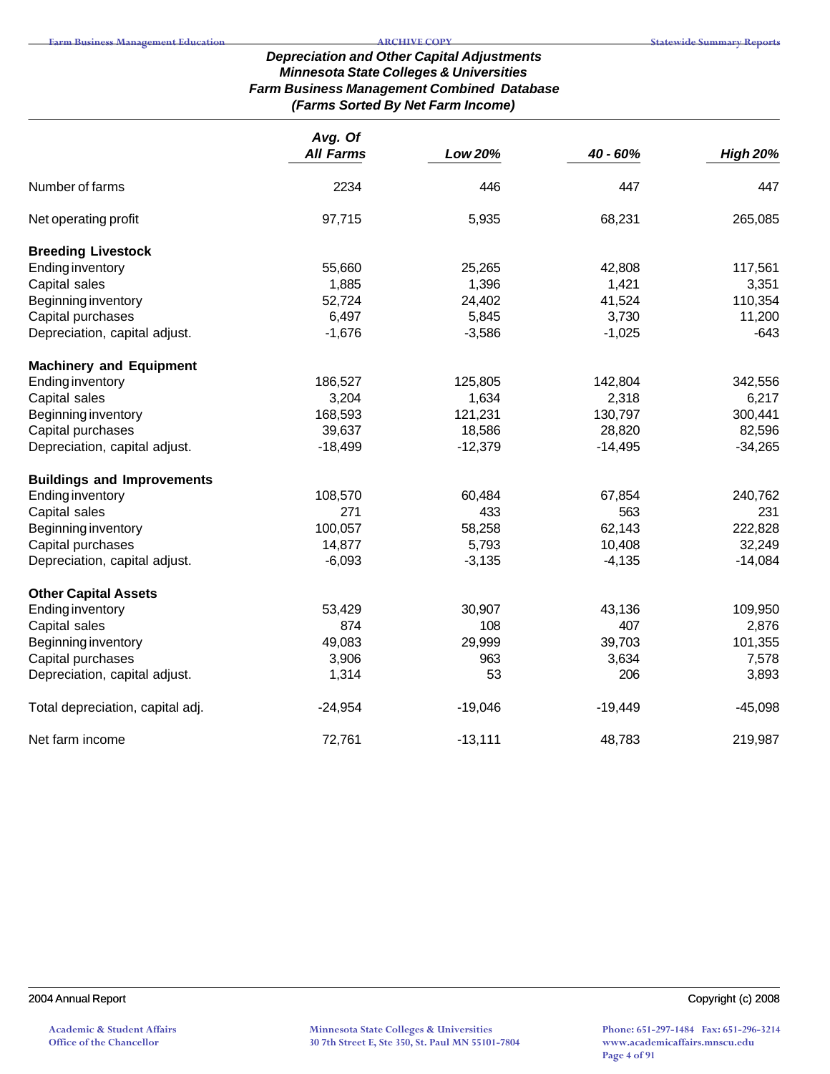# *Depreciation and Other Capital Adjustments Minnesota State Colleges & Universities Farm Business Management Combined Database (Farms Sorted By Net Farm Income)*

|                                   | Avg. Of<br><b>All Farms</b> | <b>Low 20%</b> | 40 - 60%  | <b>High 20%</b> |
|-----------------------------------|-----------------------------|----------------|-----------|-----------------|
| Number of farms                   | 2234                        | 446            | 447       | 447             |
| Net operating profit              | 97,715                      | 5,935          | 68,231    | 265,085         |
| <b>Breeding Livestock</b>         |                             |                |           |                 |
| <b>Ending inventory</b>           | 55,660                      | 25,265         | 42,808    | 117,561         |
| Capital sales                     | 1,885                       | 1,396          | 1,421     | 3,351           |
| Beginning inventory               | 52,724                      | 24,402         | 41,524    | 110,354         |
| Capital purchases                 | 6,497                       | 5,845          | 3,730     | 11,200          |
| Depreciation, capital adjust.     | $-1,676$                    | $-3,586$       | $-1,025$  | $-643$          |
| <b>Machinery and Equipment</b>    |                             |                |           |                 |
| Ending inventory                  | 186,527                     | 125,805        | 142,804   | 342,556         |
| Capital sales                     | 3,204                       | 1,634          | 2,318     | 6,217           |
| Beginning inventory               | 168,593                     | 121,231        | 130,797   | 300,441         |
| Capital purchases                 | 39,637                      | 18,586         | 28,820    | 82,596          |
| Depreciation, capital adjust.     | $-18,499$                   | $-12,379$      | $-14,495$ | $-34,265$       |
| <b>Buildings and Improvements</b> |                             |                |           |                 |
| <b>Ending inventory</b>           | 108,570                     | 60,484         | 67,854    | 240,762         |
| Capital sales                     | 271                         | 433            | 563       | 231             |
| Beginning inventory               | 100,057                     | 58,258         | 62,143    | 222,828         |
| Capital purchases                 | 14,877                      | 5,793          | 10,408    | 32,249          |
| Depreciation, capital adjust.     | $-6,093$                    | $-3,135$       | $-4,135$  | $-14,084$       |
| <b>Other Capital Assets</b>       |                             |                |           |                 |
| <b>Ending inventory</b>           | 53,429                      | 30,907         | 43,136    | 109,950         |
| Capital sales                     | 874                         | 108            | 407       | 2,876           |
| Beginning inventory               | 49,083                      | 29,999         | 39,703    | 101,355         |
| Capital purchases                 | 3,906                       | 963            | 3,634     | 7,578           |
| Depreciation, capital adjust.     | 1,314                       | 53             | 206       | 3,893           |
| Total depreciation, capital adj.  | $-24,954$                   | $-19,046$      | $-19,449$ | $-45,098$       |
| Net farm income                   | 72,761                      | $-13,111$      | 48,783    | 219,987         |

## 2004 Annual Report Copyright (c) 2008

**Academic & Student Affairs Office of the Chancellor**

**Phone: 651-297-1484 Fax: 651-296-3214 www.academicaffairs.mnscu.edu Page 4 of 91**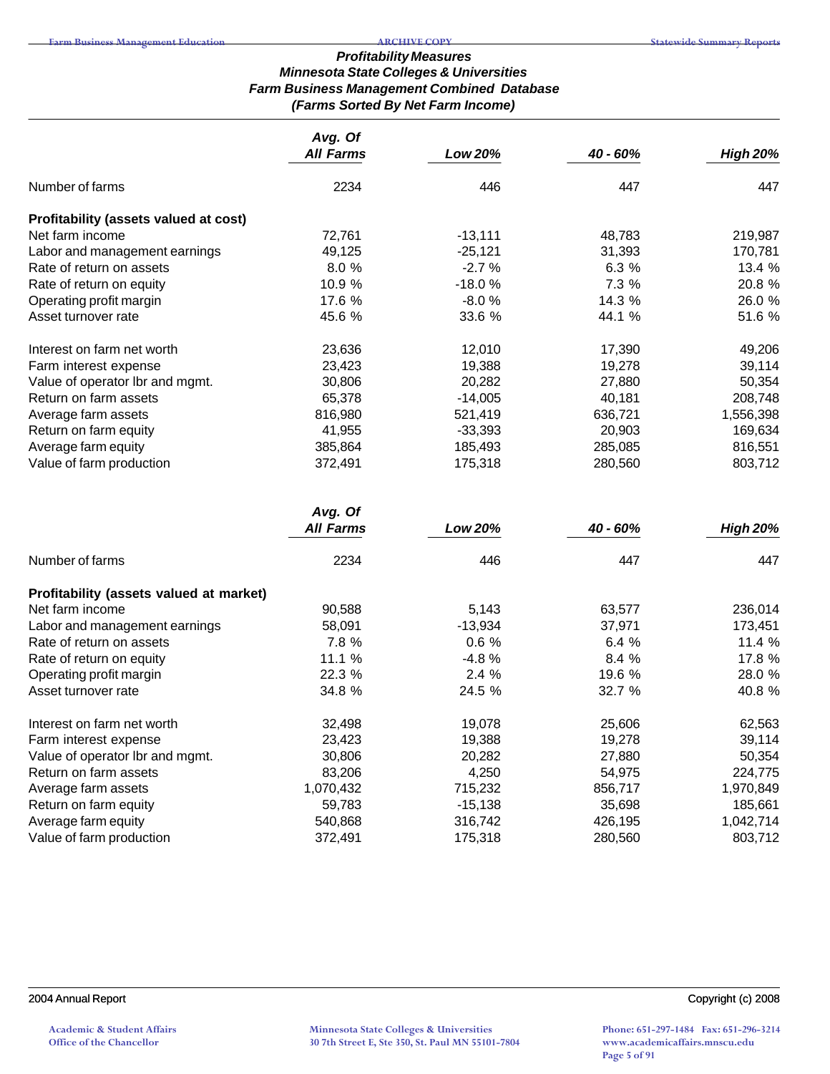## *Profitability Measures Minnesota State Colleges & Universities Farm Business Management Combined Database (Farms Sorted By Net Farm Income)*

|                                       | Avg. Of<br><b>All Farms</b> | Low 20%   | $40 - 60%$ | <b>High 20%</b> |
|---------------------------------------|-----------------------------|-----------|------------|-----------------|
| Number of farms                       | 2234                        | 446       | 447        | 447             |
| Profitability (assets valued at cost) |                             |           |            |                 |
| Net farm income                       | 72,761                      | $-13,111$ | 48,783     | 219,987         |
| Labor and management earnings         | 49,125                      | $-25,121$ | 31,393     | 170,781         |
| Rate of return on assets              | 8.0%                        | $-2.7%$   | 6.3%       | 13.4 %          |
| Rate of return on equity              | 10.9%                       | $-18.0%$  | 7.3%       | 20.8 %          |
| Operating profit margin               | 17.6 %                      | $-8.0%$   | 14.3 %     | 26.0 %          |
| Asset turnover rate                   | 45.6 %                      | 33.6 %    | 44.1 %     | 51.6 %          |
| Interest on farm net worth            | 23,636                      | 12,010    | 17,390     | 49,206          |
| Farm interest expense                 | 23,423                      | 19,388    | 19,278     | 39,114          |
| Value of operator Ibr and mgmt.       | 30,806                      | 20,282    | 27,880     | 50,354          |
| Return on farm assets                 | 65,378                      | $-14,005$ | 40,181     | 208,748         |
| Average farm assets                   | 816,980                     | 521,419   | 636,721    | 1,556,398       |
| Return on farm equity                 | 41,955                      | $-33,393$ | 20,903     | 169,634         |
| Average farm equity                   | 385,864                     | 185,493   | 285,085    | 816,551         |
| Value of farm production              | 372,491                     | 175,318   | 280,560    | 803,712         |

|                                         | Avg. Of          |           |            |                 |
|-----------------------------------------|------------------|-----------|------------|-----------------|
|                                         | <b>All Farms</b> | Low 20%   | $40 - 60%$ | <b>High 20%</b> |
| Number of farms                         | 2234             | 446       | 447        | 447             |
| Profitability (assets valued at market) |                  |           |            |                 |
| Net farm income                         | 90,588           | 5,143     | 63,577     | 236,014         |
| Labor and management earnings           | 58,091           | $-13,934$ | 37,971     | 173,451         |
| Rate of return on assets                | 7.8%             | 0.6%      | 6.4%       | 11.4 %          |
| Rate of return on equity                | 11.1 %           | $-4.8%$   | 8.4 %      | 17.8 %          |
| Operating profit margin                 | 22.3 %           | 2.4%      | 19.6 %     | 28.0 %          |
| Asset turnover rate                     | 34.8 %           | 24.5 %    | 32.7%      | 40.8 %          |
| Interest on farm net worth              | 32,498           | 19,078    | 25,606     | 62,563          |
| Farm interest expense                   | 23,423           | 19,388    | 19,278     | 39,114          |
| Value of operator Ibr and mgmt.         | 30,806           | 20,282    | 27,880     | 50,354          |
| Return on farm assets                   | 83,206           | 4,250     | 54,975     | 224,775         |
| Average farm assets                     | 1,070,432        | 715,232   | 856,717    | 1,970,849       |
| Return on farm equity                   | 59,783           | $-15,138$ | 35,698     | 185,661         |
| Average farm equity                     | 540,868          | 316,742   | 426,195    | 1,042,714       |
| Value of farm production                | 372,491          | 175,318   | 280,560    | 803,712         |

## 2004 Annual Report Copyright (c) 2008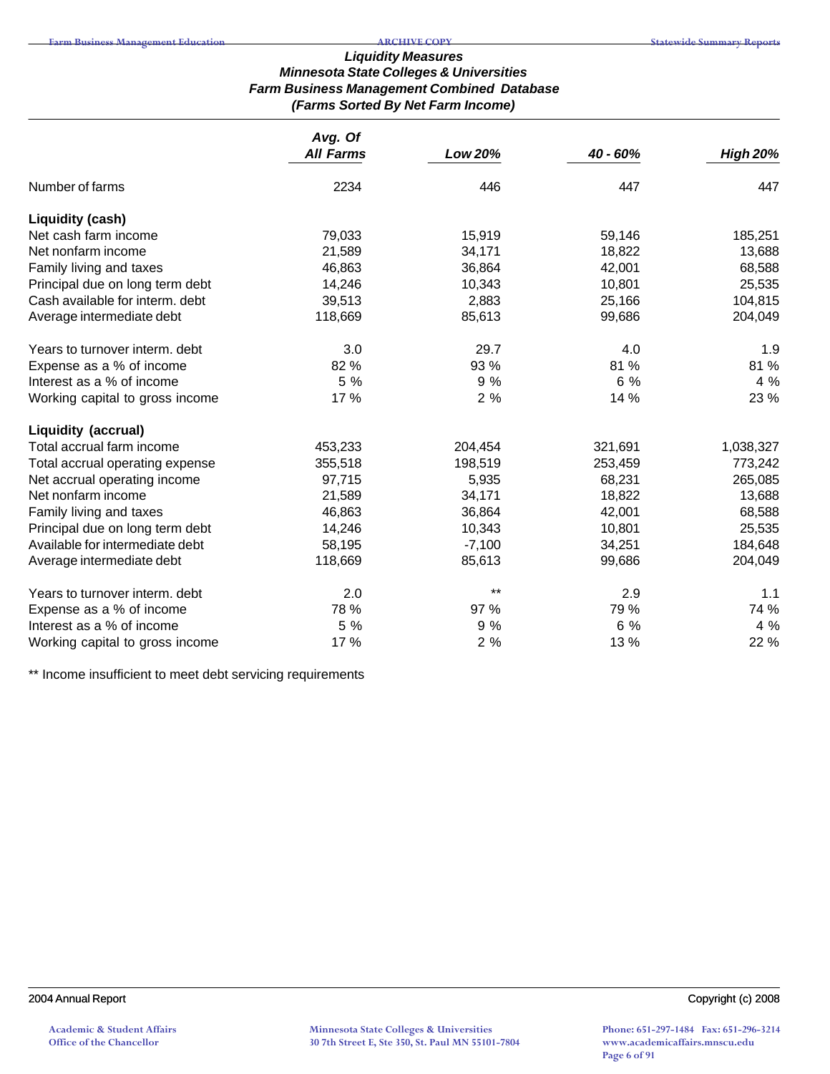### *Liquidity Measures Minnesota State Colleges & Universities Farm Business Management Combined Database (Farms Sorted By Net Farm Income)*

|                                 | Avg. Of          |          |          |                 |
|---------------------------------|------------------|----------|----------|-----------------|
|                                 | <b>All Farms</b> | Low 20%  | 40 - 60% | <b>High 20%</b> |
| Number of farms                 | 2234             | 446      | 447      | 447             |
| Liquidity (cash)                |                  |          |          |                 |
| Net cash farm income            | 79,033           | 15,919   | 59,146   | 185,251         |
| Net nonfarm income              | 21,589           | 34,171   | 18,822   | 13,688          |
| Family living and taxes         | 46,863           | 36,864   | 42,001   | 68,588          |
| Principal due on long term debt | 14,246           | 10,343   | 10,801   | 25,535          |
| Cash available for interm. debt | 39,513           | 2,883    | 25,166   | 104,815         |
| Average intermediate debt       | 118,669          | 85,613   | 99,686   | 204,049         |
| Years to turnover interm, debt  | 3.0              | 29.7     | 4.0      | 1.9             |
| Expense as a % of income        | 82 %             | 93 %     | 81 %     | 81 %            |
| Interest as a % of income       | 5 %              | 9 %      | 6 %      | 4 %             |
| Working capital to gross income | 17 %             | 2%       | 14 %     | 23 %            |
| <b>Liquidity (accrual)</b>      |                  |          |          |                 |
| Total accrual farm income       | 453,233          | 204,454  | 321,691  | 1,038,327       |
| Total accrual operating expense | 355,518          | 198,519  | 253,459  | 773,242         |
| Net accrual operating income    | 97,715           | 5,935    | 68,231   | 265,085         |
| Net nonfarm income              | 21,589           | 34,171   | 18,822   | 13,688          |
| Family living and taxes         | 46,863           | 36,864   | 42,001   | 68,588          |
| Principal due on long term debt | 14,246           | 10,343   | 10,801   | 25,535          |
| Available for intermediate debt | 58,195           | $-7,100$ | 34,251   | 184,648         |
| Average intermediate debt       | 118,669          | 85,613   | 99,686   | 204,049         |
| Years to turnover interm. debt  | 2.0              | $***$    | 2.9      | 1.1             |
| Expense as a % of income        | 78 %             | 97 %     | 79 %     | 74 %            |
| Interest as a % of income       | 5 %              | 9%       | 6 %      | 4 %             |
| Working capital to gross income | 17 %             | 2%       | 13 %     | 22 %            |

\*\* Income insufficient to meet debt servicing requirements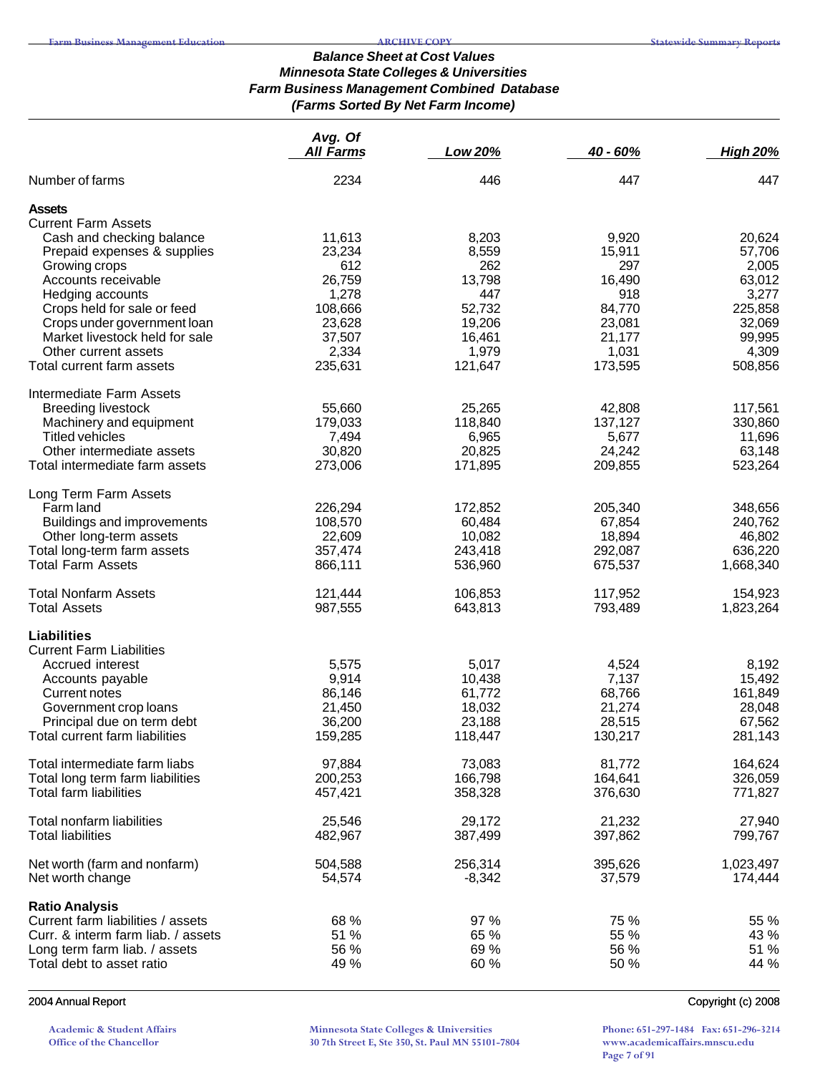## *Balance Sheet at Cost Values Minnesota State Colleges & Universities Farm Business Management Combined Database (Farms Sorted By Net Farm Income)*

|                                                      | Avg. Of<br>All Farms | Low 20%           | 40 - 60%          | <b>High 20%</b>    |
|------------------------------------------------------|----------------------|-------------------|-------------------|--------------------|
| Number of farms                                      | 2234                 | 446               | 447               | 447                |
| <b>Assets</b><br><b>Current Farm Assets</b>          |                      |                   |                   |                    |
| Cash and checking balance                            | 11,613               | 8,203             | 9,920             | 20,624             |
| Prepaid expenses & supplies                          | 23,234               | 8,559             | 15,911            | 57,706             |
| Growing crops                                        | 612                  | 262               | 297               | 2,005              |
| Accounts receivable                                  | 26,759               | 13,798            | 16,490            | 63,012             |
| Hedging accounts                                     | 1,278                | 447               | 918               | 3,277              |
| Crops held for sale or feed                          | 108,666              | 52,732            | 84,770            | 225,858            |
| Crops under government loan                          | 23,628               | 19,206            | 23,081            | 32,069             |
| Market livestock held for sale                       | 37,507               | 16,461            | 21,177            | 99,995             |
| Other current assets                                 | 2,334                | 1,979             | 1,031             | 4,309              |
| Total current farm assets                            | 235,631              | 121,647           | 173,595           | 508,856            |
| Intermediate Farm Assets                             |                      |                   |                   |                    |
| <b>Breeding livestock</b><br>Machinery and equipment | 55,660<br>179,033    | 25,265<br>118,840 | 42,808<br>137,127 | 117,561<br>330,860 |
| <b>Titled vehicles</b>                               | 7,494                | 6,965             | 5,677             | 11,696             |
| Other intermediate assets                            | 30,820               | 20,825            | 24,242            | 63,148             |
| Total intermediate farm assets                       | 273,006              | 171,895           | 209,855           | 523,264            |
|                                                      |                      |                   |                   |                    |
| Long Term Farm Assets                                |                      |                   |                   |                    |
| Farm land<br>Buildings and improvements              | 226,294<br>108,570   | 172,852<br>60,484 | 205,340<br>67,854 | 348,656<br>240,762 |
| Other long-term assets                               | 22,609               | 10,082            | 18,894            | 46,802             |
| Total long-term farm assets                          | 357,474              | 243,418           | 292,087           | 636,220            |
| <b>Total Farm Assets</b>                             | 866,111              | 536,960           | 675,537           | 1,668,340          |
| <b>Total Nonfarm Assets</b>                          | 121,444              | 106,853           | 117,952           | 154,923            |
| <b>Total Assets</b>                                  | 987,555              | 643,813           | 793,489           | 1,823,264          |
| <b>Liabilities</b>                                   |                      |                   |                   |                    |
| <b>Current Farm Liabilities</b>                      |                      |                   |                   |                    |
| Accrued interest                                     | 5,575                | 5,017             | 4,524             | 8,192              |
| Accounts payable                                     | 9,914                | 10,438            | 7,137             | 15,492             |
| Current notes                                        | 86,146               | 61,772            | 68,766            | 161,849            |
| Government crop loans<br>Principal due on term debt  | 21,450<br>36,200     | 18,032<br>23,188  | 21,274<br>28,515  | 28,048<br>67,562   |
| Total current farm liabilities                       | 159,285              | 118,447           | 130,217           | 281,143            |
|                                                      |                      |                   |                   |                    |
| Total intermediate farm liabs                        | 97,884               | 73,083            | 81,772            | 164,624            |
| Total long term farm liabilities                     | 200,253              | 166,798           | 164,641           | 326,059            |
| <b>Total farm liabilities</b>                        | 457,421              | 358,328           | 376,630           | 771,827            |
| Total nonfarm liabilities                            | 25,546               | 29,172            | 21,232            | 27,940             |
| <b>Total liabilities</b>                             | 482,967              | 387,499           | 397,862           | 799,767            |
| Net worth (farm and nonfarm)                         | 504,588              | 256,314           | 395,626           | 1,023,497          |
| Net worth change                                     | 54,574               | $-8,342$          | 37,579            | 174,444            |
| <b>Ratio Analysis</b>                                |                      |                   |                   |                    |
| Current farm liabilities / assets                    | 68 %                 | 97 %              | 75 %              | 55 %               |
| Curr. & interm farm liab. / assets                   | 51 %                 | 65 %              | 55 %              | 43 %               |
| Long term farm liab. / assets                        | 56 %                 | 69 %              | 56 %              | 51 %               |
| Total debt to asset ratio                            | 49 %                 | 60 %              | 50 %              | 44 %               |

#### 2004 Annual Report Copyright (c) 2008

**Academic & Student Affairs Office of the Chancellor**

**Minnesota State Colleges & Universities 30 7th Street E, Ste 350, St. Paul MN 55101-7804**

**Phone: 651-297-1484 Fax: 651-296-3214 www.academicaffairs.mnscu.edu Page 7 of 91**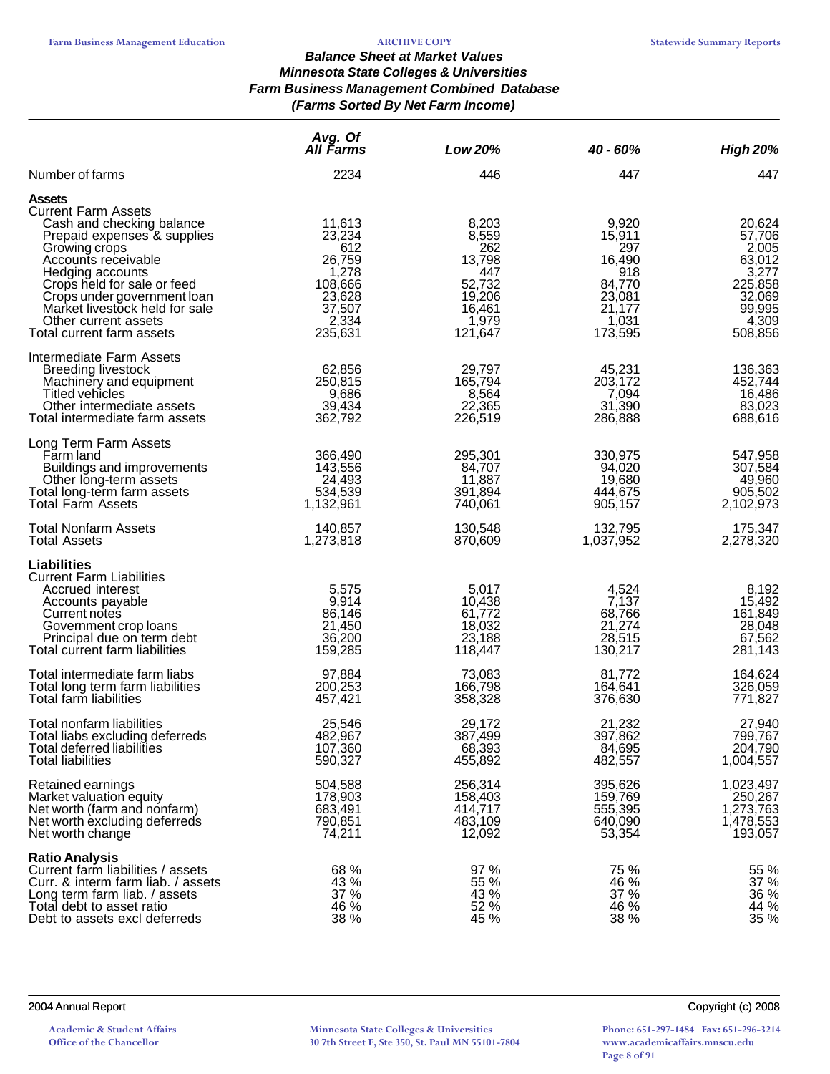#### *Balance Sheet at Market Values Minnesota State Colleges & Universities Farm Business Management Combined Database (Farms Sorted By Net Farm Income)*

|                                                                                                                                                                                                                                                                                                                          | Avg. Of<br><u>All Farms</u>                                                                   | Low 20%                                                                                  | 40 - 60%                                                                                  | <b>High 20%</b>                                                                                 |
|--------------------------------------------------------------------------------------------------------------------------------------------------------------------------------------------------------------------------------------------------------------------------------------------------------------------------|-----------------------------------------------------------------------------------------------|------------------------------------------------------------------------------------------|-------------------------------------------------------------------------------------------|-------------------------------------------------------------------------------------------------|
| Number of farms                                                                                                                                                                                                                                                                                                          | 2234                                                                                          | 446                                                                                      | 447                                                                                       | 447                                                                                             |
| <b>Assets</b><br><b>Current Farm Assets</b><br>Cash and checking balance<br>Prepaid expenses & supplies<br>Growing crops<br>Accounts receivable<br>Hedging accounts<br>Crops held for sale or feed<br>Crops under government loan<br>Market livestock held for sale<br>Other current assets<br>Total current farm assets | 11,613<br>23,234<br>612<br>26,759<br>1,278<br>108,666<br>23,628<br>37,507<br>2,334<br>235,631 | 8,203<br>8,559<br>262<br>13,798<br>447<br>52,732<br>19,206<br>16,461<br>1,979<br>121,647 | 9,920<br>15,911<br>297<br>16,490<br>918<br>84,770<br>23,081<br>21,177<br>1,031<br>173,595 | 20,624<br>57,706<br>2,005<br>63,012<br>3,277<br>225,858<br>32,069<br>99,995<br>4,309<br>508,856 |
| Intermediate Farm Assets<br><b>Breeding livestock</b><br>Machinery and equipment<br>Titled vehicles<br>Other intermediate assets<br>Total intermediate farm assets                                                                                                                                                       | 62,856<br>250,815<br>9,686<br>39,434<br>362,792                                               | 29,797<br>165,794<br>8,564<br>22,365<br>226,519                                          | 45,231<br>203,172<br>7,094<br>31,390<br>286,888                                           | 136,363<br>452,744<br>16,486<br>83,023<br>688,616                                               |
| Long Term Farm Assets<br>Farm land<br>Buildings and improvements<br>Other long-term assets<br>Total long-term farm assets<br><b>Total Farm Assets</b>                                                                                                                                                                    | 366,490<br>143,556<br>24,493<br>534,539<br>1,132,961                                          | 295,301<br>84,707<br>11,887<br>391,894<br>740,061                                        | 330,975<br>94,020<br>19,680<br>444,675<br>905,157                                         | 547,958<br>307,584<br>49,960<br>905,502<br>2,102,973                                            |
| <b>Total Nonfarm Assets</b><br><b>Total Assets</b>                                                                                                                                                                                                                                                                       | 140,857<br>1,273,818                                                                          | 130,548<br>870,609                                                                       | 132,795<br>1,037,952                                                                      | 175,347<br>2,278,320                                                                            |
| <b>Liabilities</b><br><b>Current Farm Liabilities</b><br>Accrued interest<br>Accounts payable<br>Current notes<br>Government crop loans<br>Principal due on term debt<br>Total current farm liabilities                                                                                                                  | 5,575<br>9,914<br>86,146<br>21,450<br>36,200<br>159,285                                       | 5,017<br>10,438<br>61,772<br>18,032<br>23,188<br>118,447                                 | 4,524<br>7,137<br>68,766<br>21,274<br>28,515<br>130,217                                   | 8,192<br>15,492<br>161,849<br>28,048<br>67,562<br>281,143                                       |
| Total intermediate farm liabs<br>Total long term farm liabilities<br>Total farm liabilities                                                                                                                                                                                                                              | 97,884<br>200,253<br>457,421                                                                  | 73,083<br>166,798<br>358,328                                                             | 81.772<br>164,641<br>376,630                                                              | 164,624<br>326,059<br>771,827                                                                   |
| Total nonfarm liabilities<br>Total liabs excluding deferreds<br>Total deferred liabilities<br><b>Total liabilities</b>                                                                                                                                                                                                   | 25,546<br>482.967<br>107,360<br>590,327                                                       | 29,172<br>387,499<br>68,393<br>455,892                                                   | 21,232<br>397,862<br>84,695<br>482,557                                                    | 27,940<br>799,767<br>204,790<br>1,004,557                                                       |
| Retained earnings<br>Market valuation equity<br>Net worth (farm and nonfarm)<br>Net worth excluding deferreds<br>Net worth change                                                                                                                                                                                        | 504,588<br>178,903<br>683,491<br>790,851<br>74,211                                            | 256,314<br>158,403<br>414,717<br>483,109<br>12,092                                       | 395,626<br>159,769<br>555,395<br>640,090<br>53,354                                        | 1,023,497<br>250,267<br>1,273,763<br>1,478,553<br>193,057                                       |
| <b>Ratio Analysis</b><br>Current farm liabilities / assets<br>Curr. & interm farm liab. / assets<br>Long term farm liab. / assets<br>Total debt to asset ratio<br>Debt to assets excl deferreds                                                                                                                          | 68 %<br>43 %<br>37 %<br>46 %<br>38 %                                                          | 97 %<br>55 %<br>43 %<br>52 %<br>45 %                                                     | 75 %<br>46 %<br>37 %<br>46 %<br>38 %                                                      | 55 %<br>37%<br>36 %<br>44 %<br>35 %                                                             |

2004 Annual Report Copyright (c) 2008

**Academic & Student Affairs Office of the Chancellor**

**Minnesota State Colleges & Universities 30 7th Street E, Ste 350, St. Paul MN 55101-7804**

**Phone: 651-297-1484 Fax: 651-296-3214 www.academicaffairs.mnscu.edu Page 8 of 91**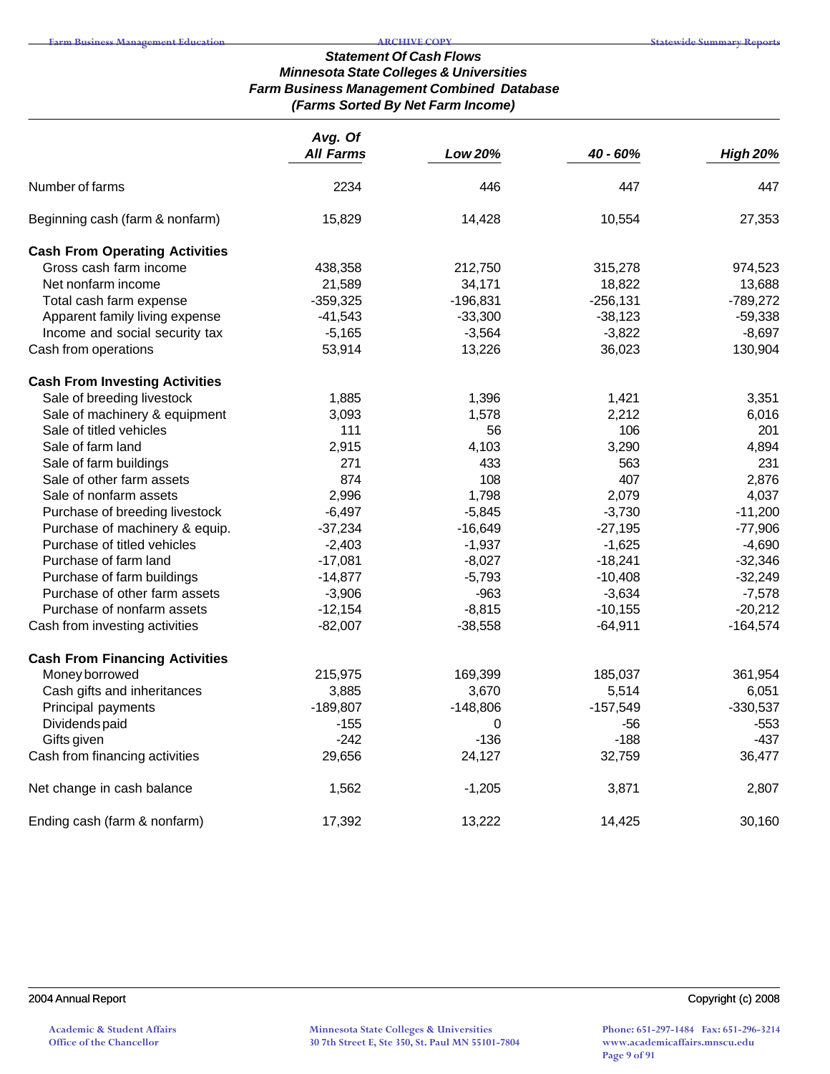#### *Statement Of Cash Flows Minnesota State Colleges & Universities Farm Business Management Combined Database (Farms Sorted By Net Farm Income)*

|                                       | Avg. Of<br><b>All Farms</b> | Low 20%    | 40 - 60%    | <b>High 20%</b> |
|---------------------------------------|-----------------------------|------------|-------------|-----------------|
| Number of farms                       | 2234                        | 446        | 447         | 447             |
| Beginning cash (farm & nonfarm)       | 15,829                      | 14,428     | 10,554      | 27,353          |
| <b>Cash From Operating Activities</b> |                             |            |             |                 |
| Gross cash farm income                | 438,358                     | 212,750    | 315,278     | 974,523         |
| Net nonfarm income                    | 21,589                      | 34,171     | 18,822      | 13,688          |
| Total cash farm expense               | $-359,325$                  | $-196,831$ | $-256, 131$ | $-789,272$      |
| Apparent family living expense        | $-41,543$                   | $-33,300$  | $-38,123$   | $-59,338$       |
| Income and social security tax        | $-5,165$                    | $-3,564$   | $-3,822$    | $-8,697$        |
| Cash from operations                  | 53,914                      | 13,226     | 36,023      | 130,904         |
| <b>Cash From Investing Activities</b> |                             |            |             |                 |
| Sale of breeding livestock            | 1,885                       | 1,396      | 1,421       | 3,351           |
| Sale of machinery & equipment         | 3,093                       | 1,578      | 2,212       | 6,016           |
| Sale of titled vehicles               | 111                         | 56         | 106         | 201             |
| Sale of farm land                     | 2,915                       | 4,103      | 3,290       | 4,894           |
| Sale of farm buildings                | 271                         | 433        | 563         | 231             |
| Sale of other farm assets             | 874                         | 108        | 407         | 2,876           |
| Sale of nonfarm assets                | 2,996                       | 1,798      | 2,079       | 4,037           |
| Purchase of breeding livestock        | $-6,497$                    | $-5,845$   | $-3,730$    | $-11,200$       |
| Purchase of machinery & equip.        | $-37,234$                   | $-16,649$  | $-27,195$   | $-77,906$       |
| Purchase of titled vehicles           | $-2,403$                    | $-1,937$   | $-1,625$    | $-4,690$        |
| Purchase of farm land                 | $-17,081$                   | $-8,027$   | $-18,241$   | $-32,346$       |
| Purchase of farm buildings            | $-14,877$                   | $-5,793$   | $-10,408$   | $-32,249$       |
| Purchase of other farm assets         | $-3,906$                    | $-963$     | $-3,634$    | $-7,578$        |
| Purchase of nonfarm assets            | $-12,154$                   | $-8,815$   | $-10,155$   | $-20,212$       |
| Cash from investing activities        | $-82,007$                   | $-38,558$  | $-64,911$   | $-164,574$      |
| <b>Cash From Financing Activities</b> |                             |            |             |                 |
| Money borrowed                        | 215,975                     | 169,399    | 185,037     | 361,954         |
| Cash gifts and inheritances           | 3,885                       | 3,670      | 5,514       | 6,051           |
| Principal payments                    | $-189,807$                  | $-148,806$ | $-157,549$  | $-330,537$      |
| Dividends paid                        | $-155$                      | 0          | -56         | $-553$          |
| Gifts given                           | $-242$                      | $-136$     | $-188$      | $-437$          |
| Cash from financing activities        | 29,656                      | 24,127     | 32,759      | 36,477          |
| Net change in cash balance            | 1,562                       | $-1,205$   | 3,871       | 2,807           |
| Ending cash (farm & nonfarm)          | 17,392                      | 13,222     | 14,425      | 30,160          |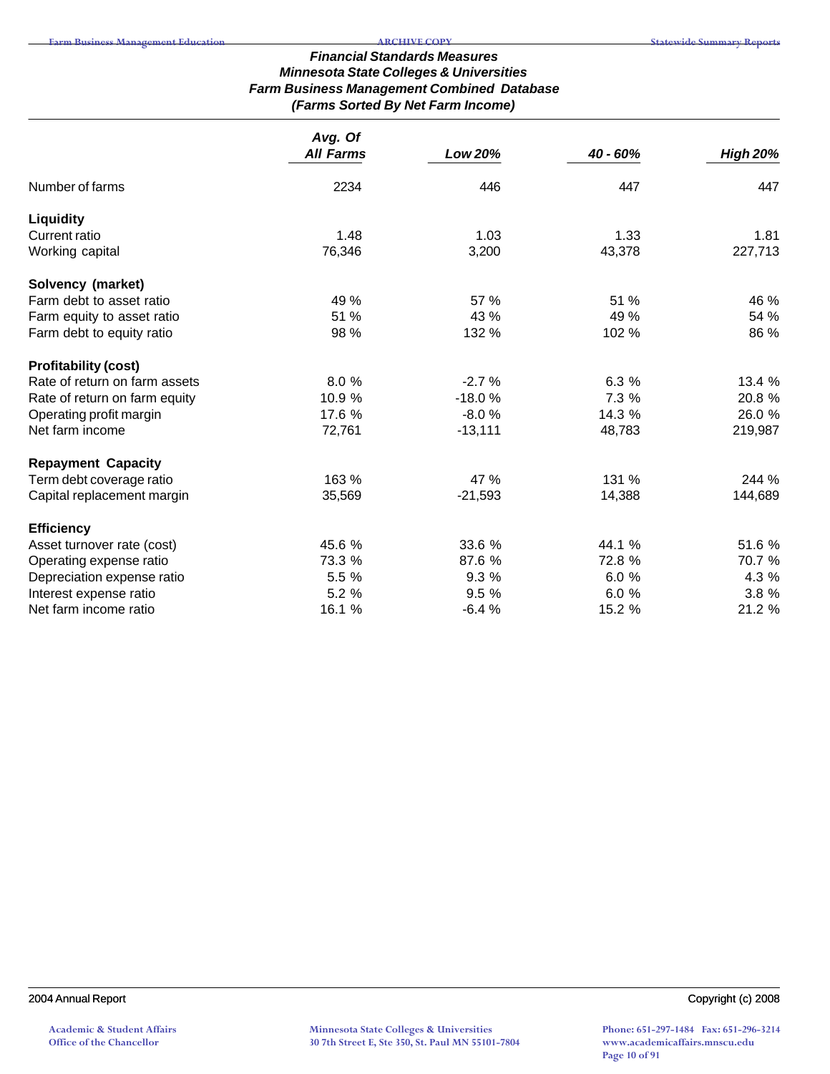## *Financial Standards Measures Minnesota State Colleges & Universities Farm Business Management Combined Database (Farms Sorted By Net Farm Income)*

|                               | Avg. Of          |           |          |                 |
|-------------------------------|------------------|-----------|----------|-----------------|
|                               | <b>All Farms</b> | Low 20%   | 40 - 60% | <b>High 20%</b> |
| Number of farms               | 2234             | 446       | 447      | 447             |
| <b>Liquidity</b>              |                  |           |          |                 |
| Current ratio                 | 1.48             | 1.03      | 1.33     | 1.81            |
| Working capital               | 76,346           | 3,200     | 43,378   | 227,713         |
| Solvency (market)             |                  |           |          |                 |
| Farm debt to asset ratio      | 49 %             | 57 %      | 51 %     | 46 %            |
| Farm equity to asset ratio    | 51 %             | 43 %      | 49 %     | 54 %            |
| Farm debt to equity ratio     | 98 %             | 132 %     | 102 %    | 86 %            |
| <b>Profitability (cost)</b>   |                  |           |          |                 |
| Rate of return on farm assets | 8.0%             | $-2.7%$   | 6.3 %    | 13.4 %          |
| Rate of return on farm equity | 10.9 %           | $-18.0%$  | 7.3 %    | 20.8 %          |
| Operating profit margin       | 17.6 %           | $-8.0%$   | 14.3 %   | 26.0%           |
| Net farm income               | 72,761           | $-13,111$ | 48,783   | 219,987         |
| <b>Repayment Capacity</b>     |                  |           |          |                 |
| Term debt coverage ratio      | 163 %            | 47 %      | 131 %    | 244 %           |
| Capital replacement margin    | 35,569           | $-21,593$ | 14,388   | 144,689         |
| <b>Efficiency</b>             |                  |           |          |                 |
| Asset turnover rate (cost)    | 45.6 %           | 33.6 %    | 44.1 %   | 51.6 %          |
| Operating expense ratio       | 73.3 %           | 87.6 %    | 72.8 %   | 70.7 %          |
| Depreciation expense ratio    | 5.5 %            | 9.3 %     | 6.0%     | 4.3 %           |
| Interest expense ratio        | 5.2 %            | 9.5 %     | 6.0%     | 3.8 %           |
| Net farm income ratio         | 16.1 %           | $-6.4%$   | 15.2 %   | 21.2 %          |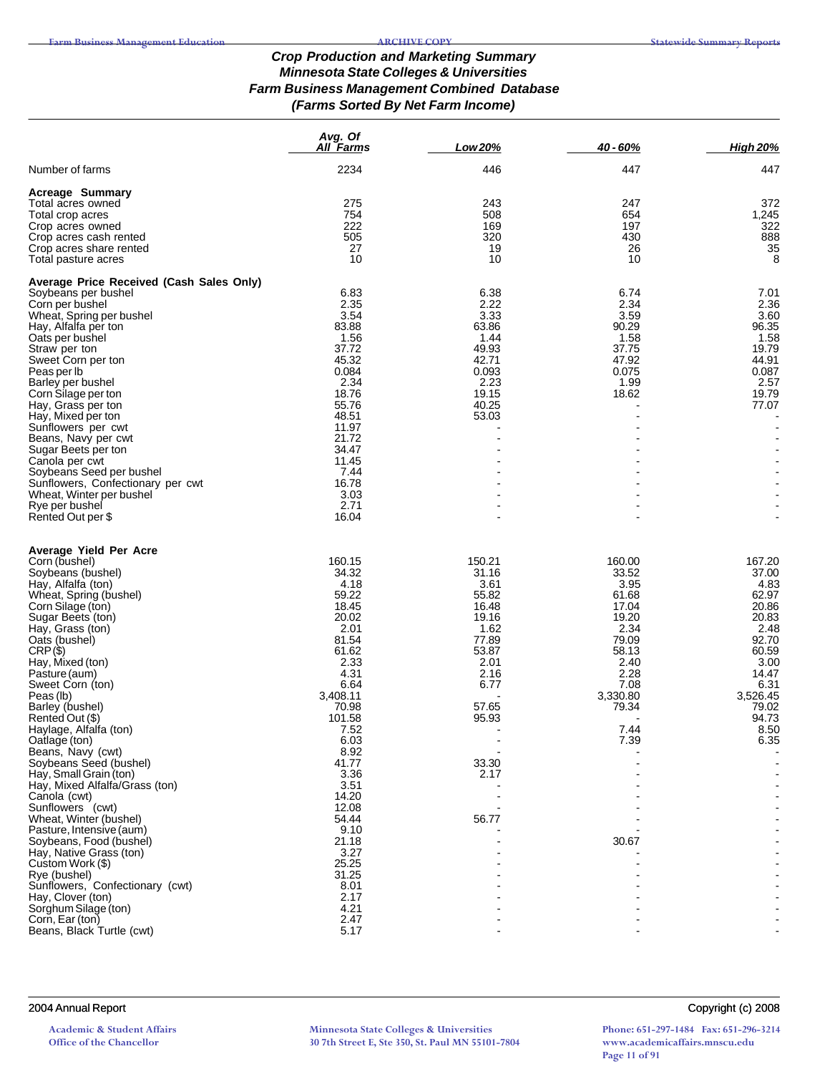### *Crop Production and Marketing Summary Minnesota State Colleges & Universities Farm Business Management Combined Database (Farms Sorted By Net Farm Income)*

|                                             | Avg. Of<br><u>All Farms</u> | Low 20%        | 40 - 60%       | <b>High 20%</b> |
|---------------------------------------------|-----------------------------|----------------|----------------|-----------------|
| Number of farms                             | 2234                        | 446            | 447            | 447             |
| <b>Acreage Summary</b>                      |                             |                |                |                 |
| Total acres owned                           | 275                         | 243            | 247            | 372             |
| Total crop acres                            | 754                         | 508            | 654            | 1,245<br>322    |
| Crop acres owned<br>Crop acres cash rented  | 222<br>505                  | 169<br>320     | 197<br>430     | 888             |
| Crop acres share rented                     | 27                          | 19             | 26             | 35              |
| Total pasture acres                         | 10                          | 10             | 10             | 8               |
| Average Price Received (Cash Sales Only)    |                             |                |                |                 |
| Soybeans per bushel                         | 6.83                        | 6.38           | 6.74           | 7.01            |
| Corn per bushel                             | 2.35                        | 2.22           | 2.34           | 2.36            |
| Wheat, Spring per bushel                    | 3.54                        | 3.33           | 3.59           | 3.60            |
| Hay, Alfalfa per ton                        | 83.88<br>1.56               | 63.86<br>1.44  | 90.29<br>1.58  | 96.35<br>1.58   |
| Oats per bushel<br>Straw per ton            | 37.72                       | 49.93          | 37.75          | 19.79           |
| Sweet Corn per ton                          | 45.32                       | 42.71          | 47.92          | 44.91           |
| Peas per lb                                 | 0.084                       | 0.093          | 0.075          | 0.087           |
| Barley per bushel                           | 2.34                        | 2.23           | 1.99           | 2.57            |
| Corn Silage per ton                         | 18.76                       | 19.15          | 18.62          | 19.79           |
| Hay, Grass per ton                          | 55.76                       | 40.25          |                | 77.07           |
| Hay, Mixed per ton<br>Sunflowers per cwt    | 48.51<br>11.97              | 53.03          |                |                 |
| Beans, Navy per cwt                         | 21.72                       |                |                |                 |
| Sugar Beets per ton                         | 34.47                       |                |                |                 |
| Canola per cwt                              | 11.45                       |                |                |                 |
| Soybeans Seed per bushel                    | 7.44                        |                |                |                 |
| Sunflowers, Confectionary per cwt           | 16.78                       |                |                |                 |
| Wheat, Winter per bushel                    | 3.03<br>2.71                |                |                |                 |
| Rye per bushel<br>Rented Out per \$         | 16.04                       |                |                |                 |
|                                             |                             |                |                |                 |
| Average Yield Per Acre                      |                             |                |                |                 |
| Corn (bushel)                               | 160.15                      | 150.21         | 160.00         | 167.20          |
| Soybeans (bushel)                           | 34.32                       | 31.16          | 33.52          | 37.00           |
| Hay, Alfalfa (ton)                          | 4.18<br>59.22               | 3.61           | 3.95           | 4.83            |
| Wheat, Spring (bushel)<br>Corn Silage (ton) | 18.45                       | 55.82<br>16.48 | 61.68<br>17.04 | 62.97<br>20.86  |
| Sugar Beets (ton)                           | 20.02                       | 19.16          | 19.20          | 20.83           |
| Hay, Grass (ton)                            | 2.01                        | 1.62           | 2.34           | 2.48            |
| Oats (bushel)                               | 81.54                       | 77.89          | 79.09          | 92.70           |
| $CRP(\$)$                                   | 61.62                       | 53.87          | 58.13          | 60.59           |
| Hay, Mixed (ton)                            | 2.33                        | 2.01           | 2.40           | 3.00            |
| Pasture (aum)<br>Sweet Corn (ton)           | 4.31<br>6.64                | 2.16<br>6.77   | 2.28<br>7.08   | 14.47<br>6.31   |
| Peas (lb)                                   | 3,408.11                    |                | 3,330.80       | 3.526.45        |
| Barley (bushel)                             | 70.98                       | 57.65          | 79.34          | 79.02           |
| Rented Out (\$)                             | 101.58                      | 95.93          |                | 94.73           |
| Haylage, Alfalfa (ton)                      | 7.52                        |                | 7.44           | 8.50            |
| Oatlage (ton)                               | 6.03                        |                | 7.39           | 6.35            |
| Beans, Navy (cwt)<br>Soybeans Seed (bushel) | 8.92<br>41.77               | 33.30          |                |                 |
| Hay, Small Grain (ton)                      | 3.36                        | 2.17           |                |                 |
| Hay, Mixed Alfalfa/Grass (ton)              | 3.51                        |                |                |                 |
| Canola (cwt)                                | 14.20                       |                |                |                 |
| Sunflowers (cwt)                            | 12.08                       |                |                |                 |
| Wheat, Winter (bushel)                      | 54.44                       | 56.77          |                |                 |
| Pasture, Intensive (aum)                    | 9.10                        |                |                |                 |
| Soybeans, Food (bushel)                     | 21.18                       |                | 30.67          |                 |
| Hay, Native Grass (ton)<br>Custom Work (\$) | 3.27<br>25.25               |                |                |                 |
| Rye (bushel)                                | 31.25                       |                |                |                 |
| Sunflowers, Confectionary (cwt)             | 8.01                        |                |                |                 |
| Hay, Clover (ton)                           | 2.17                        |                |                |                 |
| Sorghum Silage (ton)                        | 4.21                        |                |                |                 |
| Corn, Ear (ton)                             | 2.47                        |                |                |                 |
| Beans, Black Turtle (cwt)                   | 5.17                        |                |                |                 |

#### 2004 Annual Report Copyright (c) 2008

**Academic & Student Affairs Office of the Chancellor**

**Minnesota State Colleges & Universities 30 7th Street E, Ste 350, St. Paul MN 55101-7804**

**Phone: 651-297-1484 Fax: 651-296-3214 www.academicaffairs.mnscu.edu Page 11 of 91**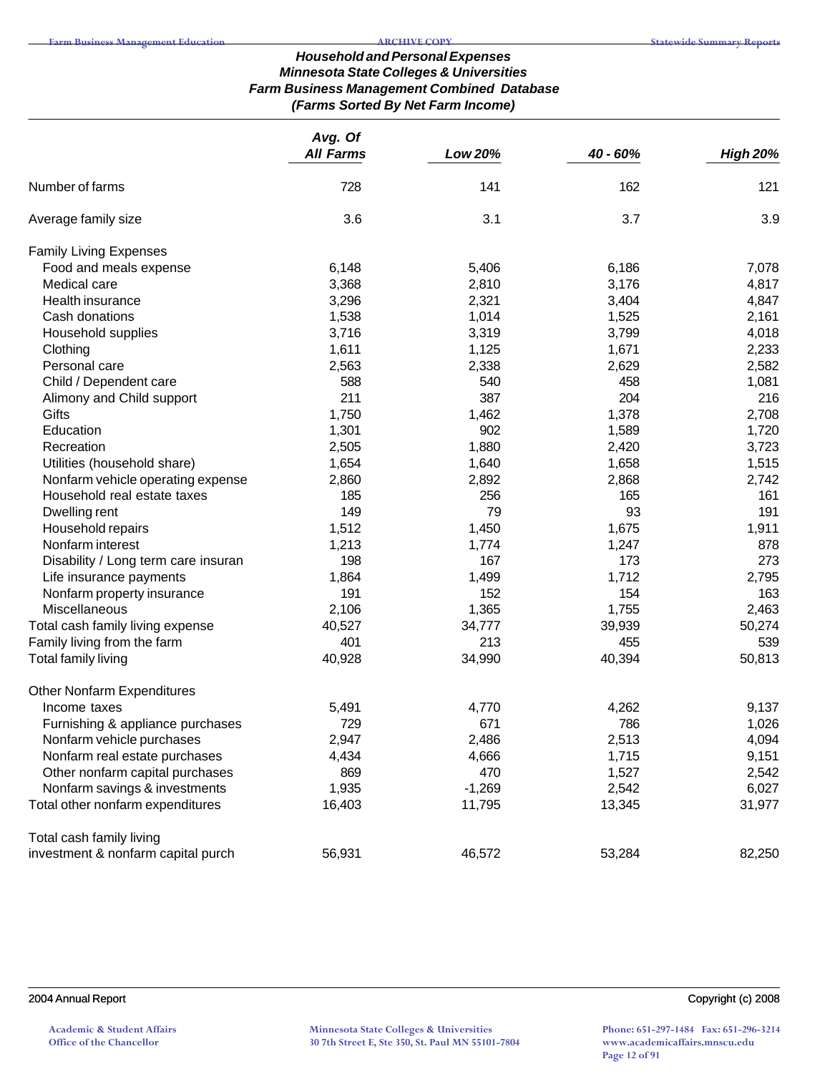## *Household and Personal Expenses Minnesota State Colleges & Universities Farm Business Management Combined Database (Farms Sorted By Net Farm Income)*

|                                     | Avg. Of          |          |          |                 |
|-------------------------------------|------------------|----------|----------|-----------------|
|                                     | <b>All Farms</b> | Low 20%  | 40 - 60% | <b>High 20%</b> |
| Number of farms                     | 728              | 141      | 162      | 121             |
| Average family size                 | 3.6              | 3.1      | 3.7      | 3.9             |
| <b>Family Living Expenses</b>       |                  |          |          |                 |
| Food and meals expense              | 6,148            | 5,406    | 6,186    | 7,078           |
| Medical care                        | 3,368            | 2,810    | 3,176    | 4,817           |
| Health insurance                    | 3,296            | 2,321    | 3,404    | 4,847           |
| Cash donations                      | 1,538            | 1,014    | 1,525    | 2,161           |
| Household supplies                  | 3,716            | 3,319    | 3,799    | 4,018           |
| Clothing                            | 1,611            | 1,125    | 1,671    | 2,233           |
| Personal care                       | 2,563            | 2,338    | 2,629    | 2,582           |
| Child / Dependent care              | 588              | 540      | 458      | 1,081           |
| Alimony and Child support           | 211              | 387      | 204      | 216             |
| Gifts                               | 1,750            | 1,462    | 1,378    | 2,708           |
| Education                           | 1,301            | 902      | 1,589    | 1,720           |
| Recreation                          | 2,505            | 1,880    | 2,420    | 3,723           |
| Utilities (household share)         | 1,654            | 1,640    | 1,658    | 1,515           |
| Nonfarm vehicle operating expense   | 2,860            | 2,892    | 2,868    | 2,742           |
| Household real estate taxes         | 185              | 256      | 165      | 161             |
| Dwelling rent                       | 149              | 79       | 93       | 191             |
| Household repairs                   | 1,512            | 1,450    | 1,675    | 1,911           |
| Nonfarm interest                    | 1,213            | 1,774    | 1,247    | 878             |
| Disability / Long term care insuran | 198              | 167      | 173      | 273             |
| Life insurance payments             | 1,864            | 1,499    | 1,712    | 2,795           |
| Nonfarm property insurance          | 191              | 152      | 154      | 163             |
| Miscellaneous                       | 2,106            | 1,365    | 1,755    | 2,463           |
| Total cash family living expense    | 40,527           | 34,777   | 39,939   | 50,274          |
| Family living from the farm         | 401              | 213      | 455      | 539             |
| Total family living                 | 40,928           | 34,990   | 40,394   | 50,813          |
| Other Nonfarm Expenditures          |                  |          |          |                 |
| Income taxes                        | 5,491            | 4,770    | 4,262    | 9,137           |
| Furnishing & appliance purchases    | 729              | 671      | 786      | 1,026           |
| Nonfarm vehicle purchases           | 2,947            | 2,486    | 2,513    | 4,094           |
| Nonfarm real estate purchases       | 4,434            | 4,666    | 1,715    | 9,151           |
| Other nonfarm capital purchases     | 869              | 470      | 1,527    | 2,542           |
| Nonfarm savings & investments       | 1,935            | $-1,269$ | 2,542    | 6,027           |
| Total other nonfarm expenditures    | 16,403           | 11,795   | 13,345   | 31,977          |
| Total cash family living            |                  |          |          |                 |
| investment & nonfarm capital purch  | 56,931           | 46,572   | 53,284   | 82,250          |

## 2004 Annual Report Copyright (c) 2008

**Academic & Student Affairs Office of the Chancellor**

**Phone: 651-297-1484 Fax: 651-296-3214 www.academicaffairs.mnscu.edu Page 12 of 91**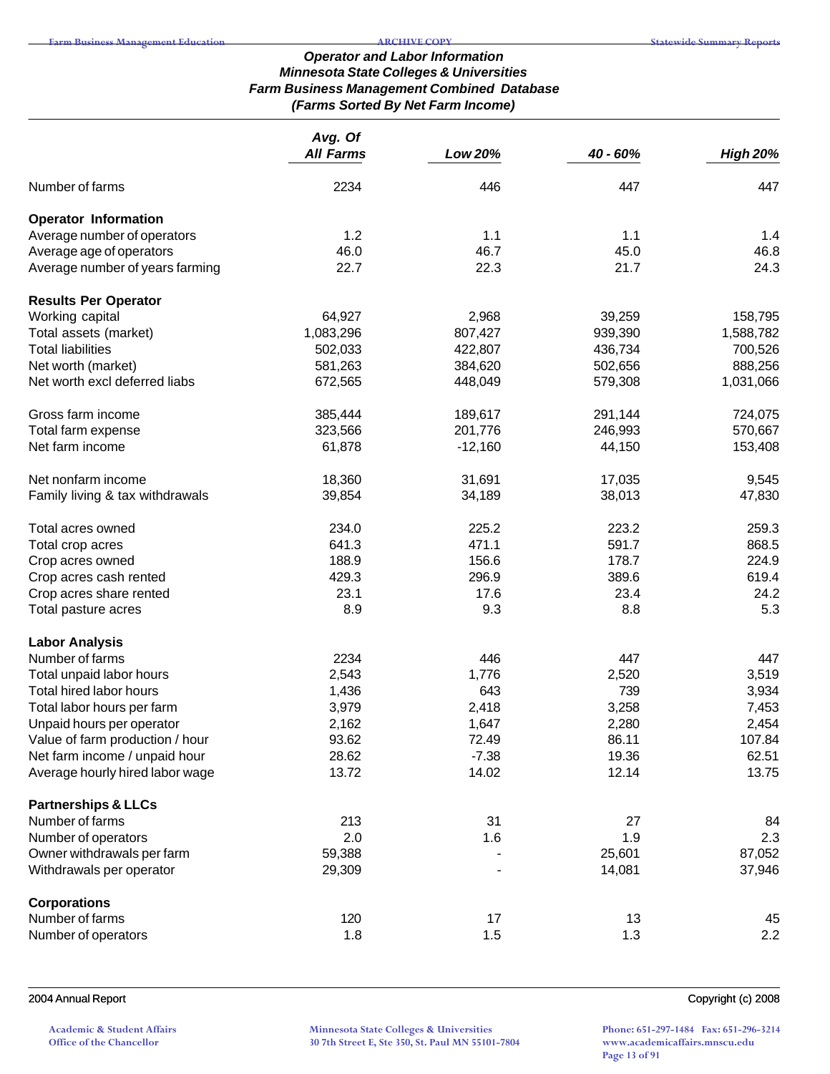### *Operator and Labor Information Minnesota State Colleges & Universities Farm Business Management Combined Database (Farms Sorted By Net Farm Income)*

|                                 | Avg. Of          |           |          |                 |  |
|---------------------------------|------------------|-----------|----------|-----------------|--|
|                                 | <b>All Farms</b> | Low 20%   | 40 - 60% | <b>High 20%</b> |  |
| Number of farms                 | 2234             | 446       | 447      | 447             |  |
| <b>Operator Information</b>     |                  |           |          |                 |  |
| Average number of operators     | 1.2              | 1.1       | 1.1      | 1.4             |  |
| Average age of operators        | 46.0             | 46.7      | 45.0     | 46.8            |  |
| Average number of years farming | 22.7             | 22.3      | 21.7     | 24.3            |  |
| <b>Results Per Operator</b>     |                  |           |          |                 |  |
| Working capital                 | 64,927           | 2,968     | 39,259   | 158,795         |  |
| Total assets (market)           | 1,083,296        | 807,427   | 939,390  | 1,588,782       |  |
| <b>Total liabilities</b>        | 502,033          | 422,807   | 436,734  | 700,526         |  |
| Net worth (market)              | 581,263          | 384,620   | 502,656  | 888,256         |  |
| Net worth excl deferred liabs   | 672,565          | 448,049   | 579,308  | 1,031,066       |  |
| Gross farm income               | 385,444          | 189,617   | 291,144  | 724,075         |  |
| Total farm expense              | 323,566          | 201,776   | 246,993  | 570,667         |  |
| Net farm income                 | 61,878           | $-12,160$ | 44,150   | 153,408         |  |
| Net nonfarm income              | 18,360           | 31,691    | 17,035   | 9,545           |  |
| Family living & tax withdrawals | 39,854           | 34,189    | 38,013   | 47,830          |  |
| Total acres owned               | 234.0            | 225.2     | 223.2    | 259.3           |  |
| Total crop acres                | 641.3            | 471.1     | 591.7    | 868.5           |  |
| Crop acres owned                | 188.9            | 156.6     | 178.7    | 224.9           |  |
| Crop acres cash rented          | 429.3            | 296.9     | 389.6    | 619.4           |  |
| Crop acres share rented         | 23.1             | 17.6      | 23.4     | 24.2            |  |
| Total pasture acres             | 8.9              | 9.3       | 8.8      | 5.3             |  |
| <b>Labor Analysis</b>           |                  |           |          |                 |  |
| Number of farms                 | 2234             | 446       | 447      | 447             |  |
| Total unpaid labor hours        | 2,543            | 1,776     | 2,520    | 3,519           |  |
| Total hired labor hours         | 1,436            | 643       | 739      | 3,934           |  |
| Total labor hours per farm      | 3,979            | 2,418     | 3,258    | 7,453           |  |
| Unpaid hours per operator       | 2,162            | 1,647     | 2,280    | 2,454           |  |
| Value of farm production / hour | 93.62            | 72.49     | 86.11    | 107.84          |  |
| Net farm income / unpaid hour   | 28.62            | $-7.38$   | 19.36    | 62.51           |  |
| Average hourly hired labor wage | 13.72            | 14.02     | 12.14    | 13.75           |  |
| <b>Partnerships &amp; LLCs</b>  |                  |           |          |                 |  |
| Number of farms                 | 213              | 31        | 27       | 84              |  |
| Number of operators             | 2.0              | 1.6       | 1.9      | 2.3             |  |
| Owner withdrawals per farm      | 59,388           |           | 25,601   | 87,052          |  |
| Withdrawals per operator        | 29,309           |           | 14,081   | 37,946          |  |
| <b>Corporations</b>             |                  |           |          |                 |  |
| Number of farms                 | 120              | 17        | 13       | 45              |  |
| Number of operators             | 1.8              | 1.5       | 1.3      | 2.2             |  |

**Academic & Student Affairs Office of the Chancellor**

**Minnesota State Colleges & Universities 30 7th Street E, Ste 350, St. Paul MN 55101-7804**

**Phone: 651-297-1484 Fax: 651-296-3214 www.academicaffairs.mnscu.edu Page 13 of 91**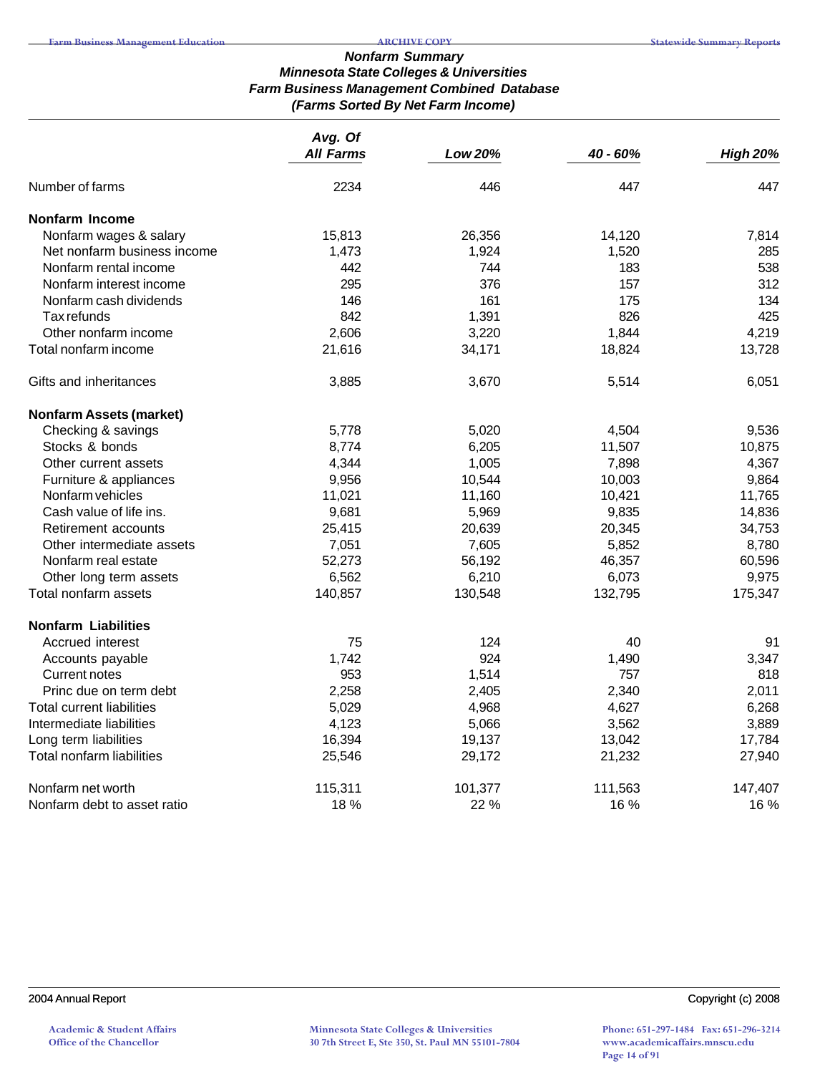### *Nonfarm Summary Minnesota State Colleges & Universities Farm Business Management Combined Database (Farms Sorted By Net Farm Income)*

|                                | Avg. Of<br><b>All Farms</b> | Low 20% | 40 - 60% | <b>High 20%</b> |
|--------------------------------|-----------------------------|---------|----------|-----------------|
|                                |                             |         |          |                 |
| Number of farms                | 2234                        | 446     | 447      | 447             |
| Nonfarm Income                 |                             |         |          |                 |
| Nonfarm wages & salary         | 15,813                      | 26,356  | 14,120   | 7,814           |
| Net nonfarm business income    | 1,473                       | 1,924   | 1,520    | 285             |
| Nonfarm rental income          | 442                         | 744     | 183      | 538             |
| Nonfarm interest income        | 295                         | 376     | 157      | 312             |
| Nonfarm cash dividends         | 146                         | 161     | 175      | 134             |
| Tax refunds                    | 842                         | 1,391   | 826      | 425             |
| Other nonfarm income           | 2,606                       | 3,220   | 1,844    | 4,219           |
| Total nonfarm income           | 21,616                      | 34,171  | 18,824   | 13,728          |
| Gifts and inheritances         | 3,885                       | 3,670   | 5,514    | 6,051           |
| <b>Nonfarm Assets (market)</b> |                             |         |          |                 |
| Checking & savings             | 5,778                       | 5,020   | 4,504    | 9,536           |
| Stocks & bonds                 | 8,774                       | 6,205   | 11,507   | 10,875          |
| Other current assets           | 4,344                       | 1,005   | 7,898    | 4,367           |
| Furniture & appliances         | 9,956                       | 10,544  | 10,003   | 9,864           |
| Nonfarm vehicles               | 11,021                      | 11,160  | 10,421   | 11,765          |
| Cash value of life ins.        | 9,681                       | 5,969   | 9,835    | 14,836          |
| Retirement accounts            | 25,415                      | 20,639  | 20,345   | 34,753          |
| Other intermediate assets      | 7,051                       | 7,605   | 5,852    | 8,780           |
| Nonfarm real estate            | 52,273                      | 56,192  | 46,357   | 60,596          |
| Other long term assets         | 6,562                       | 6,210   | 6,073    | 9,975           |
| Total nonfarm assets           | 140,857                     | 130,548 | 132,795  | 175,347         |
| <b>Nonfarm Liabilities</b>     |                             |         |          |                 |
| Accrued interest               | 75                          | 124     | 40       | 91              |
| Accounts payable               | 1,742                       | 924     | 1,490    | 3,347           |
| <b>Current notes</b>           | 953                         | 1,514   | 757      | 818             |
| Princ due on term debt         | 2,258                       | 2,405   | 2,340    | 2,011           |
| Total current liabilities      | 5,029                       | 4,968   | 4,627    | 6,268           |
| Intermediate liabilities       | 4,123                       | 5,066   | 3,562    | 3,889           |
| Long term liabilities          | 16,394                      | 19,137  | 13,042   | 17,784          |
| Total nonfarm liabilities      | 25,546                      | 29,172  | 21,232   | 27,940          |
| Nonfarm net worth              | 115,311                     | 101,377 | 111,563  | 147,407         |
| Nonfarm debt to asset ratio    | 18 %                        | 22 %    | 16 %     | 16 %            |

## 2004 Annual Report Copyright (c) 2008

**Academic & Student Affairs Office of the Chancellor**

**Phone: 651-297-1484 Fax: 651-296-3214 www.academicaffairs.mnscu.edu Page 14 of 91**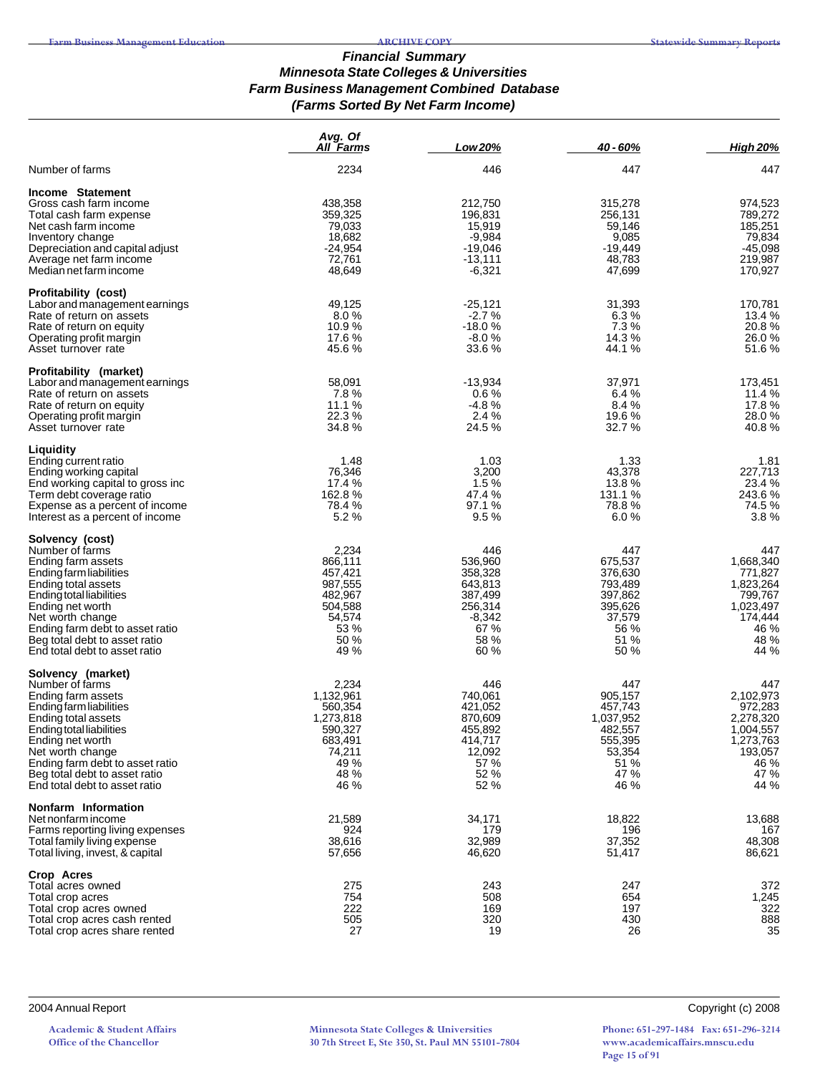#### *Financial Summary Minnesota State Colleges & Universities Farm Business Management Combined Database (Farms Sorted By Net Farm Income)*

|                                                                                                                                                                                                                                                                                     | Avg. Of<br>All Farms                                                                               | Low 20%                                                                                        | 40 - 60%                                                                                       | <b>High 20%</b>                                                                                       |
|-------------------------------------------------------------------------------------------------------------------------------------------------------------------------------------------------------------------------------------------------------------------------------------|----------------------------------------------------------------------------------------------------|------------------------------------------------------------------------------------------------|------------------------------------------------------------------------------------------------|-------------------------------------------------------------------------------------------------------|
| Number of farms                                                                                                                                                                                                                                                                     | 2234                                                                                               | 446                                                                                            | 447                                                                                            | 447                                                                                                   |
| Income Statement<br>Gross cash farm income<br>Total cash farm expense<br>Net cash farm income<br>Inventory change<br>Depreciation and capital adjust<br>Average net farm income<br>Median net farm income                                                                           | 438,358<br>359,325<br>79,033<br>18,682<br>$-24,954$<br>72,761<br>48,649                            | 212,750<br>196,831<br>15,919<br>$-9,984$<br>$-19,046$<br>$-13,111$<br>$-6,321$                 | 315,278<br>256,131<br>59,146<br>9,085<br>$-19,449$<br>48,783<br>47,699                         | 974,523<br>789,272<br>185,251<br>79,834<br>$-45,098$<br>219,987<br>170,927                            |
| <b>Profitability (cost)</b><br>Labor and management earnings<br>Rate of return on assets<br>Rate of return on equity<br>Operating profit margin<br>Asset turnover rate                                                                                                              | 49,125<br>8.0%<br>10.9%<br>17.6 %<br>45.6 %                                                        | $-25,121$<br>$-2.7%$<br>$-18.0%$<br>$-8.0%$<br>33.6 %                                          | 31,393<br>6.3%<br>7.3%<br>14.3 %<br>44.1%                                                      | 170.781<br>13.4 %<br>20.8%<br>26.0%<br>51.6%                                                          |
| Profitability (market)<br>Labor and management earnings<br>Rate of return on assets<br>Rate of return on equity<br>Operating profit margin<br>Asset turnover rate                                                                                                                   | 58,091<br>7.8%<br>11.1 %<br>22.3%<br>34.8%                                                         | $-13,934$<br>0.6%<br>$-4.8%$<br>2.4 %<br>24.5 %                                                | 37,971<br>6.4%<br>8.4 %<br>19.6%<br>32.7 %                                                     | 173,451<br>11.4 %<br>17.8%<br>28.0%<br>40.8%                                                          |
| Liquidity<br>Ending current ratio<br>Ending working capital<br>End working capital to gross inc<br>Term debt coverage ratio<br>Expense as a percent of income<br>Interest as a percent of income                                                                                    | 1.48<br>76,346<br>17.4 %<br>162.8%<br>78.4%<br>5.2%                                                | 1.03<br>3,200<br>1.5%<br>47.4 %<br>97.1 %<br>9.5%                                              | 1.33<br>43,378<br>13.8%<br>131.1 %<br>78.8%<br>6.0%                                            | 1.81<br>227,713<br>23.4 %<br>243.6 %<br>74.5 %<br>3.8%                                                |
| Solvency (cost)<br>Number of farms<br>Ending farm assets<br>Ending farm liabilities<br>Ending total assets<br>Ending total liabilities<br>Ending net worth<br>Net worth change<br>Ending farm debt to asset ratio<br>Beg total debt to asset ratio<br>End total debt to asset ratio | 2,234<br>866,111<br>457,421<br>987,555<br>482,967<br>504,588<br>54,574<br>53 %<br>50 %<br>49 %     | 446<br>536,960<br>358,328<br>643,813<br>387,499<br>256,314<br>$-8,342$<br>67 %<br>58 %<br>60 % | 447<br>675,537<br>376,630<br>793,489<br>397,862<br>395,626<br>37,579<br>56 %<br>51 %<br>50 %   | 447<br>1,668,340<br>771,827<br>1,823,264<br>799,767<br>1,023,497<br>174,444<br>46 %<br>48 %<br>44 %   |
| Solvency (market)<br>Number of farms<br>Ending farm assets<br>Endingfarmliabilities<br>Ending total assets<br>Ending total liabilities<br>Ending net worth<br>Net worth change<br>Ending farm debt to asset ratio<br>Beg total debt to asset ratio<br>End total debt to asset ratio | 2,234<br>1,132,961<br>560,354<br>1,273,818<br>590,327<br>683,491<br>74,211<br>49 %<br>48 %<br>46 % | 446<br>740,061<br>421,052<br>870,609<br>455,892<br>414,717<br>12,092<br>57 %<br>52 %<br>52 %   | 447<br>905,157<br>457,743<br>1,037,952<br>482,557<br>555,395<br>53,354<br>51 %<br>47 %<br>46 % | 447<br>2,102,973<br>972,283<br>2,278,320<br>1,004,557<br>1,273,763<br>193,057<br>46 %<br>47 %<br>44 % |
| Nonfarm Information<br>Net nonfarm income<br>Farms reporting living expenses<br>Total family living expense<br>Total living, invest, & capital                                                                                                                                      | 21,589<br>924<br>38,616<br>57,656                                                                  | 34,171<br>179<br>32,989<br>46,620                                                              | 18,822<br>196<br>37,352<br>51,417                                                              | 13,688<br>167<br>48,308<br>86,621                                                                     |
| Crop Acres<br>Total acres owned<br>Total crop acres<br>Total crop acres owned<br>Total crop acres cash rented<br>Total crop acres share rented                                                                                                                                      | 275<br>754<br>222<br>505<br>27                                                                     | 243<br>508<br>169<br>320<br>19                                                                 | 247<br>654<br>197<br>430<br>26                                                                 | 372<br>1,245<br>322<br>888<br>35                                                                      |

2004 Annual Report Copyright (c) 2008

**Academic & Student Affairs Office of the Chancellor**

**Minnesota State Colleges & Universities 30 7th Street E, Ste 350, St. Paul MN 55101-7804**

**Phone: 651-297-1484 Fax: 651-296-3214 www.academicaffairs.mnscu.edu Page 15 of 91**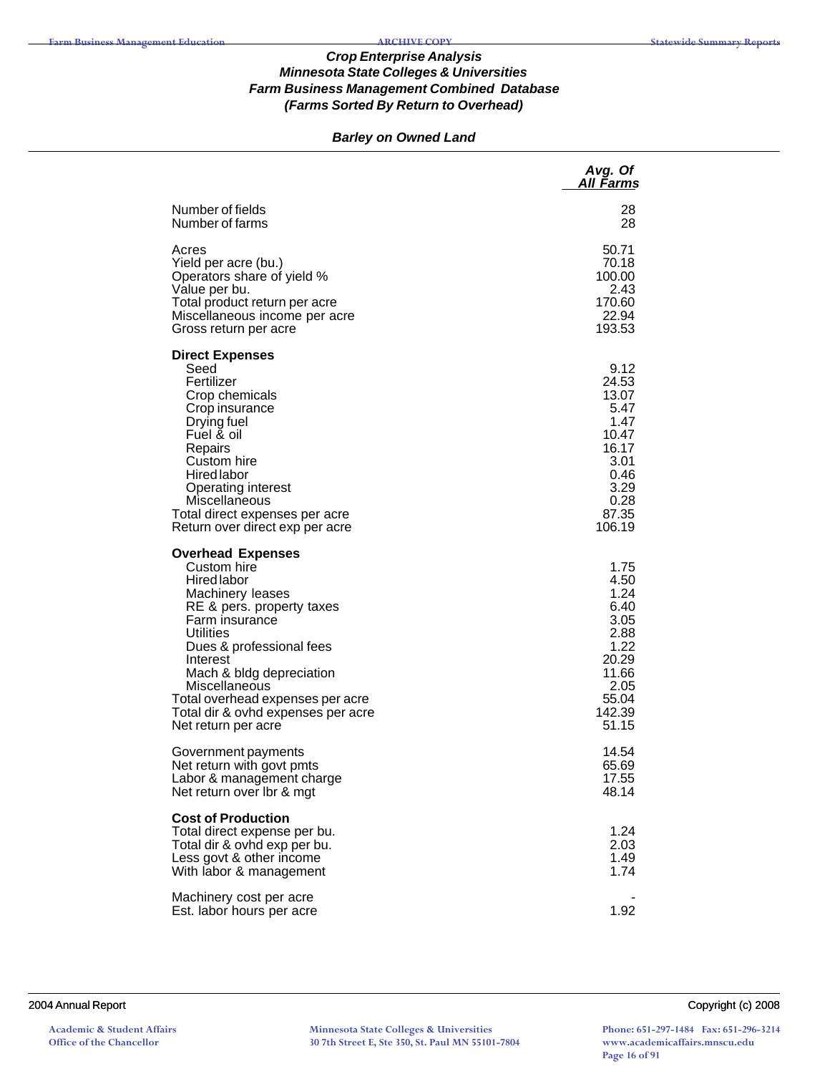## *Barley on Owned Land*

|                                                                                                                                                                                                                                                                                                                              | Avg. Of<br>All Farms                                                                                        |
|------------------------------------------------------------------------------------------------------------------------------------------------------------------------------------------------------------------------------------------------------------------------------------------------------------------------------|-------------------------------------------------------------------------------------------------------------|
| Number of fields<br>Number of farms                                                                                                                                                                                                                                                                                          | 28<br>28                                                                                                    |
| Acres<br>Yield per acre (bu.)<br>Operators share of yield %<br>Value per bu.<br>Total product return per acre<br>Miscellaneous income per acre<br>Gross return per acre                                                                                                                                                      | 50.71<br>70.18<br>100.00<br>2.43<br>170.60<br>22.94<br>193.53                                               |
| <b>Direct Expenses</b><br>Seed<br>Fertilizer<br>Crop chemicals<br>Crop insurance<br>Drying fuel<br>Fuel & oil<br>Repairs<br>Custom hire<br><b>Hired labor</b><br>Operating interest<br><b>Miscellaneous</b><br>Total direct expenses per acre<br>Return over direct exp per acre                                             | 9.12<br>24.53<br>13.07<br>5.47<br>1.47<br>10.47<br>16.17<br>3.01<br>0.46<br>3.29<br>0.28<br>87.35<br>106.19 |
| <b>Overhead Expenses</b><br>Custom hire<br>Hired labor<br>Machinery leases<br>RE & pers. property taxes<br>Farm insurance<br>Utilities<br>Dues & professional fees<br>Interest<br>Mach & bldg depreciation<br>Miscellaneous<br>Total overhead expenses per acre<br>Total dir & ovhd expenses per acre<br>Net return per acre | 1.75<br>4.50<br>1.24<br>6.40<br>3.05<br>2.88<br>1.22<br>20.29<br>11.66<br>2.05<br>55.04<br>142.39<br>51.15  |
| Government payments<br>Net return with govt pmts<br>Labor & management charge<br>Net return over Ibr & mgt                                                                                                                                                                                                                   | 14.54<br>65.69<br>17.55<br>48.14                                                                            |
| <b>Cost of Production</b><br>Total direct expense per bu.<br>Total dir & ovhd exp per bu.<br>Less govt & other income<br>With labor & management                                                                                                                                                                             | 1.24<br>2.03<br>1.49<br>1.74                                                                                |
| Machinery cost per acre<br>Est. labor hours per acre                                                                                                                                                                                                                                                                         | 1.92                                                                                                        |

#### 2004 Annual Report Copyright (c) 2008

**Minnesota State Colleges & Universities 30 7th Street E, Ste 350, St. Paul MN 55101-7804** **Phone: 651-297-1484 Fax: 651-296-3214 www.academicaffairs.mnscu.edu Page 16 of 91**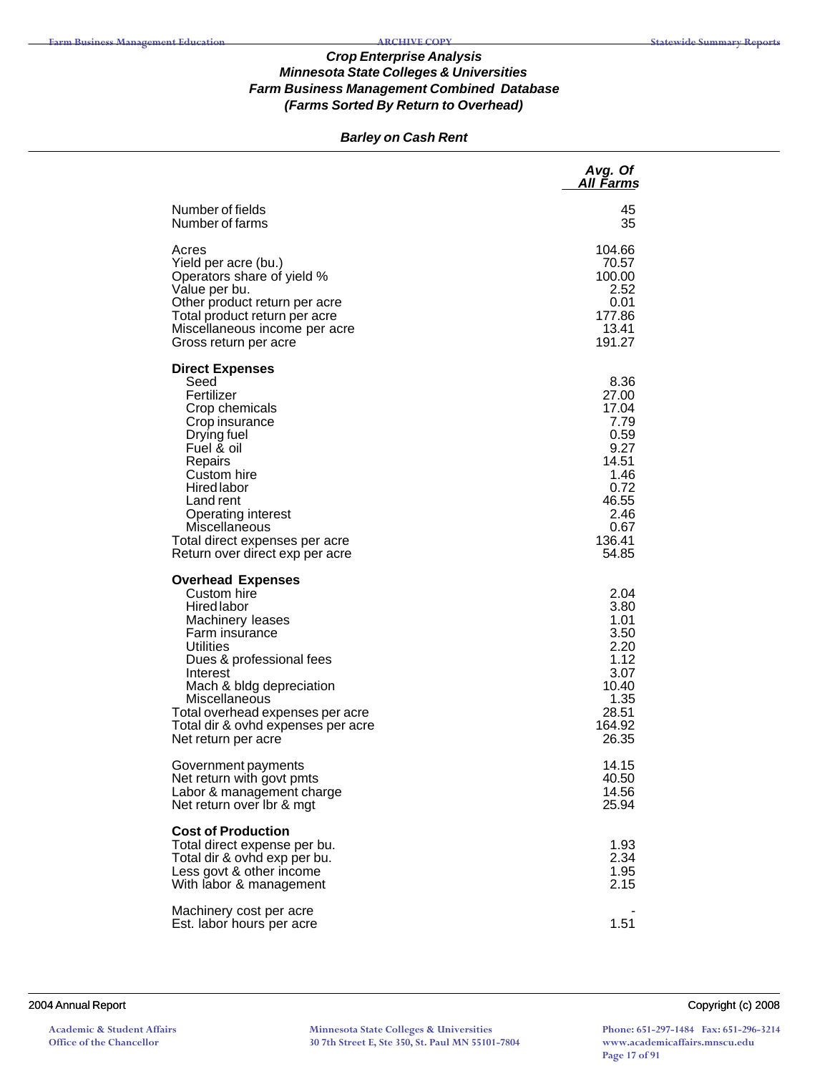## *Barley on Cash Rent*

|                                                                                                                                                                                                                                                                                                        | Avg. Of<br>All Farms                                                                                                |
|--------------------------------------------------------------------------------------------------------------------------------------------------------------------------------------------------------------------------------------------------------------------------------------------------------|---------------------------------------------------------------------------------------------------------------------|
| Number of fields<br>Number of farms                                                                                                                                                                                                                                                                    | 45<br>35                                                                                                            |
| Acres<br>Yield per acre (bu.)<br>Operators share of yield %<br>Value per bu.<br>Other product return per acre<br>Total product return per acre<br>Miscellaneous income per acre<br>Gross return per acre                                                                                               | 104.66<br>70.57<br>100.00<br>2.52<br>0.01<br>177.86<br>13.41<br>191.27                                              |
| <b>Direct Expenses</b><br>Seed<br>Fertilizer<br>Crop chemicals<br>Crop insurance<br>Drying fuel<br>Fuel & oil<br>Repairs<br>Custom hire<br><b>Hired labor</b><br>Land rent<br><b>Operating interest</b><br>Miscellaneous<br>Total direct expenses per acre<br>Return over direct exp per acre          | 8.36<br>27.00<br>17.04<br>7.79<br>0.59<br>9.27<br>14.51<br>1.46<br>0.72<br>46.55<br>2.46<br>0.67<br>136.41<br>54.85 |
| <b>Overhead Expenses</b><br>Custom hire<br><b>Hired labor</b><br>Machinery leases<br>Farm insurance<br>Utilities<br>Dues & professional fees<br>Interest<br>Mach & bldg depreciation<br>Miscellaneous<br>Total overhead expenses per acre<br>Total dir & ovhd expenses per acre<br>Net return per acre | 2.04<br>3.80<br>1.01<br>3.50<br>2.20<br>1.12<br>3.07<br>10.40<br>1.35<br>28.51<br>164.92<br>26.35                   |
| Government payments<br>Net return with govt pmts<br>Labor & management charge<br>Net return over Ibr & mgt                                                                                                                                                                                             | 14.15<br>40.50<br>14.56<br>25.94                                                                                    |
| <b>Cost of Production</b><br>Total direct expense per bu.<br>Total dir & ovhd exp per bu.<br>Less govt & other income<br>With labor & management                                                                                                                                                       | 1.93<br>2.34<br>1.95<br>2.15                                                                                        |
| Machinery cost per acre<br>Est. labor hours per acre                                                                                                                                                                                                                                                   | 1.51                                                                                                                |

#### 2004 Annual Report Copyright (c) 2008

**Minnesota State Colleges & Universities 30 7th Street E, Ste 350, St. Paul MN 55101-7804**

**Phone: 651-297-1484 Fax: 651-296-3214 www.academicaffairs.mnscu.edu Page 17 of 91**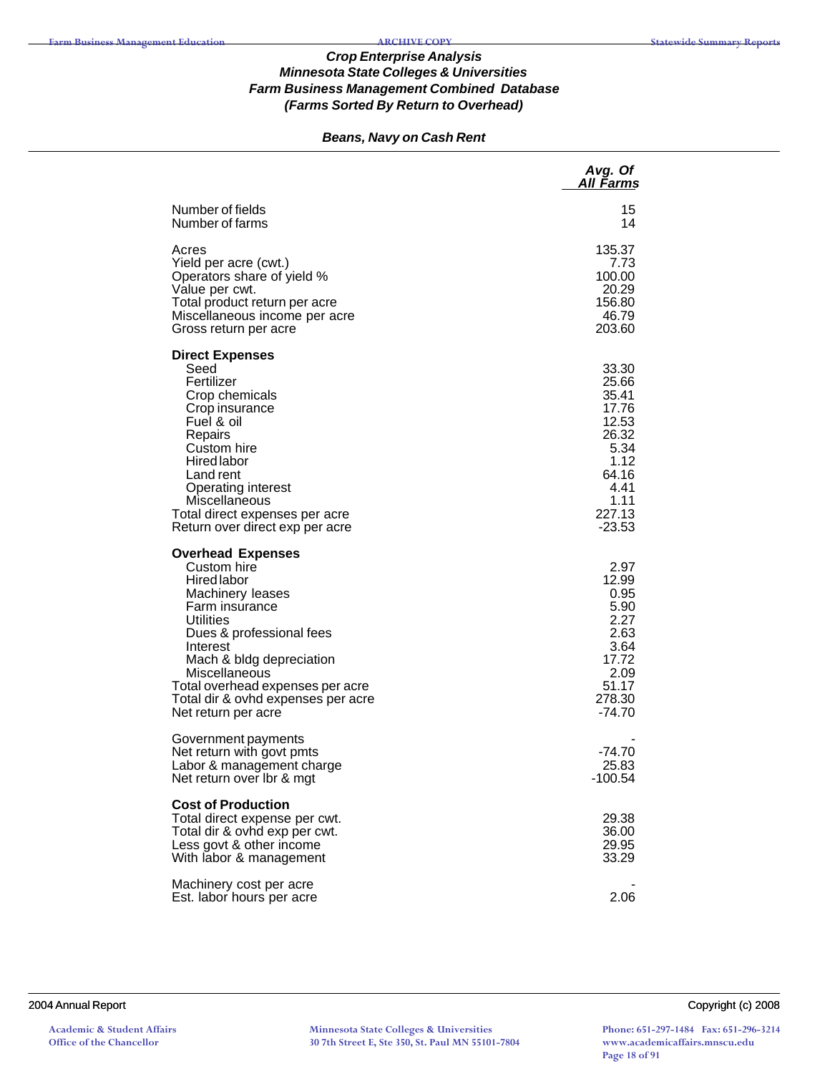# *Beans, Navy on Cash Rent*

|                                                                                                                                                                                                                                                                                                 | Avg. Of<br>All Farms                                                                                              |
|-------------------------------------------------------------------------------------------------------------------------------------------------------------------------------------------------------------------------------------------------------------------------------------------------|-------------------------------------------------------------------------------------------------------------------|
| Number of fields<br>Number of farms                                                                                                                                                                                                                                                             | 15<br>14                                                                                                          |
| Acres<br>Yield per acre (cwt.)<br>Operators share of yield %<br>Value per cwt.<br>Total product return per acre<br>Miscellaneous income per acre<br>Gross return per acre                                                                                                                       | 135.37<br>7.73<br>100.00<br>20.29<br>156.80<br>46.79<br>203.60                                                    |
| <b>Direct Expenses</b><br>Seed<br>Fertilizer<br>Crop chemicals<br>Crop insurance<br>Fuel & oil<br>Repairs<br>Custom hire<br><b>Hired labor</b><br>Land rent<br><b>Operating interest</b><br>Miscellaneous<br>Total direct expenses per acre<br>Return over direct exp per acre                  | 33.30<br>25.66<br>35.41<br>17.76<br>12.53<br>26.32<br>5.34<br>1.12<br>64.16<br>4.41<br>1.11<br>227.13<br>$-23.53$ |
| <b>Overhead Expenses</b><br>Custom hire<br>Hired labor<br>Machinery leases<br>Farm insurance<br>Utilities<br>Dues & professional fees<br>Interest<br>Mach & bldg depreciation<br>Miscellaneous<br>Total overhead expenses per acre<br>Total dir & ovhd expenses per acre<br>Net return per acre | 2.97<br>12.99<br>0.95<br>5.90<br>2.27<br>2.63<br>3.64<br>17.72<br>2.09<br>51.17<br>278.30<br>-74.70               |
| Government payments<br>Net return with govt pmts<br>Labor & management charge<br>Net return over Ibr & mgt                                                                                                                                                                                      | -74.70<br>25.83<br>$-100.54$                                                                                      |
| <b>Cost of Production</b><br>Total direct expense per cwt.<br>Total dir & ovhd exp per cwt.<br>Less govt & other income<br>With labor & management                                                                                                                                              | 29.38<br>36.00<br>29.95<br>33.29                                                                                  |
| Machinery cost per acre<br>Est. labor hours per acre                                                                                                                                                                                                                                            | 2.06                                                                                                              |

**Phone: 651-297-1484 Fax: 651-296-3214 www.academicaffairs.mnscu.edu Page 18 of 91**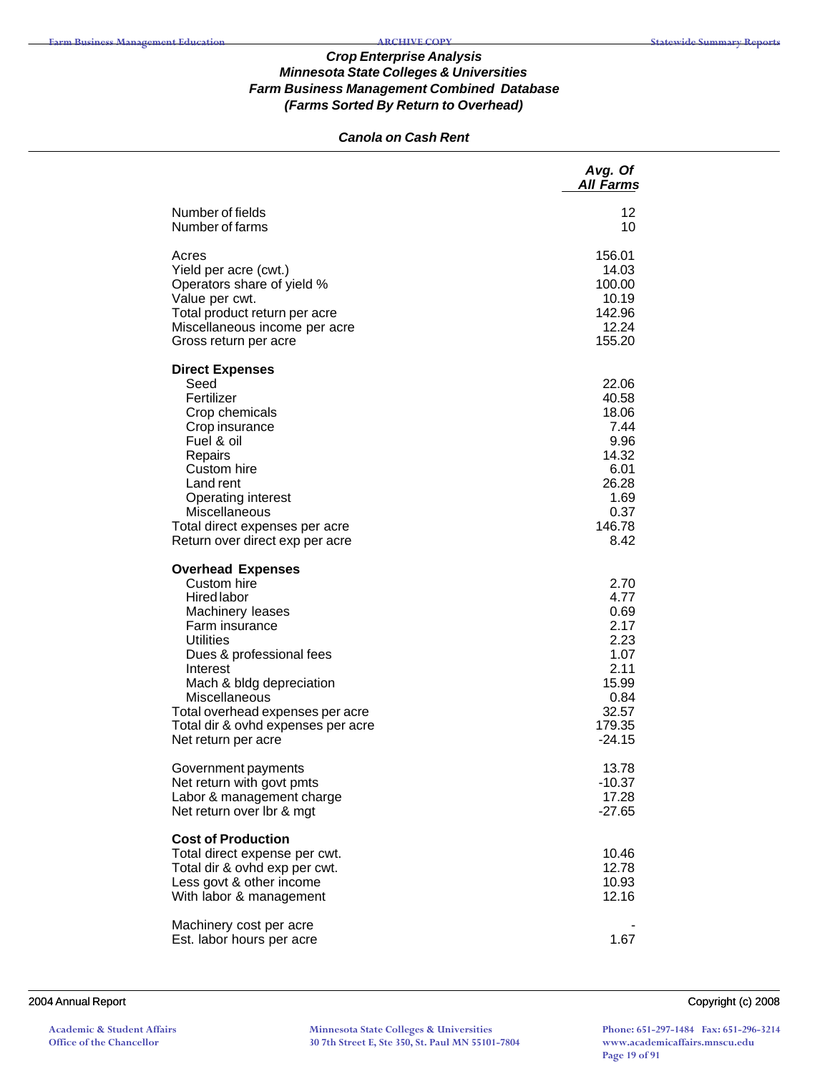## *Canola on Cash Rent*

|                                                                                                                                                                                                                                                                                                                      | Avg. Of<br><b>All Farms</b>                                                                          |
|----------------------------------------------------------------------------------------------------------------------------------------------------------------------------------------------------------------------------------------------------------------------------------------------------------------------|------------------------------------------------------------------------------------------------------|
| Number of fields<br>Number of farms                                                                                                                                                                                                                                                                                  | 12<br>10                                                                                             |
| Acres<br>Yield per acre (cwt.)<br>Operators share of yield %<br>Value per cwt.<br>Total product return per acre<br>Miscellaneous income per acre<br>Gross return per acre                                                                                                                                            | 156.01<br>14.03<br>100.00<br>10.19<br>142.96<br>12.24<br>155.20                                      |
| <b>Direct Expenses</b><br>Seed<br>Fertilizer<br>Crop chemicals<br>Crop insurance<br>Fuel & oil<br>Repairs<br>Custom hire<br>Land rent<br><b>Operating interest</b><br>Miscellaneous<br>Total direct expenses per acre<br>Return over direct exp per acre                                                             | 22.06<br>40.58<br>18.06<br>7.44<br>9.96<br>14.32<br>6.01<br>26.28<br>1.69<br>0.37<br>146.78<br>8.42  |
| <b>Overhead Expenses</b><br>Custom hire<br><b>Hired labor</b><br>Machinery leases<br>Farm insurance<br><b>Utilities</b><br>Dues & professional fees<br>Interest<br>Mach & bldg depreciation<br><b>Miscellaneous</b><br>Total overhead expenses per acre<br>Total dir & ovhd expenses per acre<br>Net return per acre | 2.70<br>4.77<br>0.69<br>2.17<br>2.23<br>1.07<br>2.11<br>15.99<br>0.84<br>32.57<br>179.35<br>$-24.15$ |
| Government payments<br>Net return with govt pmts<br>Labor & management charge<br>Net return over Ibr & mgt                                                                                                                                                                                                           | 13.78<br>$-10.37$<br>17.28<br>$-27.65$                                                               |
| <b>Cost of Production</b><br>Total direct expense per cwt.<br>Total dir & ovhd exp per cwt.<br>Less govt & other income<br>With labor & management                                                                                                                                                                   | 10.46<br>12.78<br>10.93<br>12.16                                                                     |
| Machinery cost per acre<br>Est. labor hours per acre                                                                                                                                                                                                                                                                 | 1.67                                                                                                 |

#### 2004 Annual Report Copyright (c) 2008

**Academic & Student Affairs Office of the Chancellor**

**Minnesota State Colleges & Universities 30 7th Street E, Ste 350, St. Paul MN 55101-7804**

**Phone: 651-297-1484 Fax: 651-296-3214 www.academicaffairs.mnscu.edu Page 19 of 91**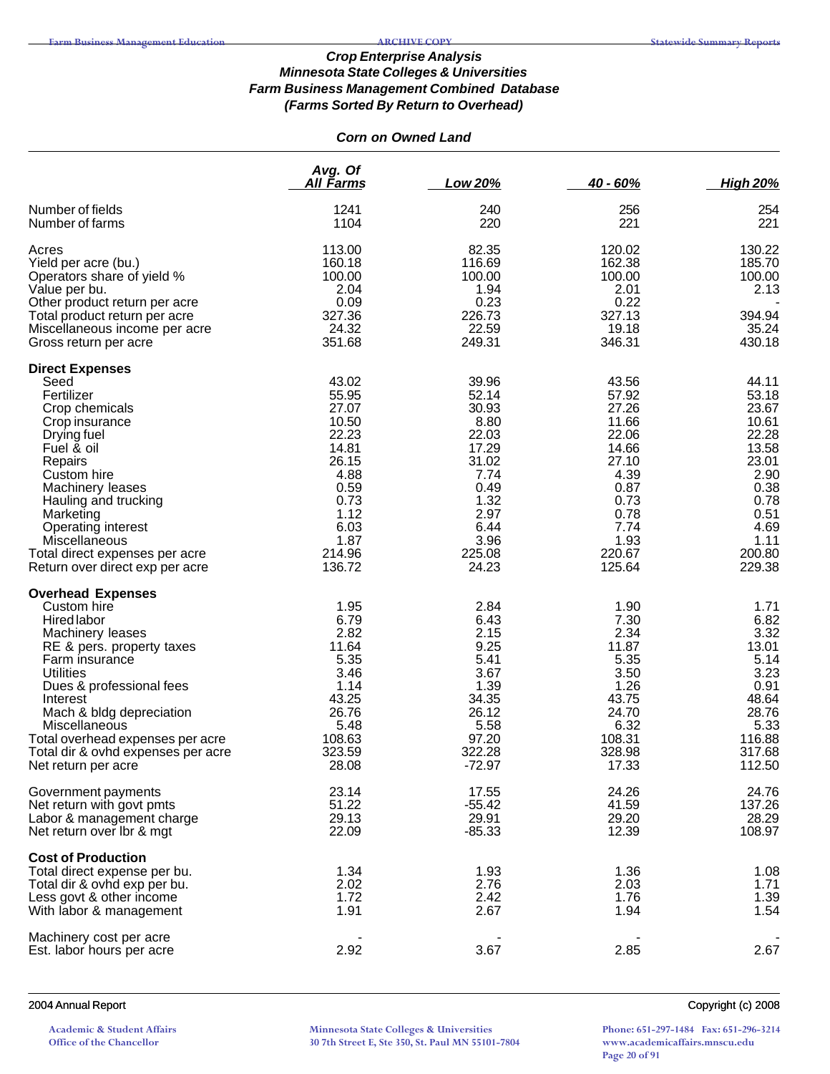#### *Corn on Owned Land*

|                                                                                                                                                                                                                                                                                                                                     | Avg. Of<br><u>All Farms</u>                                                                                                     | Low 20%                                                                                                                       | $40 - 60%$                                                                                                                      | <b>High 20%</b>                                                                                                                 |
|-------------------------------------------------------------------------------------------------------------------------------------------------------------------------------------------------------------------------------------------------------------------------------------------------------------------------------------|---------------------------------------------------------------------------------------------------------------------------------|-------------------------------------------------------------------------------------------------------------------------------|---------------------------------------------------------------------------------------------------------------------------------|---------------------------------------------------------------------------------------------------------------------------------|
| Number of fields<br>Number of farms                                                                                                                                                                                                                                                                                                 | 1241<br>1104                                                                                                                    | 240<br>220                                                                                                                    | 256<br>221                                                                                                                      | 254<br>221                                                                                                                      |
| Acres<br>Yield per acre (bu.)<br>Operators share of yield %<br>Value per bu.<br>Other product return per acre<br>Total product return per acre<br>Miscellaneous income per acre<br>Gross return per acre                                                                                                                            | 113.00<br>160.18<br>100.00<br>2.04<br>0.09<br>327.36<br>24.32<br>351.68                                                         | 82.35<br>116.69<br>100.00<br>1.94<br>0.23<br>226.73<br>22.59<br>249.31                                                        | 120.02<br>162.38<br>100.00<br>2.01<br>0.22<br>327.13<br>19.18<br>346.31                                                         | 130.22<br>185.70<br>100.00<br>2.13<br>394.94<br>35.24<br>430.18                                                                 |
| <b>Direct Expenses</b><br>Seed<br>Fertilizer<br>Crop chemicals<br>Crop insurance<br>Drying fuel<br>Fuel & oil<br>Repairs<br>Custom hire<br>Machinery leases<br>Hauling and trucking<br>Marketing<br>Operating interest<br>Miscellaneous<br>Total direct expenses per acre<br>Return over direct exp per acre                        | 43.02<br>55.95<br>27.07<br>10.50<br>22.23<br>14.81<br>26.15<br>4.88<br>0.59<br>0.73<br>1.12<br>6.03<br>1.87<br>214.96<br>136.72 | 39.96<br>52.14<br>30.93<br>8.80<br>22.03<br>17.29<br>31.02<br>7.74<br>0.49<br>1.32<br>2.97<br>6.44<br>3.96<br>225.08<br>24.23 | 43.56<br>57.92<br>27.26<br>11.66<br>22.06<br>14.66<br>27.10<br>4.39<br>0.87<br>0.73<br>0.78<br>7.74<br>1.93<br>220.67<br>125.64 | 44.11<br>53.18<br>23.67<br>10.61<br>22.28<br>13.58<br>23.01<br>2.90<br>0.38<br>0.78<br>0.51<br>4.69<br>1.11<br>200.80<br>229.38 |
| <b>Overhead Expenses</b><br>Custom hire<br>Hired labor<br>Machinery leases<br>RE & pers. property taxes<br>Farm insurance<br><b>Utilities</b><br>Dues & professional fees<br>Interest<br>Mach & bldg depreciation<br>Miscellaneous<br>Total overhead expenses per acre<br>Total dir & ovhd expenses per acre<br>Net return per acre | 1.95<br>6.79<br>2.82<br>11.64<br>5.35<br>3.46<br>1.14<br>43.25<br>26.76<br>5.48<br>108.63<br>323.59<br>28.08                    | 2.84<br>6.43<br>2.15<br>9.25<br>5.41<br>3.67<br>1.39<br>34.35<br>26.12<br>5.58<br>97.20<br>322.28<br>$-72.97$                 | 1.90<br>7.30<br>2.34<br>11.87<br>5.35<br>3.50<br>1.26<br>43.75<br>24.70<br>6.32<br>108.31<br>328.98<br>17.33                    | 1.71<br>6.82<br>3.32<br>13.01<br>5.14<br>3.23<br>0.91<br>48.64<br>28.76<br>5.33<br>116.88<br>317.68<br>112.50                   |
| Government payments<br>Net return with govt pmts<br>Labor & management charge<br>Net return over Ibr & mgt                                                                                                                                                                                                                          | 23.14<br>51.22<br>29.13<br>22.09                                                                                                | 17.55<br>$-55.42$<br>29.91<br>$-85.33$                                                                                        | 24.26<br>41.59<br>29.20<br>12.39                                                                                                | 24.76<br>137.26<br>28.29<br>108.97                                                                                              |
| <b>Cost of Production</b><br>Total direct expense per bu.<br>Total dir & ovhd exp per bu.<br>Less govt & other income<br>With labor & management                                                                                                                                                                                    | 1.34<br>2.02<br>1.72<br>1.91                                                                                                    | 1.93<br>2.76<br>2.42<br>2.67                                                                                                  | 1.36<br>2.03<br>1.76<br>1.94                                                                                                    | 1.08<br>1.71<br>1.39<br>1.54                                                                                                    |
| Machinery cost per acre<br>Est. labor hours per acre                                                                                                                                                                                                                                                                                | 2.92                                                                                                                            | 3.67                                                                                                                          | 2.85                                                                                                                            | 2.67                                                                                                                            |

2004 Annual Report Copyright (c) 2008

**Academic & Student Affairs Office of the Chancellor**

**Minnesota State Colleges & Universities 30 7th Street E, Ste 350, St. Paul MN 55101-7804**

**Phone: 651-297-1484 Fax: 651-296-3214 www.academicaffairs.mnscu.edu Page 20 of 91**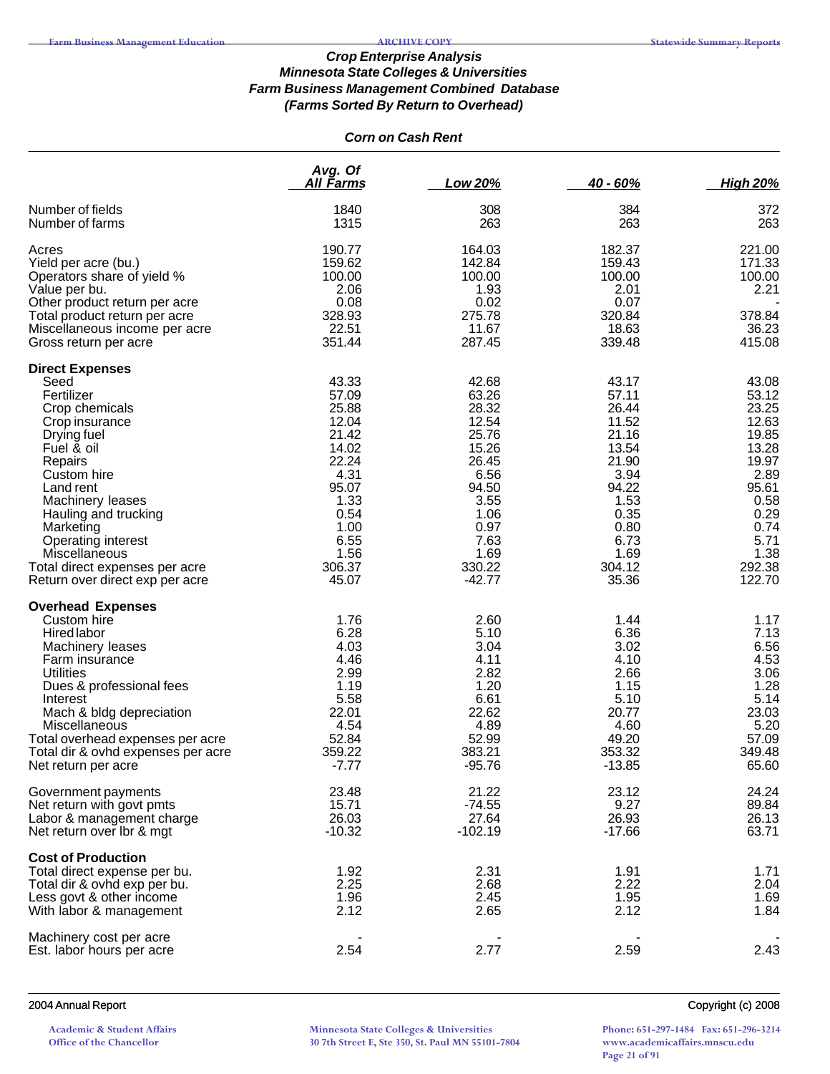## *Corn on Cash Rent*

|                                                                                                                                                                                                                                                                                                                           | Avg. Of<br><b>All Farms</b>                                                                                                             | Low 20%                                                                                                                                    | $40 - 60%$                                                                                                                              | <b>High 20%</b>                                                                                                                          |
|---------------------------------------------------------------------------------------------------------------------------------------------------------------------------------------------------------------------------------------------------------------------------------------------------------------------------|-----------------------------------------------------------------------------------------------------------------------------------------|--------------------------------------------------------------------------------------------------------------------------------------------|-----------------------------------------------------------------------------------------------------------------------------------------|------------------------------------------------------------------------------------------------------------------------------------------|
| Number of fields<br>Number of farms                                                                                                                                                                                                                                                                                       | 1840<br>1315                                                                                                                            | 308<br>263                                                                                                                                 | 384<br>263                                                                                                                              | 372<br>263                                                                                                                               |
| Acres<br>Yield per acre (bu.)<br>Operators share of yield %<br>Value per bu.<br>Other product return per acre<br>Total product return per acre<br>Miscellaneous income per acre<br>Gross return per acre                                                                                                                  | 190.77<br>159.62<br>100.00<br>2.06<br>0.08<br>328.93<br>22.51<br>351.44                                                                 | 164.03<br>142.84<br>100.00<br>1.93<br>0.02<br>275.78<br>11.67<br>287.45                                                                    | 182.37<br>159.43<br>100.00<br>2.01<br>0.07<br>320.84<br>18.63<br>339.48                                                                 | 221.00<br>171.33<br>100.00<br>2.21<br>378.84<br>36.23<br>415.08                                                                          |
| <b>Direct Expenses</b><br>Seed<br>Fertilizer<br>Crop chemicals<br>Crop insurance<br>Drying fuel<br>Fuel & oil<br>Repairs<br>Custom hire<br>Land rent<br>Machinery leases<br>Hauling and trucking<br>Marketing<br>Operating interest<br>Miscellaneous<br>Total direct expenses per acre<br>Return over direct exp per acre | 43.33<br>57.09<br>25.88<br>12.04<br>21.42<br>14.02<br>22.24<br>4.31<br>95.07<br>1.33<br>0.54<br>1.00<br>6.55<br>1.56<br>306.37<br>45.07 | 42.68<br>63.26<br>28.32<br>12.54<br>25.76<br>15.26<br>26.45<br>6.56<br>94.50<br>3.55<br>1.06<br>0.97<br>7.63<br>1.69<br>330.22<br>$-42.77$ | 43.17<br>57.11<br>26.44<br>11.52<br>21.16<br>13.54<br>21.90<br>3.94<br>94.22<br>1.53<br>0.35<br>0.80<br>6.73<br>1.69<br>304.12<br>35.36 | 43.08<br>53.12<br>23.25<br>12.63<br>19.85<br>13.28<br>19.97<br>2.89<br>95.61<br>0.58<br>0.29<br>0.74<br>5.71<br>1.38<br>292.38<br>122.70 |
| <b>Overhead Expenses</b><br>Custom hire<br>Hired labor<br>Machinery leases<br>Farm insurance<br><b>Utilities</b><br>Dues & professional fees<br>Interest<br>Mach & bldg depreciation<br>Miscellaneous<br>Total overhead expenses per acre<br>Total dir & ovhd expenses per acre<br>Net return per acre                    | 1.76<br>6.28<br>4.03<br>4.46<br>2.99<br>1.19<br>5.58<br>22.01<br>4.54<br>52.84<br>359.22<br>$-7.77$                                     | 2.60<br>5.10<br>3.04<br>4.11<br>2.82<br>1.20<br>6.61<br>22.62<br>4.89<br>52.99<br>383.21<br>$-95.76$                                       | 1.44<br>6.36<br>3.02<br>4.10<br>2.66<br>1.15<br>5.10<br>20.77<br>4.60<br>49.20<br>353.32<br>$-13.85$                                    | 1.17<br>7.13<br>6.56<br>4.53<br>3.06<br>1.28<br>5.14<br>23.03<br>5.20<br>57.09<br>349.48<br>65.60                                        |
| Government payments<br>Net return with govt pmts<br>Labor & management charge<br>Net return over Ibr & mgt                                                                                                                                                                                                                | 23.48<br>15.71<br>26.03<br>$-10.32$                                                                                                     | 21.22<br>$-74.55$<br>27.64<br>$-102.19$                                                                                                    | 23.12<br>9.27<br>26.93<br>$-17.66$                                                                                                      | 24.24<br>89.84<br>26.13<br>63.71                                                                                                         |
| <b>Cost of Production</b><br>Total direct expense per bu.<br>Total dir & ovhd exp per bu.<br>Less govt & other income<br>With labor & management                                                                                                                                                                          | 1.92<br>2.25<br>1.96<br>2.12                                                                                                            | 2.31<br>2.68<br>2.45<br>2.65                                                                                                               | 1.91<br>2.22<br>1.95<br>2.12                                                                                                            | 1.71<br>2.04<br>1.69<br>1.84                                                                                                             |
| Machinery cost per acre<br>Est. labor hours per acre                                                                                                                                                                                                                                                                      | 2.54                                                                                                                                    | 2.77                                                                                                                                       | 2.59                                                                                                                                    | 2.43                                                                                                                                     |

**Academic & Student Affairs Office of the Chancellor**

**Minnesota State Colleges & Universities 30 7th Street E, Ste 350, St. Paul MN 55101-7804**

2004 Annual Report Copyright (c) 2008

**Phone: 651-297-1484 Fax: 651-296-3214 www.academicaffairs.mnscu.edu Page 21 of 91**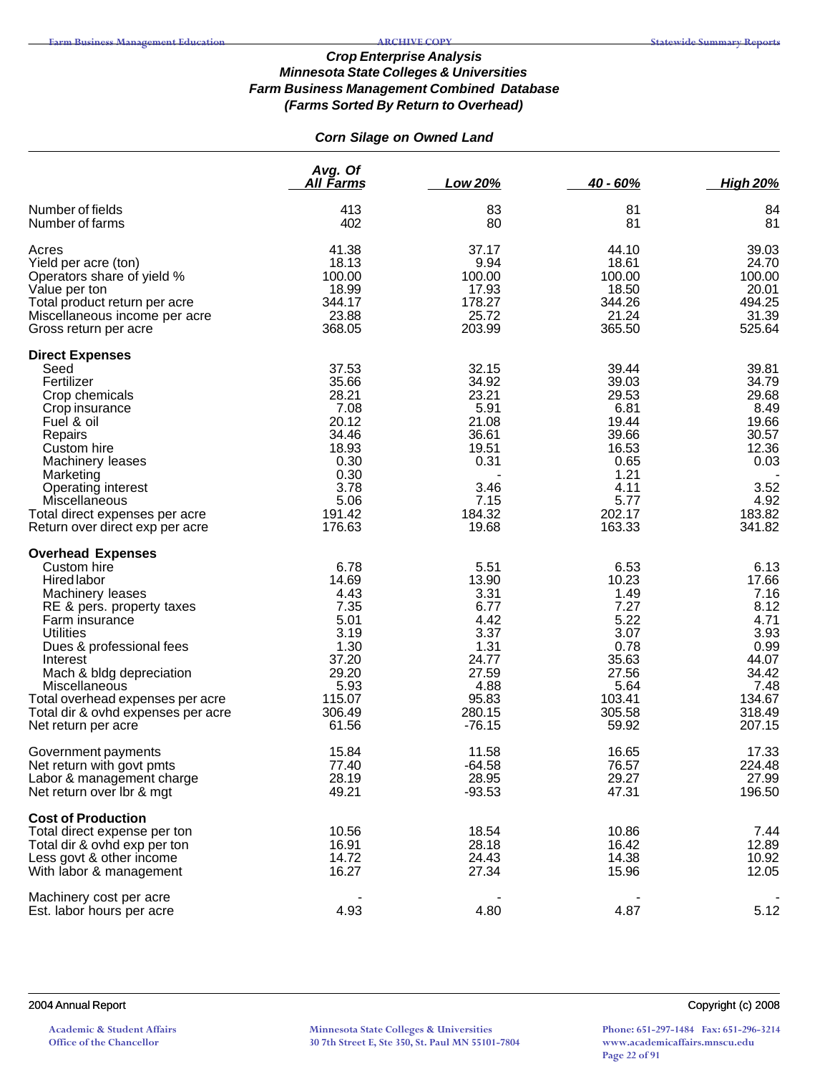# *Corn Silage on Owned Land*

|                                                                                                                                                                                                                                                                                                                                            | Avg. Of<br><u>All Farms</u>                                                                                    | Low 20%                                                                                                        | $40 - 60%$                                                                                                     | <b>High 20%</b>                                                                                               |
|--------------------------------------------------------------------------------------------------------------------------------------------------------------------------------------------------------------------------------------------------------------------------------------------------------------------------------------------|----------------------------------------------------------------------------------------------------------------|----------------------------------------------------------------------------------------------------------------|----------------------------------------------------------------------------------------------------------------|---------------------------------------------------------------------------------------------------------------|
| Number of fields<br>Number of farms                                                                                                                                                                                                                                                                                                        | 413<br>402                                                                                                     | 83<br>80                                                                                                       | 81<br>81                                                                                                       | 84<br>81                                                                                                      |
| Acres<br>Yield per acre (ton)<br>Operators share of yield %<br>Value per ton<br>Total product return per acre<br>Miscellaneous income per acre<br>Gross return per acre                                                                                                                                                                    | 41.38<br>18.13<br>100.00<br>18.99<br>344.17<br>23.88<br>368.05                                                 | 37.17<br>9.94<br>100.00<br>17.93<br>178.27<br>25.72<br>203.99                                                  | 44.10<br>18.61<br>100.00<br>18.50<br>344.26<br>21.24<br>365.50                                                 | 39.03<br>24.70<br>100.00<br>20.01<br>494.25<br>31.39<br>525.64                                                |
| <b>Direct Expenses</b><br>Seed<br>Fertilizer<br>Crop chemicals<br>Crop insurance<br>Fuel & oil<br>Repairs<br>Custom hire<br>Machinery leases<br>Marketing<br><b>Operating interest</b><br>Miscellaneous<br>Total direct expenses per acre<br>Return over direct exp per acre                                                               | 37.53<br>35.66<br>28.21<br>7.08<br>20.12<br>34.46<br>18.93<br>0.30<br>0.30<br>3.78<br>5.06<br>191.42<br>176.63 | 32.15<br>34.92<br>23.21<br>5.91<br>21.08<br>36.61<br>19.51<br>0.31<br>3.46<br>7.15<br>184.32<br>19.68          | 39.44<br>39.03<br>29.53<br>6.81<br>19.44<br>39.66<br>16.53<br>0.65<br>1.21<br>4.11<br>5.77<br>202.17<br>163.33 | 39.81<br>34.79<br>29.68<br>8.49<br>19.66<br>30.57<br>12.36<br>0.03<br>3.52<br>4.92<br>183.82<br>341.82        |
| <b>Overhead Expenses</b><br>Custom hire<br><b>Hired labor</b><br>Machinery leases<br>RE & pers. property taxes<br>Farm insurance<br><b>Utilities</b><br>Dues & professional fees<br>Interest<br>Mach & bldg depreciation<br>Miscellaneous<br>Total overhead expenses per acre<br>Total dir & ovhd expenses per acre<br>Net return per acre | 6.78<br>14.69<br>4.43<br>7.35<br>5.01<br>3.19<br>1.30<br>37.20<br>29.20<br>5.93<br>115.07<br>306.49<br>61.56   | 5.51<br>13.90<br>3.31<br>6.77<br>4.42<br>3.37<br>1.31<br>24.77<br>27.59<br>4.88<br>95.83<br>280.15<br>$-76.15$ | 6.53<br>10.23<br>1.49<br>7.27<br>5.22<br>3.07<br>0.78<br>35.63<br>27.56<br>5.64<br>103.41<br>305.58<br>59.92   | 6.13<br>17.66<br>7.16<br>8.12<br>4.71<br>3.93<br>0.99<br>44.07<br>34.42<br>7.48<br>134.67<br>318.49<br>207.15 |
| Government payments<br>Net return with govt pmts<br>Labor & management charge<br>Net return over Ibr & mgt                                                                                                                                                                                                                                 | 15.84<br>77.40<br>28.19<br>49.21                                                                               | 11.58<br>$-64.58$<br>28.95<br>$-93.53$                                                                         | 16.65<br>76.57<br>29.27<br>47.31                                                                               | 17.33<br>224.48<br>27.99<br>196.50                                                                            |
| <b>Cost of Production</b><br>Total direct expense per ton<br>Total dir & ovhd exp per ton<br>Less govt & other income<br>With labor & management                                                                                                                                                                                           | 10.56<br>16.91<br>14.72<br>16.27                                                                               | 18.54<br>28.18<br>24.43<br>27.34                                                                               | 10.86<br>16.42<br>14.38<br>15.96                                                                               | 7.44<br>12.89<br>10.92<br>12.05                                                                               |
| Machinery cost per acre<br>Est. labor hours per acre                                                                                                                                                                                                                                                                                       | 4.93                                                                                                           | 4.80                                                                                                           | 4.87                                                                                                           | 5.12                                                                                                          |

2004 Annual Report Copyright (c) 2008

**Phone: 651-297-1484 Fax: 651-296-3214 www.academicaffairs.mnscu.edu Page 22 of 91**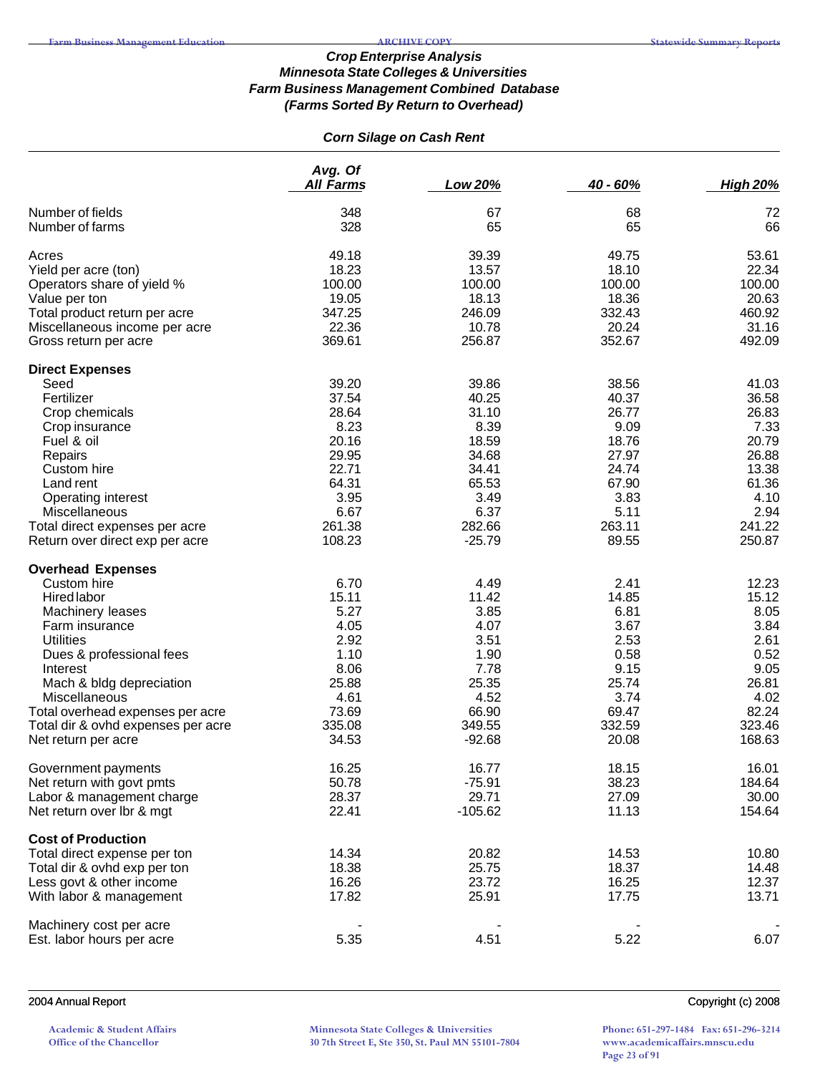# *Corn Silage on Cash Rent*

|                                                        | Avg. Of          |                    |                |                 |
|--------------------------------------------------------|------------------|--------------------|----------------|-----------------|
|                                                        | <b>All Farms</b> | Low 20%            | 40 - 60%       | <b>High 20%</b> |
| Number of fields                                       | 348              | 67                 | 68             | 72              |
| Number of farms                                        | 328              | 65                 | 65             | 66              |
|                                                        |                  |                    |                |                 |
| Acres                                                  | 49.18            | 39.39              | 49.75          | 53.61           |
| Yield per acre (ton)                                   | 18.23            | 13.57              | 18.10          | 22.34           |
| Operators share of yield %                             | 100.00           | 100.00             | 100.00         | 100.00          |
| Value per ton                                          | 19.05            | 18.13              | 18.36          | 20.63           |
| Total product return per acre                          | 347.25           | 246.09             | 332.43         | 460.92          |
| Miscellaneous income per acre                          | 22.36            | 10.78              | 20.24          | 31.16           |
| Gross return per acre                                  | 369.61           | 256.87             | 352.67         | 492.09          |
| <b>Direct Expenses</b>                                 |                  |                    |                |                 |
| Seed                                                   | 39.20            | 39.86              | 38.56          | 41.03           |
| Fertilizer                                             | 37.54            | 40.25              | 40.37          | 36.58           |
| Crop chemicals                                         | 28.64            | 31.10              | 26.77          | 26.83           |
| Crop insurance                                         | 8.23             | 8.39               | 9.09           | 7.33            |
| Fuel & oil                                             | 20.16            | 18.59              | 18.76          | 20.79           |
| Repairs                                                | 29.95            | 34.68              | 27.97          | 26.88           |
| Custom hire                                            | 22.71            | 34.41              | 24.74          | 13.38           |
| Land rent                                              | 64.31            | 65.53              | 67.90          | 61.36           |
| Operating interest                                     | 3.95             | 3.49               | 3.83           | 4.10            |
| Miscellaneous                                          | 6.67             | 6.37               | 5.11           | 2.94            |
| Total direct expenses per acre                         | 261.38           | 282.66             | 263.11         | 241.22          |
| Return over direct exp per acre                        | 108.23           | $-25.79$           | 89.55          | 250.87          |
| <b>Overhead Expenses</b>                               |                  |                    |                |                 |
| Custom hire                                            | 6.70             | 4.49               | 2.41           | 12.23           |
| Hired labor                                            | 15.11            | 11.42              | 14.85          | 15.12           |
| Machinery leases                                       | 5.27             | 3.85               | 6.81           | 8.05            |
| Farm insurance                                         | 4.05             | 4.07               | 3.67           | 3.84            |
| <b>Utilities</b>                                       | 2.92             | 3.51               | 2.53           | 2.61            |
| Dues & professional fees                               | 1.10             | 1.90               | 0.58           | 0.52            |
| Interest                                               | 8.06             | 7.78               | 9.15           | 9.05            |
| Mach & bldg depreciation                               | 25.88            | 25.35              | 25.74          | 26.81           |
| Miscellaneous                                          | 4.61             | 4.52               | 3.74           | 4.02            |
| Total overhead expenses per acre                       | 73.69            | 66.90              | 69.47          | 82.24           |
| Total dir & ovhd expenses per acre                     | 335.08           | 349.55             | 332.59         | 323.46          |
| Net return per acre                                    | 34.53            | $-92.68$           | 20.08          | 168.63          |
|                                                        |                  |                    |                |                 |
| Government payments                                    | 16.25            | 16.77              | 18.15          | 16.01           |
| Net return with govt pmts                              | 50.78            | $-75.91$           | 38.23          | 184.64          |
| Labor & management charge<br>Net return over lbr & mgt | 28.37<br>22.41   | 29.71<br>$-105.62$ | 27.09<br>11.13 | 30.00<br>154.64 |
|                                                        |                  |                    |                |                 |
| <b>Cost of Production</b>                              |                  |                    |                |                 |
| Total direct expense per ton                           | 14.34            | 20.82              | 14.53          | 10.80           |
| Total dir & ovhd exp per ton                           | 18.38            | 25.75              | 18.37          | 14.48           |
| Less govt & other income                               | 16.26            | 23.72              | 16.25          | 12.37           |
| With labor & management                                | 17.82            | 25.91              | 17.75          | 13.71           |
| Machinery cost per acre                                |                  |                    |                |                 |
| Est. labor hours per acre                              | 5.35             | 4.51               | 5.22           | 6.07            |
|                                                        |                  |                    |                |                 |

**Minnesota State Colleges & Universities 30 7th Street E, Ste 350, St. Paul MN 55101-7804** **Phone: 651-297-1484 Fax: 651-296-3214 www.academicaffairs.mnscu.edu Page 23 of 91**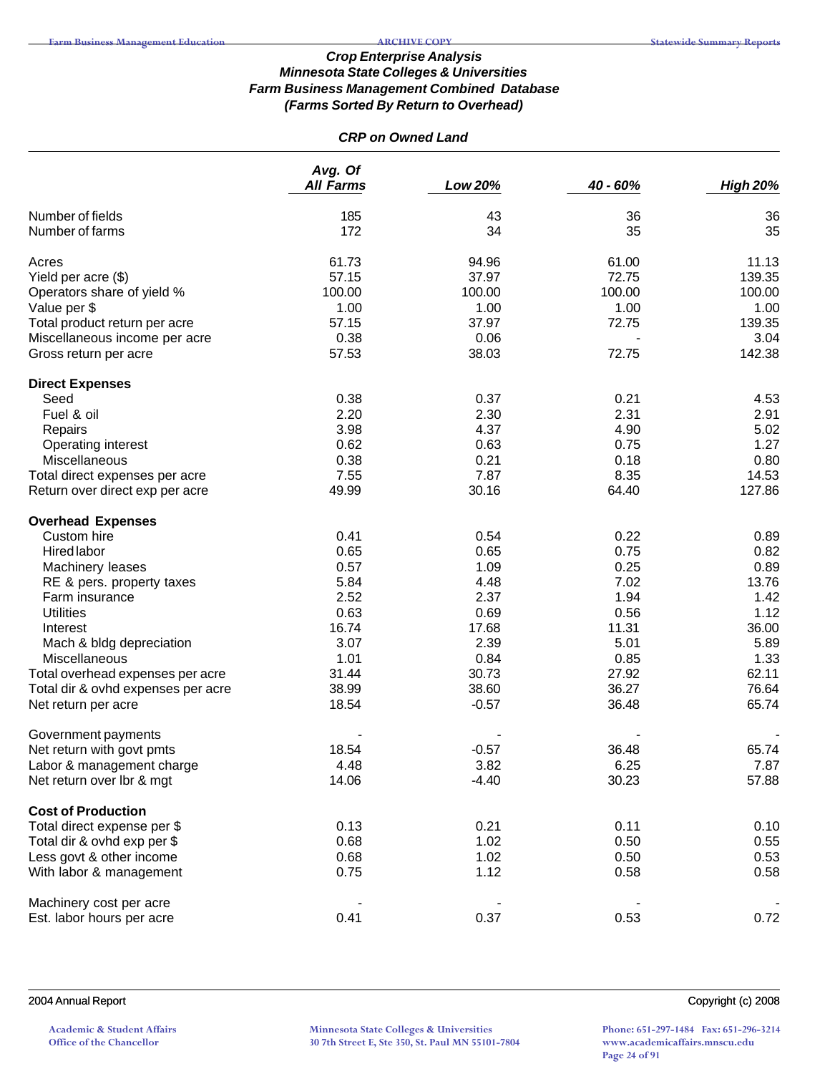## *CRP on Owned Land*

|                                    | Avg. Of<br><b>All Farms</b> | Low 20% | 40 - 60% | <b>High 20%</b> |
|------------------------------------|-----------------------------|---------|----------|-----------------|
| Number of fields                   | 185                         | 43      | 36       | 36              |
| Number of farms                    | 172                         | 34      | 35       | 35              |
| Acres                              | 61.73                       | 94.96   | 61.00    | 11.13           |
| Yield per acre (\$)                | 57.15                       | 37.97   | 72.75    | 139.35          |
| Operators share of yield %         | 100.00                      | 100.00  | 100.00   | 100.00          |
| Value per \$                       | 1.00                        | 1.00    | 1.00     | 1.00            |
| Total product return per acre      | 57.15                       | 37.97   | 72.75    | 139.35          |
| Miscellaneous income per acre      | 0.38                        | 0.06    |          | 3.04            |
| Gross return per acre              | 57.53                       | 38.03   | 72.75    | 142.38          |
| <b>Direct Expenses</b>             |                             |         |          |                 |
| Seed                               | 0.38                        | 0.37    | 0.21     | 4.53            |
| Fuel & oil                         | 2.20                        | 2.30    | 2.31     | 2.91            |
| Repairs                            | 3.98                        | 4.37    | 4.90     | 5.02            |
| Operating interest                 | 0.62                        | 0.63    | 0.75     | 1.27            |
| Miscellaneous                      | 0.38                        | 0.21    | 0.18     | 0.80            |
| Total direct expenses per acre     | 7.55                        | 7.87    | 8.35     | 14.53           |
| Return over direct exp per acre    | 49.99                       | 30.16   | 64.40    | 127.86          |
| <b>Overhead Expenses</b>           |                             |         |          |                 |
| Custom hire                        | 0.41                        | 0.54    | 0.22     | 0.89            |
| <b>Hired labor</b>                 | 0.65                        | 0.65    | 0.75     | 0.82            |
| Machinery leases                   | 0.57                        | 1.09    | 0.25     | 0.89            |
| RE & pers. property taxes          | 5.84                        | 4.48    | 7.02     | 13.76           |
| Farm insurance                     | 2.52                        | 2.37    | 1.94     | 1.42            |
| <b>Utilities</b>                   | 0.63                        | 0.69    | 0.56     | 1.12            |
| Interest                           | 16.74                       | 17.68   | 11.31    | 36.00           |
| Mach & bldg depreciation           | 3.07                        | 2.39    | 5.01     | 5.89            |
| Miscellaneous                      | 1.01                        | 0.84    | 0.85     | 1.33            |
| Total overhead expenses per acre   | 31.44                       | 30.73   | 27.92    | 62.11           |
| Total dir & ovhd expenses per acre | 38.99                       | 38.60   | 36.27    | 76.64           |
| Net return per acre                | 18.54                       | $-0.57$ | 36.48    | 65.74           |
| Government payments                |                             |         |          |                 |
| Net return with govt pmts          | 18.54                       | $-0.57$ | 36.48    | 65.74           |
| Labor & management charge          | 4.48                        | 3.82    | 6.25     | 7.87            |
| Net return over lbr & mgt          | 14.06                       | $-4.40$ | 30.23    | 57.88           |
| <b>Cost of Production</b>          |                             |         |          |                 |
| Total direct expense per \$        | 0.13                        | 0.21    | 0.11     | 0.10            |
| Total dir & ovhd exp per \$        | 0.68                        | 1.02    | 0.50     | 0.55            |
| Less govt & other income           | 0.68                        | 1.02    | 0.50     | 0.53            |
| With labor & management            | 0.75                        | 1.12    | 0.58     | 0.58            |
| Machinery cost per acre            |                             |         |          |                 |
| Est. labor hours per acre          | 0.41                        | 0.37    | 0.53     | 0.72            |

**Phone: 651-297-1484 Fax: 651-296-3214 www.academicaffairs.mnscu.edu Page 24 of 91**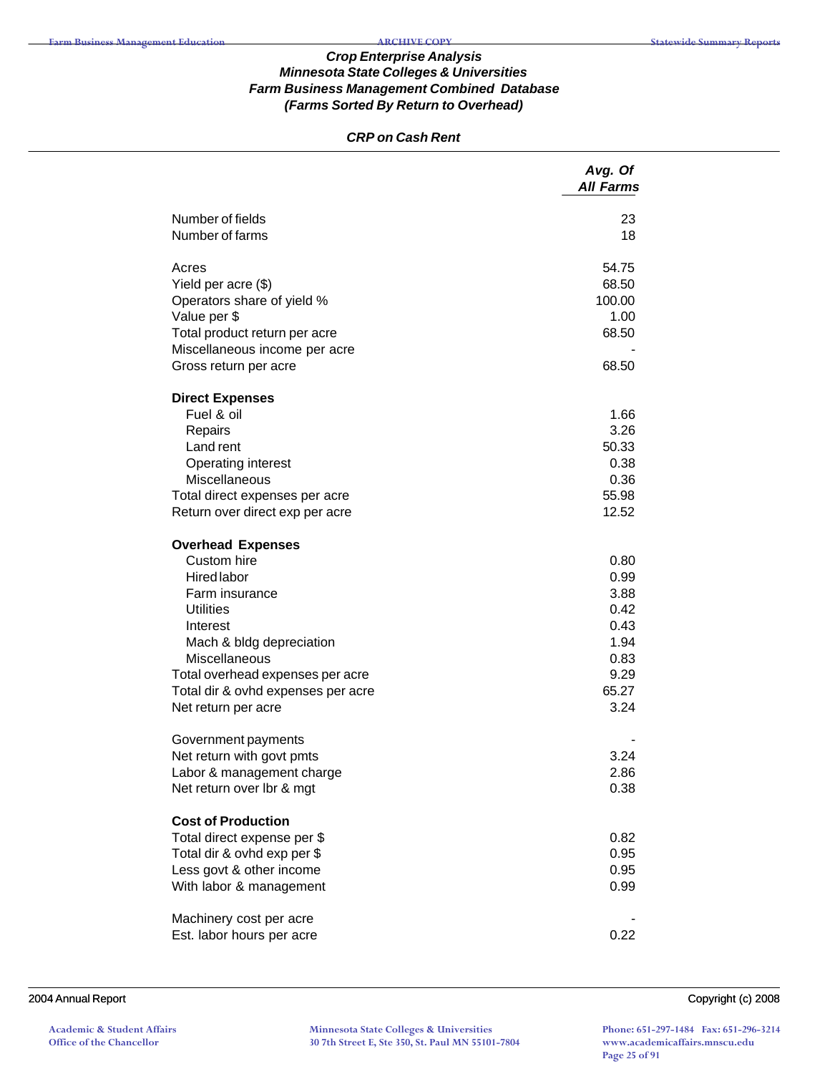## *CRP on Cash Rent*

|                                           | Avg. Of<br><b>All Farms</b> |
|-------------------------------------------|-----------------------------|
| Number of fields                          | 23                          |
| Number of farms                           | 18                          |
| Acres                                     | 54.75                       |
| Yield per acre (\$)                       | 68.50                       |
| Operators share of yield %                | 100.00                      |
| Value per \$                              | 1.00                        |
| Total product return per acre             | 68.50                       |
| Miscellaneous income per acre             |                             |
| Gross return per acre                     | 68.50                       |
| <b>Direct Expenses</b>                    |                             |
| Fuel & oil                                | 1.66                        |
| Repairs                                   | 3.26                        |
| Land rent                                 | 50.33                       |
| Operating interest                        | 0.38                        |
| Miscellaneous                             | 0.36                        |
| Total direct expenses per acre            | 55.98                       |
| Return over direct exp per acre           | 12.52                       |
| <b>Overhead Expenses</b>                  |                             |
| Custom hire                               | 0.80                        |
| Hired labor                               | 0.99                        |
| Farm insurance                            | 3.88                        |
| <b>Utilities</b>                          | 0.42                        |
| Interest                                  | 0.43                        |
| Mach & bldg depreciation<br>Miscellaneous | 1.94<br>0.83                |
| Total overhead expenses per acre          | 9.29                        |
| Total dir & ovhd expenses per acre        | 65.27                       |
| Net return per acre                       | 3.24                        |
|                                           |                             |
| Government payments                       |                             |
| Net return with govt pmts                 | 3.24                        |
| Labor & management charge                 | 2.86                        |
| Net return over lbr & mgt                 | 0.38                        |
| <b>Cost of Production</b>                 |                             |
| Total direct expense per \$               | 0.82                        |
| Total dir & ovhd exp per \$               | 0.95                        |
| Less govt & other income                  | 0.95                        |
| With labor & management                   | 0.99                        |
| Machinery cost per acre                   |                             |
| Est. labor hours per acre                 | 0.22                        |

**Academic & Student Affairs Office of the Chancellor**

**Minnesota State Colleges & Universities 30 7th Street E, Ste 350, St. Paul MN 55101-7804**

**Phone: 651-297-1484 Fax: 651-296-3214 www.academicaffairs.mnscu.edu Page 25 of 91**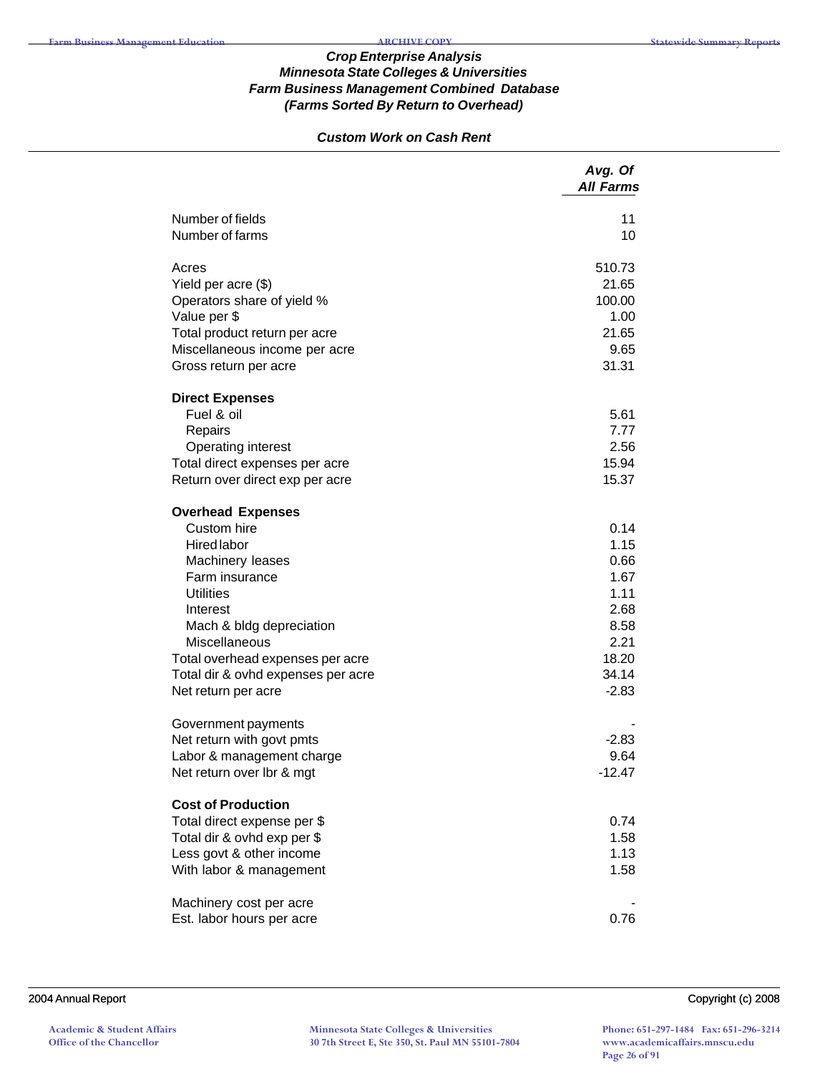# *Custom Work on Cash Rent*

|                                      | Avg. Of<br><b>All Farms</b> |
|--------------------------------------|-----------------------------|
| Number of fields                     | 11                          |
| Number of farms                      | 10                          |
| Acres                                | 510.73                      |
| Yield per acre (\$)                  | 21.65                       |
| Operators share of yield %           | 100.00                      |
| Value per \$                         | 1.00                        |
| Total product return per acre        | 21.65                       |
| Miscellaneous income per acre        | 9.65                        |
| Gross return per acre                | 31.31                       |
| <b>Direct Expenses</b>               |                             |
| Fuel & oil                           | 5.61                        |
| Repairs                              | 7.77                        |
| <b>Operating interest</b>            | 2.56                        |
| Total direct expenses per acre       | 15.94                       |
| Return over direct exp per acre      | 15.37                       |
| <b>Overhead Expenses</b>             |                             |
| Custom hire                          | 0.14                        |
| Hired labor                          | 1.15                        |
| Machinery leases                     | 0.66                        |
| Farm insurance                       | 1.67                        |
| <b>Utilities</b>                     | 1.11                        |
| Interest<br>Mach & bldg depreciation | 2.68<br>8.58                |
| Miscellaneous                        | 2.21                        |
| Total overhead expenses per acre     | 18.20                       |
| Total dir & ovhd expenses per acre   | 34.14                       |
| Net return per acre                  | $-2.83$                     |
| Government payments                  |                             |
| Net return with govt pmts            | $-2.83$                     |
| Labor & management charge            | 9.64                        |
| Net return over lbr & mgt            | $-12.47$                    |
| <b>Cost of Production</b>            |                             |
| Total direct expense per \$          | 0.74                        |
| Total dir & ovhd exp per \$          | 1.58                        |
| Less govt & other income             | 1.13                        |
| With labor & management              | 1.58                        |
| Machinery cost per acre              |                             |
| Est. labor hours per acre            | 0.76                        |

**Minnesota State Colleges & Universities 30 7th Street E, Ste 350, St. Paul MN 55101-7804**

2004 Annual Report Copyright (c) 2008

**Phone: 651-297-1484 Fax: 651-296-3214 www.academicaffairs.mnscu.edu Page 26 of 91**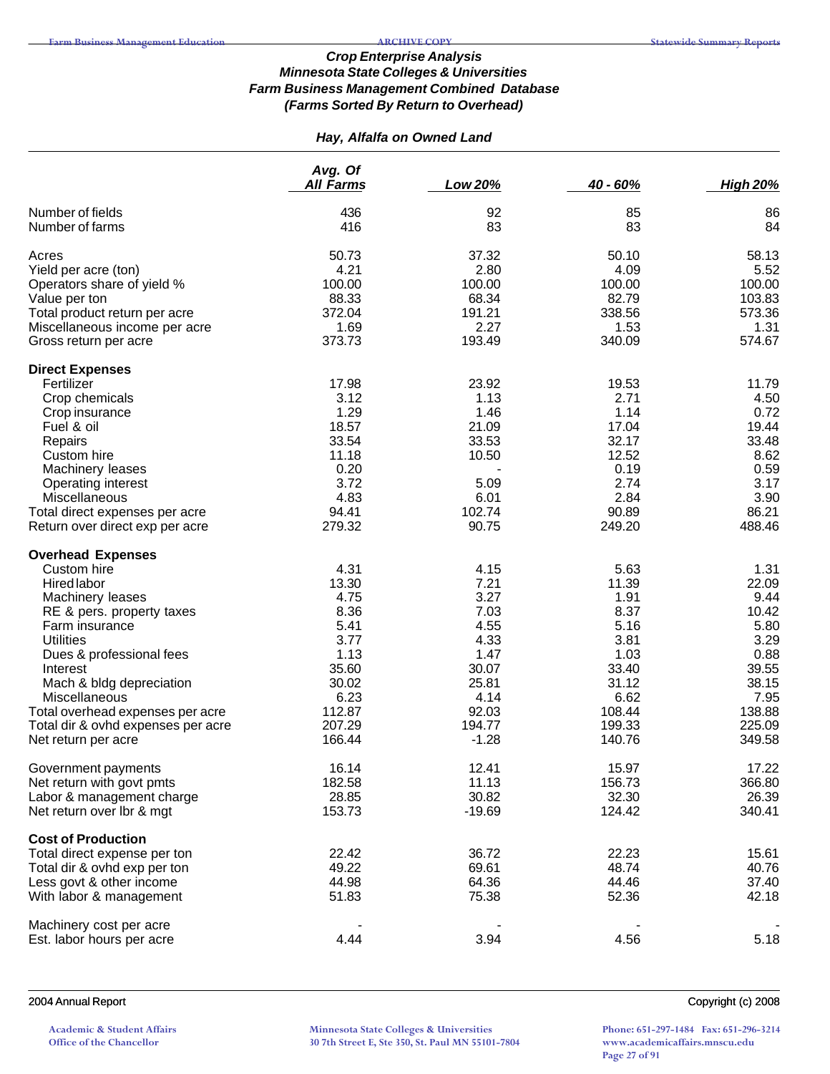# *Hay, Alfalfa on Owned Land*

|                                    | Avg. Of          |          |          |                 |
|------------------------------------|------------------|----------|----------|-----------------|
|                                    | <b>All Farms</b> | Low 20%  | 40 - 60% | <b>High 20%</b> |
| Number of fields                   | 436              | 92       | 85       | 86              |
| Number of farms                    | 416              | 83       | 83       | 84              |
| Acres                              | 50.73            | 37.32    | 50.10    | 58.13           |
| Yield per acre (ton)               | 4.21             | 2.80     | 4.09     | 5.52            |
| Operators share of yield %         | 100.00           | 100.00   | 100.00   | 100.00          |
| Value per ton                      | 88.33            | 68.34    | 82.79    | 103.83          |
| Total product return per acre      | 372.04           | 191.21   | 338.56   | 573.36          |
| Miscellaneous income per acre      | 1.69             | 2.27     | 1.53     | 1.31            |
| Gross return per acre              | 373.73           | 193.49   | 340.09   | 574.67          |
| <b>Direct Expenses</b>             |                  |          |          |                 |
| Fertilizer                         | 17.98            | 23.92    | 19.53    | 11.79           |
| Crop chemicals                     | 3.12             | 1.13     | 2.71     | 4.50            |
| Crop insurance                     | 1.29             | 1.46     | 1.14     | 0.72            |
| Fuel & oil                         | 18.57            | 21.09    | 17.04    | 19.44           |
| Repairs                            | 33.54            | 33.53    | 32.17    | 33.48           |
| Custom hire                        | 11.18            | 10.50    | 12.52    | 8.62            |
| Machinery leases                   | 0.20             |          | 0.19     | 0.59            |
| <b>Operating interest</b>          | 3.72             | 5.09     | 2.74     | 3.17            |
| Miscellaneous                      | 4.83             | 6.01     | 2.84     | 3.90            |
| Total direct expenses per acre     | 94.41            | 102.74   | 90.89    | 86.21           |
| Return over direct exp per acre    | 279.32           | 90.75    | 249.20   | 488.46          |
| <b>Overhead Expenses</b>           |                  |          |          |                 |
| Custom hire                        | 4.31             | 4.15     | 5.63     | 1.31            |
| Hired labor                        | 13.30            | 7.21     | 11.39    | 22.09           |
| Machinery leases                   | 4.75             | 3.27     | 1.91     | 9.44            |
| RE & pers. property taxes          | 8.36             | 7.03     | 8.37     | 10.42           |
| Farm insurance                     | 5.41             | 4.55     | 5.16     | 5.80            |
| <b>Utilities</b>                   | 3.77             | 4.33     | 3.81     | 3.29            |
| Dues & professional fees           | 1.13             | 1.47     | 1.03     | 0.88            |
| Interest                           | 35.60            | 30.07    | 33.40    | 39.55           |
| Mach & bldg depreciation           | 30.02            | 25.81    | 31.12    | 38.15           |
| Miscellaneous                      | 6.23             | 4.14     | 6.62     | 7.95            |
| Total overhead expenses per acre   | 112.87           | 92.03    | 108.44   | 138.88          |
| Total dir & ovhd expenses per acre | 207.29           | 194.77   | 199.33   | 225.09          |
| Net return per acre                | 166.44           | $-1.28$  | 140.76   | 349.58          |
| Government payments                | 16.14            | 12.41    | 15.97    | 17.22           |
| Net return with govt pmts          | 182.58           | 11.13    | 156.73   | 366.80          |
| Labor & management charge          | 28.85            | 30.82    | 32.30    | 26.39           |
| Net return over lbr & mgt          | 153.73           | $-19.69$ | 124.42   | 340.41          |
| <b>Cost of Production</b>          |                  |          |          |                 |
| Total direct expense per ton       | 22.42            | 36.72    | 22.23    | 15.61           |
| Total dir & ovhd exp per ton       | 49.22            | 69.61    | 48.74    | 40.76           |
| Less govt & other income           | 44.98            | 64.36    | 44.46    | 37.40           |
| With labor & management            | 51.83            | 75.38    | 52.36    | 42.18           |
| Machinery cost per acre            |                  |          |          |                 |
| Est. labor hours per acre          | 4.44             | 3.94     | 4.56     | 5.18            |
|                                    |                  |          |          |                 |

2004 Annual Report Copyright (c) 2008

**Academic & Student Affairs Office of the Chancellor**

**Minnesota State Colleges & Universities 30 7th Street E, Ste 350, St. Paul MN 55101-7804**

**Phone: 651-297-1484 Fax: 651-296-3214 www.academicaffairs.mnscu.edu Page 27 of 91**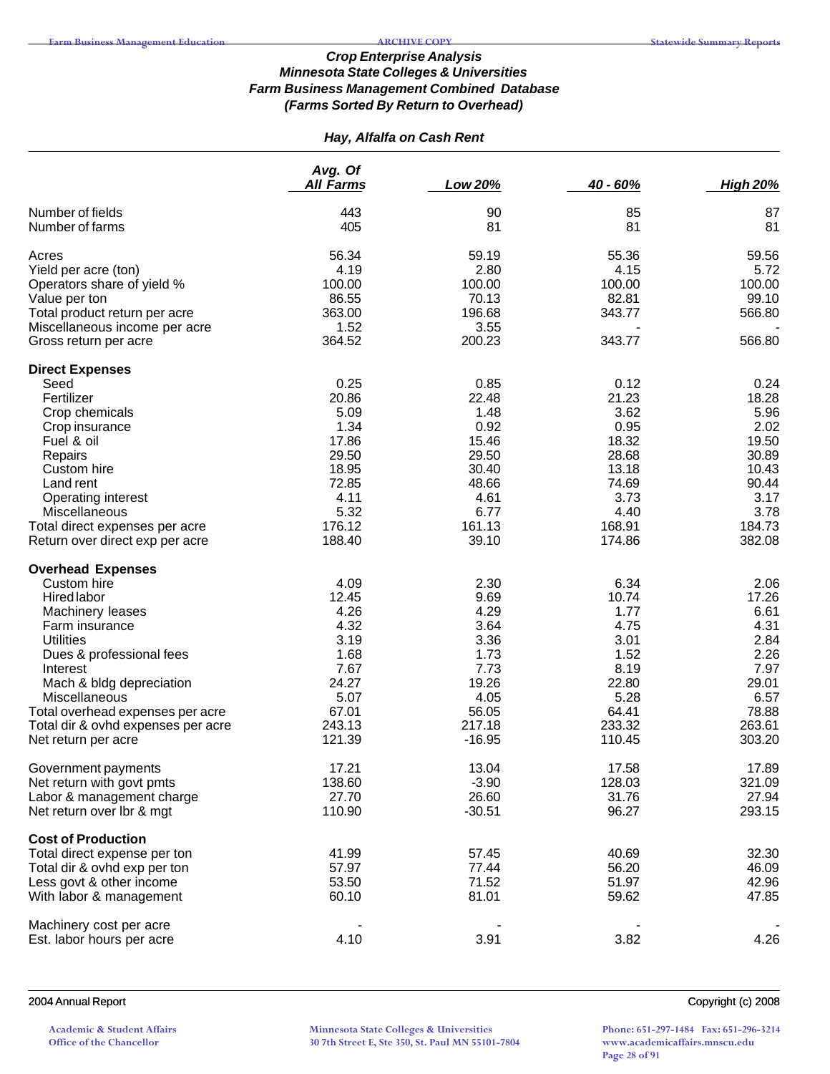# *Hay, Alfalfa on Cash Rent*

|                                             | Avg. Of          |                |                |                 |
|---------------------------------------------|------------------|----------------|----------------|-----------------|
|                                             | <b>All Farms</b> | Low 20%        | 40 - 60%       | <b>High 20%</b> |
| Number of fields                            | 443              | 90             | 85             | 87              |
| Number of farms                             | 405              | 81             | 81             | 81              |
|                                             |                  |                |                |                 |
| Acres                                       | 56.34            | 59.19          | 55.36          | 59.56           |
| Yield per acre (ton)                        | 4.19<br>100.00   | 2.80<br>100.00 | 4.15<br>100.00 | 5.72<br>100.00  |
| Operators share of yield %<br>Value per ton | 86.55            | 70.13          | 82.81          | 99.10           |
| Total product return per acre               | 363.00           | 196.68         | 343.77         | 566.80          |
| Miscellaneous income per acre               | 1.52             | 3.55           |                |                 |
| Gross return per acre                       | 364.52           | 200.23         | 343.77         | 566.80          |
|                                             |                  |                |                |                 |
| <b>Direct Expenses</b>                      |                  |                |                |                 |
| Seed<br>Fertilizer                          | 0.25<br>20.86    | 0.85<br>22.48  | 0.12<br>21.23  | 0.24<br>18.28   |
| Crop chemicals                              | 5.09             | 1.48           | 3.62           | 5.96            |
| Crop insurance                              | 1.34             | 0.92           | 0.95           | 2.02            |
| Fuel & oil                                  | 17.86            | 15.46          | 18.32          | 19.50           |
| Repairs                                     | 29.50            | 29.50          | 28.68          | 30.89           |
| Custom hire                                 | 18.95            | 30.40          | 13.18          | 10.43           |
| Land rent                                   | 72.85            | 48.66          | 74.69          | 90.44           |
| Operating interest                          | 4.11             | 4.61           | 3.73           | 3.17            |
| Miscellaneous                               | 5.32             | 6.77           | 4.40           | 3.78            |
| Total direct expenses per acre              | 176.12           | 161.13         | 168.91         | 184.73          |
| Return over direct exp per acre             | 188.40           | 39.10          | 174.86         | 382.08          |
|                                             |                  |                |                |                 |
| <b>Overhead Expenses</b><br>Custom hire     | 4.09             | 2.30           | 6.34           | 2.06            |
| Hired labor                                 | 12.45            | 9.69           | 10.74          | 17.26           |
| Machinery leases                            | 4.26             | 4.29           | 1.77           | 6.61            |
| Farm insurance                              | 4.32             | 3.64           | 4.75           | 4.31            |
| <b>Utilities</b>                            | 3.19             | 3.36           | 3.01           | 2.84            |
| Dues & professional fees                    | 1.68             | 1.73           | 1.52           | 2.26            |
| Interest                                    | 7.67             | 7.73           | 8.19           | 7.97            |
| Mach & bldg depreciation                    | 24.27            | 19.26          | 22.80          | 29.01           |
| Miscellaneous                               | 5.07             | 4.05           | 5.28           | 6.57            |
| Total overhead expenses per acre            | 67.01            | 56.05          | 64.41          | 78.88           |
| Total dir & ovhd expenses per acre          | 243.13           | 217.18         | 233.32         | 263.61          |
| Net return per acre                         | 121.39           | $-16.95$       | 110.45         | 303.20          |
| Government payments                         | 17.21            | 13.04          | 17.58          | 17.89           |
| Net return with govt pmts                   | 138.60           | $-3.90$        | 128.03         | 321.09          |
| Labor & management charge                   | 27.70            | 26.60          | 31.76          | 27.94           |
| Net return over lbr & mgt                   | 110.90           | $-30.51$       | 96.27          | 293.15          |
| <b>Cost of Production</b>                   |                  |                |                |                 |
| Total direct expense per ton                | 41.99            | 57.45          | 40.69          | 32.30           |
| Total dir & ovhd exp per ton                | 57.97            | 77.44          | 56.20          | 46.09           |
| Less govt & other income                    | 53.50            | 71.52          | 51.97          | 42.96           |
| With labor & management                     | 60.10            | 81.01          | 59.62          | 47.85           |
|                                             |                  |                |                |                 |
| Machinery cost per acre                     |                  |                |                |                 |
| Est. labor hours per acre                   | 4.10             | 3.91           | 3.82           | 4.26            |

**Academic & Student Affairs Office of the Chancellor**

**Minnesota State Colleges & Universities 30 7th Street E, Ste 350, St. Paul MN 55101-7804** **Phone: 651-297-1484 Fax: 651-296-3214 www.academicaffairs.mnscu.edu Page 28 of 91**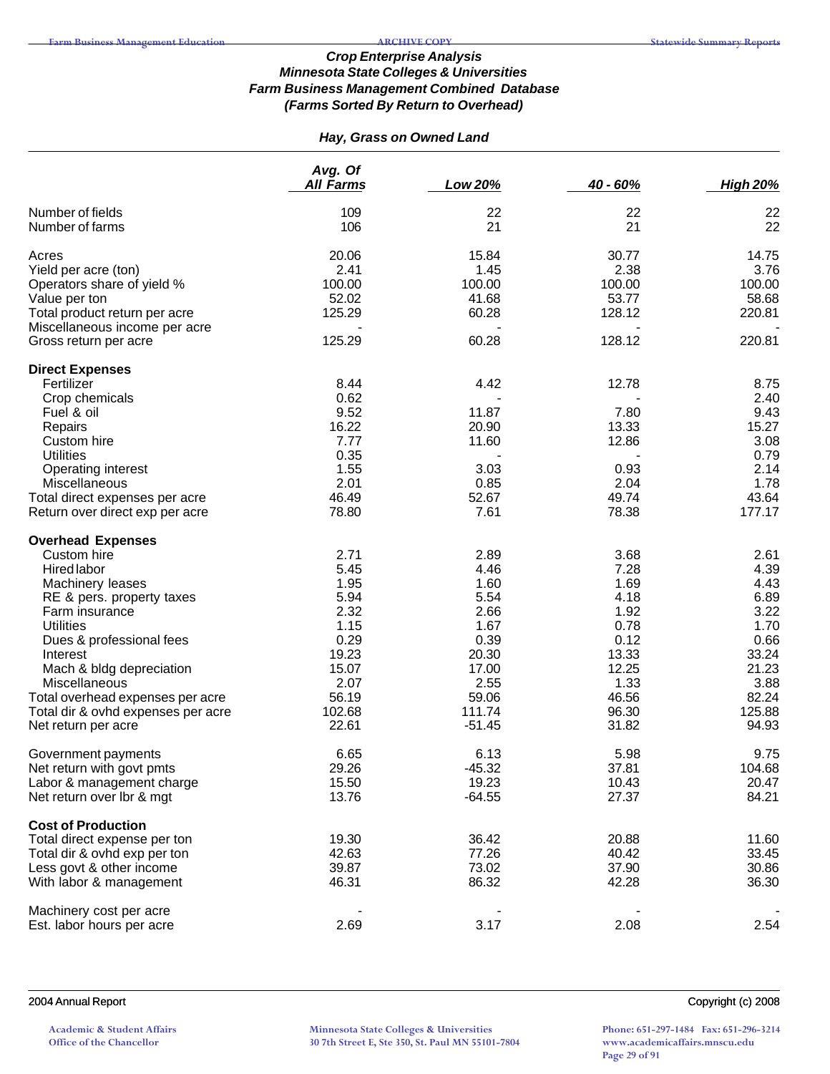# *Hay, Grass on Owned Land*

|                                     | Avg. Of<br><b>All Farms</b> | Low 20%  | 40 - 60% | <b>High 20%</b> |
|-------------------------------------|-----------------------------|----------|----------|-----------------|
|                                     |                             |          |          |                 |
| Number of fields<br>Number of farms | 109<br>106                  | 22<br>21 | 22<br>21 | 22<br>22        |
|                                     |                             |          |          |                 |
| Acres                               | 20.06                       | 15.84    | 30.77    | 14.75           |
| Yield per acre (ton)                | 2.41                        | 1.45     | 2.38     | 3.76            |
| Operators share of yield %          | 100.00                      | 100.00   | 100.00   | 100.00          |
| Value per ton                       | 52.02                       | 41.68    | 53.77    | 58.68           |
| Total product return per acre       | 125.29                      | 60.28    | 128.12   | 220.81          |
| Miscellaneous income per acre       |                             |          | 128.12   |                 |
| Gross return per acre               | 125.29                      | 60.28    |          | 220.81          |
| <b>Direct Expenses</b>              |                             |          |          |                 |
| Fertilizer                          | 8.44                        | 4.42     | 12.78    | 8.75            |
| Crop chemicals                      | 0.62                        |          |          | 2.40            |
| Fuel & oil                          | 9.52                        | 11.87    | 7.80     | 9.43            |
| Repairs                             | 16.22                       | 20.90    | 13.33    | 15.27           |
| Custom hire                         | 7.77                        | 11.60    | 12.86    | 3.08            |
| <b>Utilities</b>                    | 0.35                        |          |          | 0.79            |
| Operating interest                  | 1.55                        | 3.03     | 0.93     | 2.14            |
| Miscellaneous                       | 2.01                        | 0.85     | 2.04     | 1.78            |
| Total direct expenses per acre      | 46.49                       | 52.67    | 49.74    | 43.64           |
| Return over direct exp per acre     | 78.80                       | 7.61     | 78.38    | 177.17          |
| <b>Overhead Expenses</b>            |                             |          |          |                 |
| Custom hire                         | 2.71                        | 2.89     | 3.68     | 2.61            |
| <b>Hired labor</b>                  | 5.45                        | 4.46     | 7.28     | 4.39            |
| Machinery leases                    | 1.95                        | 1.60     | 1.69     | 4.43            |
| RE & pers. property taxes           | 5.94                        | 5.54     | 4.18     | 6.89            |
| Farm insurance                      | 2.32                        | 2.66     | 1.92     | 3.22            |
| <b>Utilities</b>                    | 1.15                        | 1.67     | 0.78     | 1.70            |
| Dues & professional fees            | 0.29                        | 0.39     | 0.12     | 0.66            |
| Interest                            | 19.23                       | 20.30    | 13.33    | 33.24           |
| Mach & bldg depreciation            | 15.07                       | 17.00    | 12.25    | 21.23           |
| Miscellaneous                       | 2.07                        | 2.55     | 1.33     | 3.88            |
| Total overhead expenses per acre    | 56.19                       | 59.06    | 46.56    | 82.24           |
| Total dir & ovhd expenses per acre  | 102.68                      | 111.74   | 96.30    | 125.88          |
| Net return per acre                 | 22.61                       | $-51.45$ | 31.82    | 94.93           |
| Government payments                 | 6.65                        | 6.13     | 5.98     | 9.75            |
| Net return with govt pmts           | 29.26                       | $-45.32$ | 37.81    | 104.68          |
| Labor & management charge           | 15.50                       | 19.23    | 10.43    | 20.47           |
| Net return over lbr & mgt           | 13.76                       | $-64.55$ | 27.37    | 84.21           |
| <b>Cost of Production</b>           |                             |          |          |                 |
| Total direct expense per ton        | 19.30                       | 36.42    | 20.88    | 11.60           |
| Total dir & ovhd exp per ton        | 42.63                       | 77.26    | 40.42    | 33.45           |
| Less govt & other income            | 39.87                       | 73.02    | 37.90    | 30.86           |
| With labor & management             | 46.31                       | 86.32    | 42.28    | 36.30           |
|                                     |                             |          |          |                 |
| Machinery cost per acre             | 2.69                        | 3.17     | 2.08     |                 |
| Est. labor hours per acre           |                             |          |          | 2.54            |

2004 Annual Report Copyright (c) 2008

**Minnesota State Colleges & Universities 30 7th Street E, Ste 350, St. Paul MN 55101-7804**

**Phone: 651-297-1484 Fax: 651-296-3214 www.academicaffairs.mnscu.edu Page 29 of 91**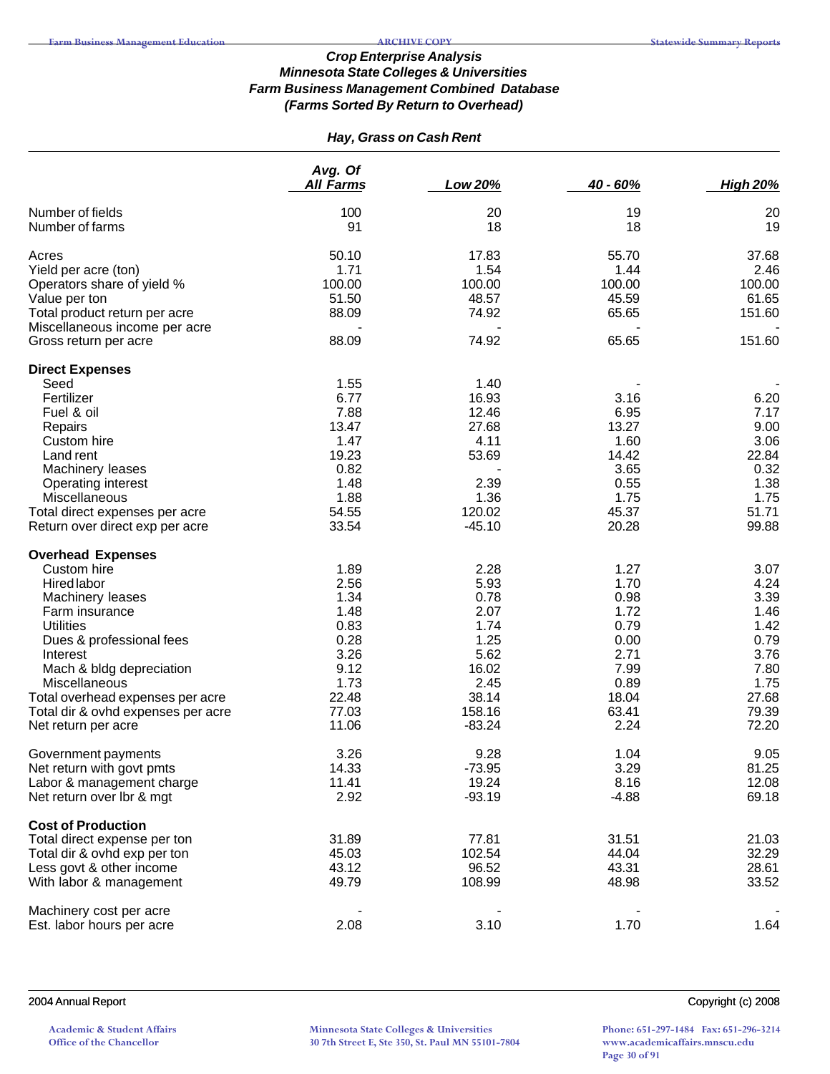# *Hay, Grass on Cash Rent*

|                                                                | Avg. Of<br><b>All Farms</b> | Low 20%  | 40 - 60% | <b>High 20%</b> |
|----------------------------------------------------------------|-----------------------------|----------|----------|-----------------|
| Number of fields                                               | 100                         | 20       | 19       | 20              |
| Number of farms                                                | 91                          | 18       | 18       | 19              |
| Acres                                                          | 50.10                       | 17.83    | 55.70    | 37.68           |
| Yield per acre (ton)                                           | 1.71                        | 1.54     | 1.44     | 2.46            |
| Operators share of yield %                                     | 100.00                      | 100.00   | 100.00   | 100.00          |
| Value per ton                                                  | 51.50                       | 48.57    | 45.59    | 61.65           |
| Total product return per acre<br>Miscellaneous income per acre | 88.09                       | 74.92    | 65.65    | 151.60          |
| Gross return per acre                                          | 88.09                       | 74.92    | 65.65    | 151.60          |
| <b>Direct Expenses</b>                                         |                             |          |          |                 |
| Seed                                                           | 1.55                        | 1.40     |          |                 |
| Fertilizer                                                     | 6.77                        | 16.93    | 3.16     | 6.20            |
| Fuel & oil                                                     | 7.88                        | 12.46    | 6.95     | 7.17            |
| Repairs                                                        | 13.47                       | 27.68    | 13.27    | 9.00            |
| Custom hire                                                    | 1.47                        | 4.11     | 1.60     | 3.06            |
| Land rent                                                      | 19.23                       | 53.69    | 14.42    | 22.84           |
| Machinery leases                                               | 0.82                        |          | 3.65     | 0.32            |
| Operating interest                                             | 1.48                        | 2.39     | 0.55     | 1.38            |
| Miscellaneous                                                  | 1.88                        | 1.36     | 1.75     | 1.75            |
| Total direct expenses per acre                                 | 54.55                       | 120.02   | 45.37    | 51.71           |
| Return over direct exp per acre                                | 33.54                       | $-45.10$ | 20.28    | 99.88           |
| <b>Overhead Expenses</b>                                       |                             |          |          |                 |
| Custom hire                                                    | 1.89                        | 2.28     | 1.27     | 3.07            |
| Hired labor                                                    | 2.56                        | 5.93     | 1.70     | 4.24            |
| Machinery leases                                               | 1.34                        | 0.78     | 0.98     | 3.39            |
| Farm insurance                                                 | 1.48                        | 2.07     | 1.72     | 1.46            |
| <b>Utilities</b>                                               | 0.83                        | 1.74     | 0.79     | 1.42            |
| Dues & professional fees                                       | 0.28                        | 1.25     | 0.00     | 0.79            |
| Interest                                                       | 3.26                        | 5.62     | 2.71     | 3.76            |
| Mach & bldg depreciation                                       | 9.12                        | 16.02    | 7.99     | 7.80            |
| Miscellaneous                                                  | 1.73                        | 2.45     | 0.89     | 1.75            |
| Total overhead expenses per acre                               | 22.48                       | 38.14    | 18.04    | 27.68           |
| Total dir & ovhd expenses per acre                             | 77.03                       | 158.16   | 63.41    | 79.39           |
| Net return per acre                                            | 11.06                       | $-83.24$ | 2.24     | 72.20           |
| Government payments                                            | 3.26                        | 9.28     | 1.04     | 9.05            |
| Net return with govt pmts                                      | 14.33                       | $-73.95$ | 3.29     | 81.25           |
| Labor & management charge                                      | 11.41                       | 19.24    | 8.16     | 12.08           |
| Net return over lbr & mgt                                      | 2.92                        | $-93.19$ | $-4.88$  | 69.18           |
| <b>Cost of Production</b>                                      |                             |          |          |                 |
| Total direct expense per ton                                   | 31.89                       | 77.81    | 31.51    | 21.03           |
| Total dir & ovhd exp per ton                                   | 45.03                       | 102.54   | 44.04    | 32.29           |
| Less govt & other income                                       | 43.12                       | 96.52    | 43.31    | 28.61           |
| With labor & management                                        | 49.79                       | 108.99   | 48.98    | 33.52           |
| Machinery cost per acre                                        |                             |          |          |                 |
| Est. labor hours per acre                                      | 2.08                        | 3.10     | 1.70     | 1.64            |

2004 Annual Report Copyright (c) 2008

**Minnesota State Colleges & Universities 30 7th Street E, Ste 350, St. Paul MN 55101-7804** **Phone: 651-297-1484 Fax: 651-296-3214 www.academicaffairs.mnscu.edu Page 30 of 91**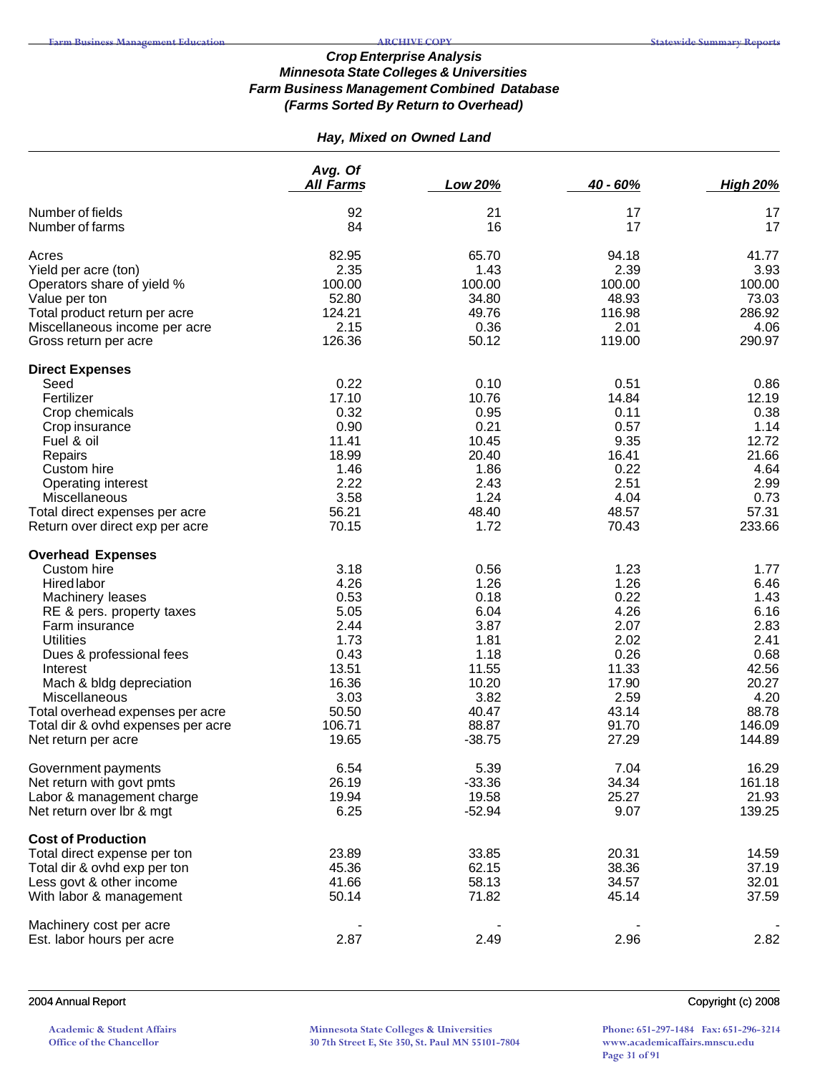# *Hay, Mixed on Owned Land*

|                                     | Avg. Of<br>All Farms | Low 20%  | 40 - 60% | <b>High 20%</b> |
|-------------------------------------|----------------------|----------|----------|-----------------|
| Number of fields<br>Number of farms | 92<br>84             | 21<br>16 | 17<br>17 | 17<br>17        |
| Acres                               | 82.95                | 65.70    | 94.18    | 41.77           |
| Yield per acre (ton)                | 2.35                 | 1.43     | 2.39     | 3.93            |
| Operators share of yield %          | 100.00               | 100.00   | 100.00   | 100.00          |
| Value per ton                       | 52.80                | 34.80    | 48.93    | 73.03           |
| Total product return per acre       | 124.21               | 49.76    | 116.98   | 286.92          |
| Miscellaneous income per acre       | 2.15                 | 0.36     | 2.01     | 4.06            |
| Gross return per acre               | 126.36               | 50.12    | 119.00   | 290.97          |
| <b>Direct Expenses</b>              |                      |          |          |                 |
| Seed                                | 0.22                 | 0.10     | 0.51     | 0.86            |
| Fertilizer                          | 17.10                | 10.76    | 14.84    | 12.19           |
| Crop chemicals                      | 0.32                 | 0.95     | 0.11     | 0.38            |
| Crop insurance                      | 0.90                 | 0.21     | 0.57     | 1.14            |
| Fuel & oil                          | 11.41                | 10.45    | 9.35     | 12.72           |
| Repairs                             | 18.99                | 20.40    | 16.41    | 21.66           |
| Custom hire                         | 1.46                 | 1.86     | 0.22     | 4.64            |
| Operating interest                  | 2.22                 | 2.43     | 2.51     | 2.99            |
| Miscellaneous                       | 3.58                 | 1.24     | 4.04     | 0.73            |
| Total direct expenses per acre      | 56.21                | 48.40    | 48.57    | 57.31           |
| Return over direct exp per acre     | 70.15                | 1.72     | 70.43    | 233.66          |
| <b>Overhead Expenses</b>            |                      |          |          |                 |
| Custom hire                         | 3.18                 | 0.56     | 1.23     | 1.77            |
| Hired labor                         | 4.26                 | 1.26     | 1.26     | 6.46            |
| Machinery leases                    | 0.53                 | 0.18     | 0.22     | 1.43            |
| RE & pers. property taxes           | 5.05                 | 6.04     | 4.26     | 6.16            |
| Farm insurance                      | 2.44                 | 3.87     | 2.07     | 2.83            |
| <b>Utilities</b>                    | 1.73                 | 1.81     | 2.02     | 2.41            |
| Dues & professional fees            | 0.43                 | 1.18     | 0.26     | 0.68            |
| Interest                            | 13.51                | 11.55    | 11.33    | 42.56           |
| Mach & bldg depreciation            | 16.36                | 10.20    | 17.90    | 20.27           |
| Miscellaneous                       | 3.03                 | 3.82     | 2.59     | 4.20            |
| Total overhead expenses per acre    | 50.50                | 40.47    | 43.14    | 88.78           |
| Total dir & ovhd expenses per acre  | 106.71               | 88.87    | 91.70    | 146.09          |
| Net return per acre                 | 19.65                | $-38.75$ | 27.29    | 144.89          |
| Government payments                 | 6.54                 | 5.39     | 7.04     | 16.29           |
| Net return with govt pmts           | 26.19                | $-33.36$ | 34.34    | 161.18          |
| Labor & management charge           | 19.94                | 19.58    | 25.27    | 21.93           |
| Net return over lbr & mgt           | 6.25                 | $-52.94$ | 9.07     | 139.25          |
| <b>Cost of Production</b>           |                      |          |          |                 |
| Total direct expense per ton        | 23.89                | 33.85    | 20.31    | 14.59           |
| Total dir & ovhd exp per ton        | 45.36                | 62.15    | 38.36    | 37.19           |
| Less govt & other income            | 41.66                | 58.13    | 34.57    | 32.01           |
| With labor & management             | 50.14                | 71.82    | 45.14    | 37.59           |
| Machinery cost per acre             |                      |          |          |                 |
| Est. labor hours per acre           | 2.87                 | 2.49     | 2.96     | 2.82            |
|                                     |                      |          |          |                 |

#### 2004 Annual Report Copyright (c) 2008

**Academic & Student Affairs Office of the Chancellor**

**Minnesota State Colleges & Universities 30 7th Street E, Ste 350, St. Paul MN 55101-7804**

**Phone: 651-297-1484 Fax: 651-296-3214 www.academicaffairs.mnscu.edu Page 31 of 91**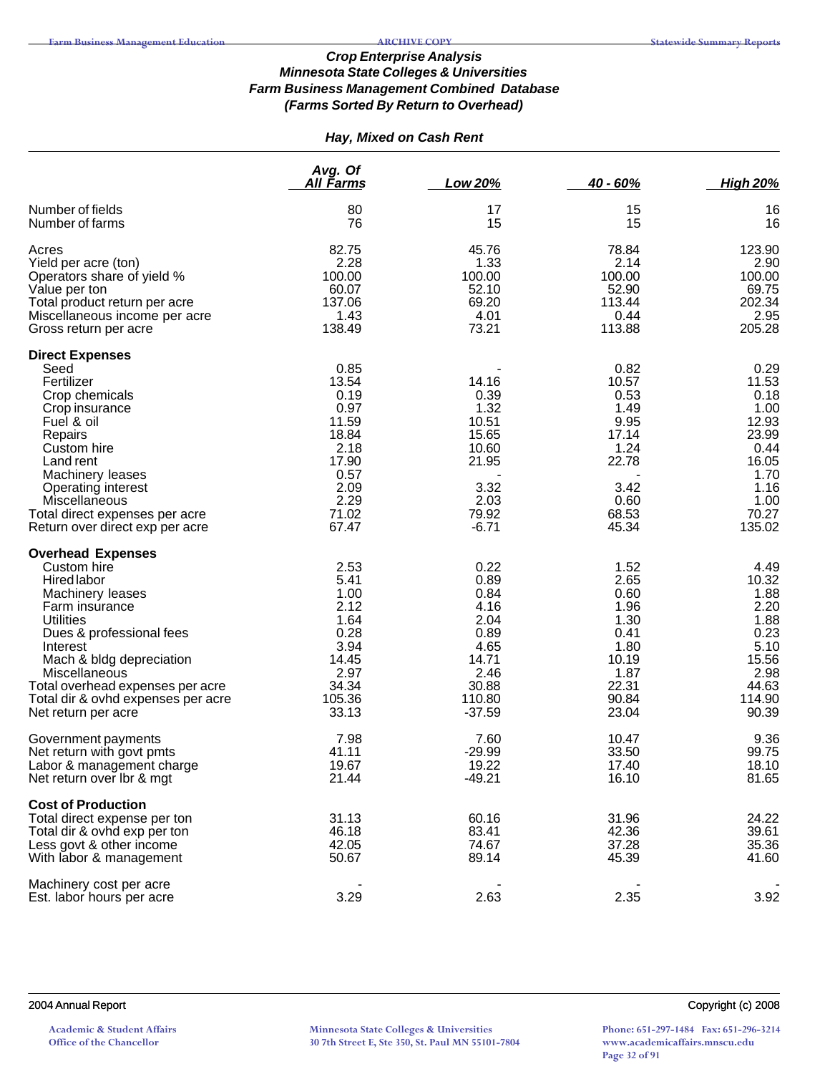# *Hay, Mixed on Cash Rent*

|                                                                                                                                                                                                                                                                                                               | Avg. Of<br><u>All Farms</u>                                                                                | Low 20%                                                                                              | $40 - 60%$                                                                                        | <b>High 20%</b>                                                                                             |
|---------------------------------------------------------------------------------------------------------------------------------------------------------------------------------------------------------------------------------------------------------------------------------------------------------------|------------------------------------------------------------------------------------------------------------|------------------------------------------------------------------------------------------------------|---------------------------------------------------------------------------------------------------|-------------------------------------------------------------------------------------------------------------|
| Number of fields<br>Number of farms                                                                                                                                                                                                                                                                           | 80<br>76                                                                                                   | 17<br>15                                                                                             | 15<br>15                                                                                          | 16<br>16                                                                                                    |
| Acres<br>Yield per acre (ton)<br>Operators share of yield %<br>Value per ton<br>Total product return per acre<br>Miscellaneous income per acre<br>Gross return per acre                                                                                                                                       | 82.75<br>2.28<br>100.00<br>60.07<br>137.06<br>1.43<br>138.49                                               | 45.76<br>1.33<br>100.00<br>52.10<br>69.20<br>4.01<br>73.21                                           | 78.84<br>2.14<br>100.00<br>52.90<br>113.44<br>0.44<br>113.88                                      | 123.90<br>2.90<br>100.00<br>69.75<br>202.34<br>2.95<br>205.28                                               |
| <b>Direct Expenses</b><br>Seed<br>Fertilizer<br>Crop chemicals<br>Crop insurance<br>Fuel & oil<br>Repairs<br>Custom hire<br>Land rent<br>Machinery leases<br>Operating interest<br>Miscellaneous<br>Total direct expenses per acre<br>Return over direct exp per acre                                         | 0.85<br>13.54<br>0.19<br>0.97<br>11.59<br>18.84<br>2.18<br>17.90<br>0.57<br>2.09<br>2.29<br>71.02<br>67.47 | 14.16<br>0.39<br>1.32<br>10.51<br>15.65<br>10.60<br>21.95<br>3.32<br>2.03<br>79.92<br>$-6.71$        | 0.82<br>10.57<br>0.53<br>1.49<br>9.95<br>17.14<br>1.24<br>22.78<br>3.42<br>0.60<br>68.53<br>45.34 | 0.29<br>11.53<br>0.18<br>1.00<br>12.93<br>23.99<br>0.44<br>16.05<br>1.70<br>1.16<br>1.00<br>70.27<br>135.02 |
| <b>Overhead Expenses</b><br>Custom hire<br><b>Hired labor</b><br>Machinery leases<br>Farm insurance<br><b>Utilities</b><br>Dues & professional fees<br>Interest<br>Mach & bldg depreciation<br>Miscellaneous<br>Total overhead expenses per acre<br>Total dir & ovhd expenses per acre<br>Net return per acre | 2.53<br>5.41<br>1.00<br>2.12<br>1.64<br>0.28<br>3.94<br>14.45<br>2.97<br>34.34<br>105.36<br>33.13          | 0.22<br>0.89<br>0.84<br>4.16<br>2.04<br>0.89<br>4.65<br>14.71<br>2.46<br>30.88<br>110.80<br>$-37.59$ | 1.52<br>2.65<br>0.60<br>1.96<br>1.30<br>0.41<br>1.80<br>10.19<br>1.87<br>22.31<br>90.84<br>23.04  | 4.49<br>10.32<br>1.88<br>2.20<br>1.88<br>0.23<br>5.10<br>15.56<br>2.98<br>44.63<br>114.90<br>90.39          |
| Government payments<br>Net return with govt pmts<br>Labor & management charge<br>Net return over Ibr & mgt                                                                                                                                                                                                    | 7.98<br>41.11<br>19.67<br>21.44                                                                            | 7.60<br>$-29.99$<br>19.22<br>$-49.21$                                                                | 10.47<br>33.50<br>17.40<br>16.10                                                                  | 9.36<br>99.75<br>18.10<br>81.65                                                                             |
| <b>Cost of Production</b><br>Total direct expense per ton<br>Total dir & ovhd exp per ton<br>Less govt & other income<br>With labor & management                                                                                                                                                              | 31.13<br>46.18<br>42.05<br>50.67                                                                           | 60.16<br>83.41<br>74.67<br>89.14                                                                     | 31.96<br>42.36<br>37.28<br>45.39                                                                  | 24.22<br>39.61<br>35.36<br>41.60                                                                            |
| Machinery cost per acre<br>Est. labor hours per acre                                                                                                                                                                                                                                                          | 3.29                                                                                                       | 2.63                                                                                                 | 2.35                                                                                              | 3.92                                                                                                        |

**Academic & Student Affairs Office of the Chancellor**

**Minnesota State Colleges & Universities 30 7th Street E, Ste 350, St. Paul MN 55101-7804** **Phone: 651-297-1484 Fax: 651-296-3214 www.academicaffairs.mnscu.edu Page 32 of 91**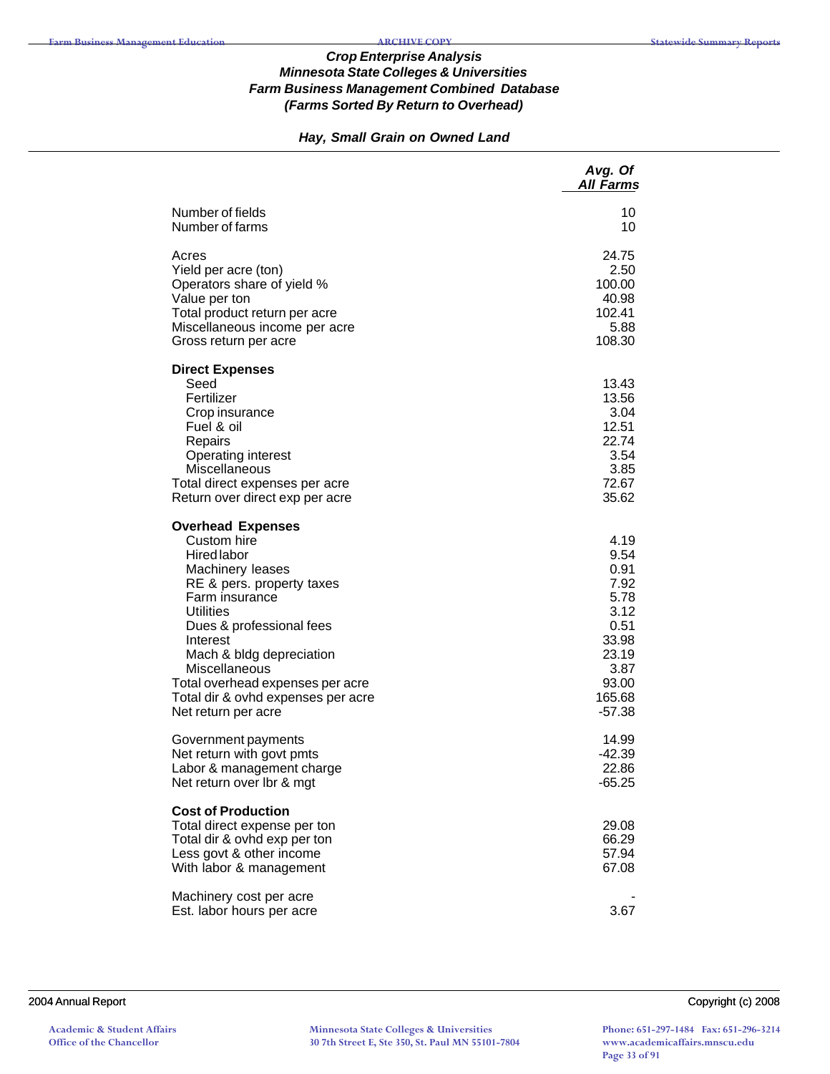# *Hay, Small Grain on Owned Land*

|                                                                                                                                                                                                                                                                                                                                            | Avg. Of<br><b>All Farms</b>                                                                                   |
|--------------------------------------------------------------------------------------------------------------------------------------------------------------------------------------------------------------------------------------------------------------------------------------------------------------------------------------------|---------------------------------------------------------------------------------------------------------------|
| Number of fields<br>Number of farms                                                                                                                                                                                                                                                                                                        | 10<br>10                                                                                                      |
| Acres<br>Yield per acre (ton)<br>Operators share of yield %<br>Value per ton<br>Total product return per acre<br>Miscellaneous income per acre<br>Gross return per acre                                                                                                                                                                    | 24.75<br>2.50<br>100.00<br>40.98<br>102.41<br>5.88<br>108.30                                                  |
| <b>Direct Expenses</b><br>Seed<br>Fertilizer<br>Crop insurance<br>Fuel & oil<br>Repairs<br><b>Operating interest</b><br>Miscellaneous<br>Total direct expenses per acre<br>Return over direct exp per acre                                                                                                                                 | 13.43<br>13.56<br>3.04<br>12.51<br>22.74<br>3.54<br>3.85<br>72.67<br>35.62                                    |
| <b>Overhead Expenses</b><br>Custom hire<br><b>Hired labor</b><br>Machinery leases<br>RE & pers. property taxes<br>Farm insurance<br><b>Utilities</b><br>Dues & professional fees<br>Interest<br>Mach & bldg depreciation<br>Miscellaneous<br>Total overhead expenses per acre<br>Total dir & ovhd expenses per acre<br>Net return per acre | 4.19<br>9.54<br>0.91<br>7.92<br>5.78<br>3.12<br>0.51<br>33.98<br>23.19<br>3.87<br>93.00<br>165.68<br>$-57.38$ |
| Government payments<br>Net return with govt pmts<br>Labor & management charge<br>Net return over Ibr & mgt                                                                                                                                                                                                                                 | 14.99<br>$-42.39$<br>22.86<br>$-65.25$                                                                        |
| <b>Cost of Production</b><br>Total direct expense per ton<br>Total dir & ovhd exp per ton<br>Less govt & other income<br>With labor & management                                                                                                                                                                                           | 29.08<br>66.29<br>57.94<br>67.08                                                                              |
| Machinery cost per acre<br>Est. labor hours per acre                                                                                                                                                                                                                                                                                       | 3.67                                                                                                          |

2004 Annual Report Copyright (c) 2008

**Minnesota State Colleges & Universities 30 7th Street E, Ste 350, St. Paul MN 55101-7804** **Phone: 651-297-1484 Fax: 651-296-3214 www.academicaffairs.mnscu.edu Page 33 of 91**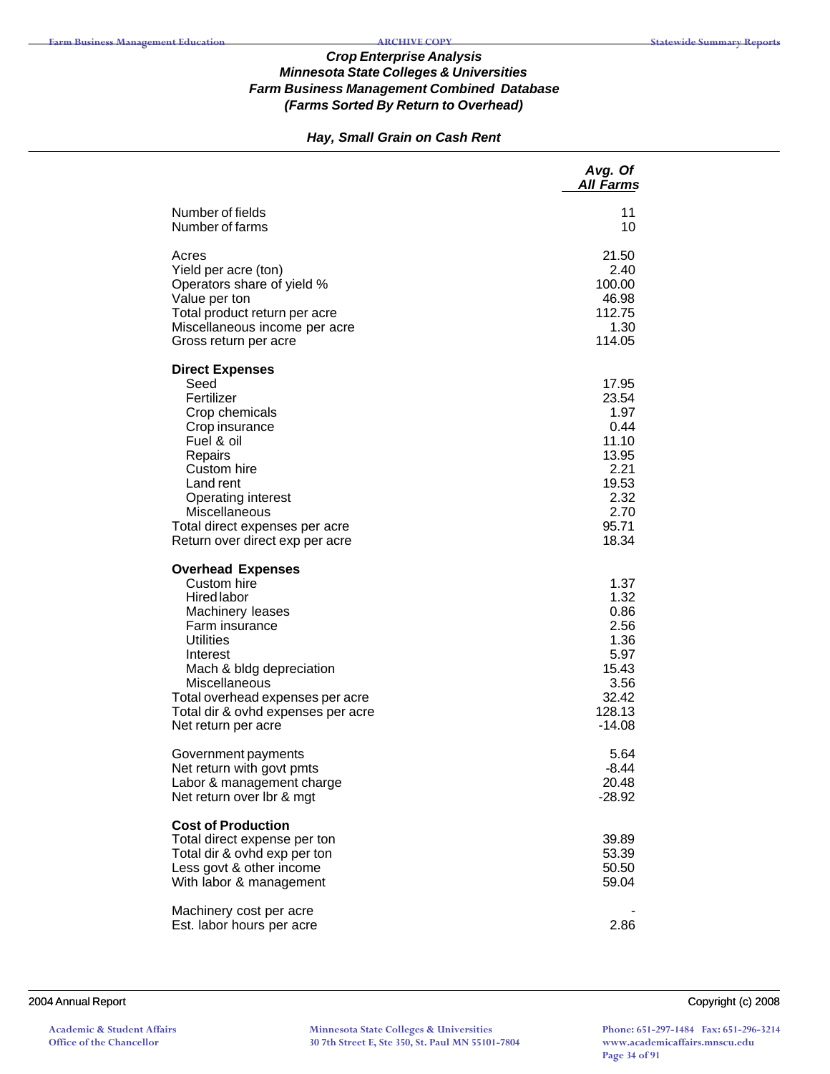# *Hay, Small Grain on Cash Rent*

|                                                                                                                                                                                                                                                                                   | Avg. Of<br><b>All Farms</b>                                                                         |
|-----------------------------------------------------------------------------------------------------------------------------------------------------------------------------------------------------------------------------------------------------------------------------------|-----------------------------------------------------------------------------------------------------|
| Number of fields<br>Number of farms                                                                                                                                                                                                                                               | 11<br>10                                                                                            |
| Acres<br>Yield per acre (ton)<br>Operators share of yield %<br>Value per ton<br>Total product return per acre<br>Miscellaneous income per acre<br>Gross return per acre                                                                                                           | 21.50<br>2.40<br>100.00<br>46.98<br>112.75<br>1.30<br>114.05                                        |
| <b>Direct Expenses</b><br>Seed<br>Fertilizer<br>Crop chemicals<br>Crop insurance<br>Fuel & oil<br>Repairs<br>Custom hire<br>Land rent<br><b>Operating interest</b><br>Miscellaneous<br>Total direct expenses per acre<br>Return over direct exp per acre                          | 17.95<br>23.54<br>1.97<br>0.44<br>11.10<br>13.95<br>2.21<br>19.53<br>2.32<br>2.70<br>95.71<br>18.34 |
| <b>Overhead Expenses</b><br>Custom hire<br><b>Hired labor</b><br>Machinery leases<br>Farm insurance<br><b>Utilities</b><br>Interest<br>Mach & bldg depreciation<br>Miscellaneous<br>Total overhead expenses per acre<br>Total dir & ovhd expenses per acre<br>Net return per acre | 1.37<br>1.32<br>0.86<br>2.56<br>1.36<br>5.97<br>15.43<br>3.56<br>32.42<br>128.13<br>$-14.08$        |
| Government payments<br>Net return with govt pmts<br>Labor & management charge<br>Net return over lbr & mgt                                                                                                                                                                        | 5.64<br>-8.44<br>20.48<br>$-28.92$                                                                  |
| <b>Cost of Production</b><br>Total direct expense per ton<br>Total dir & ovhd exp per ton<br>Less govt & other income<br>With labor & management                                                                                                                                  | 39.89<br>53.39<br>50.50<br>59.04                                                                    |
| Machinery cost per acre<br>Est. labor hours per acre                                                                                                                                                                                                                              | 2.86                                                                                                |

#### 2004 Annual Report Copyright (c) 2008

**Minnesota State Colleges & Universities 30 7th Street E, Ste 350, St. Paul MN 55101-7804**

**Phone: 651-297-1484 Fax: 651-296-3214 www.academicaffairs.mnscu.edu Page 34 of 91**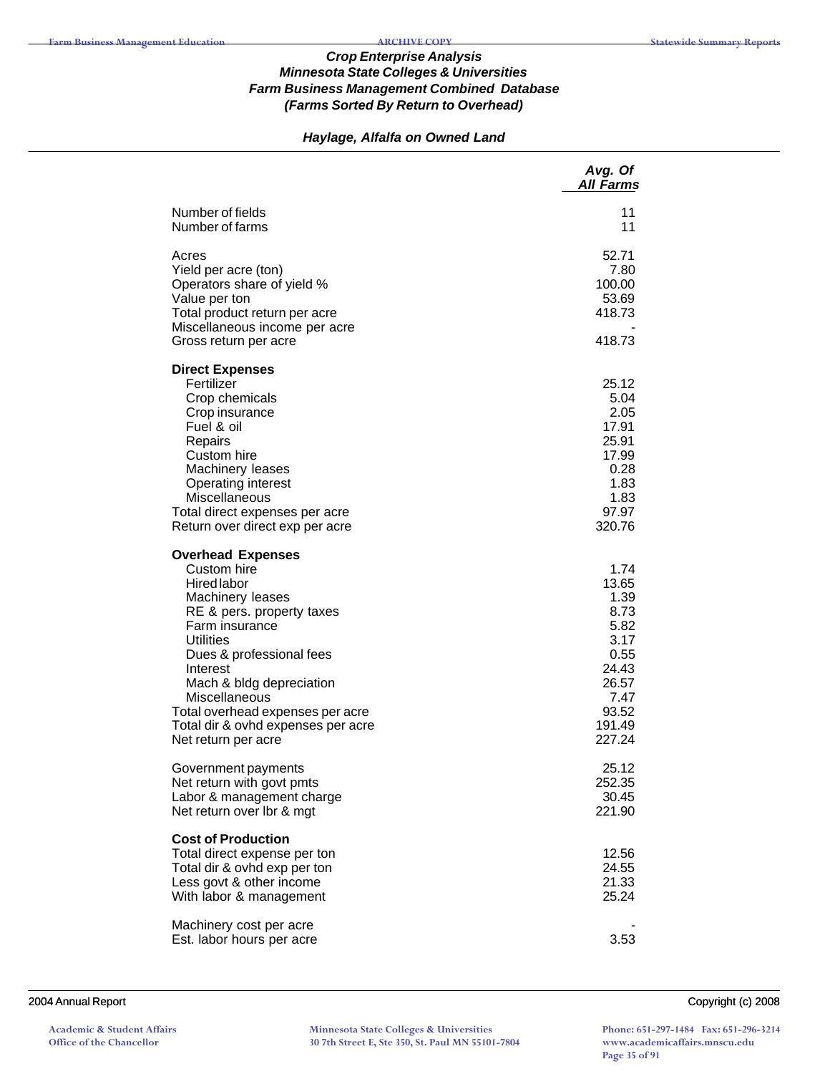# *Haylage, Alfalfa on Owned Land*

|                                                                                                                                                                                                                                                                                                                                            | Avg. Of<br><b>All Farms</b>                                                                                  |
|--------------------------------------------------------------------------------------------------------------------------------------------------------------------------------------------------------------------------------------------------------------------------------------------------------------------------------------------|--------------------------------------------------------------------------------------------------------------|
| Number of fields<br>Number of farms                                                                                                                                                                                                                                                                                                        | 11<br>11                                                                                                     |
| Acres<br>Yield per acre (ton)<br>Operators share of yield %<br>Value per ton<br>Total product return per acre<br>Miscellaneous income per acre<br>Gross return per acre                                                                                                                                                                    | 52.71<br>7.80<br>100.00<br>53.69<br>418.73<br>418.73                                                         |
| <b>Direct Expenses</b><br>Fertilizer<br>Crop chemicals<br>Crop insurance<br>Fuel & oil<br>Repairs<br>Custom hire<br>Machinery leases<br>Operating interest<br>Miscellaneous<br>Total direct expenses per acre<br>Return over direct exp per acre                                                                                           | 25.12<br>5.04<br>2.05<br>17.91<br>25.91<br>17.99<br>0.28<br>1.83<br>1.83<br>97.97<br>320.76                  |
| <b>Overhead Expenses</b><br>Custom hire<br><b>Hired labor</b><br>Machinery leases<br>RE & pers. property taxes<br>Farm insurance<br><b>Utilities</b><br>Dues & professional fees<br>Interest<br>Mach & bldg depreciation<br>Miscellaneous<br>Total overhead expenses per acre<br>Total dir & ovhd expenses per acre<br>Net return per acre | 1.74<br>13.65<br>1.39<br>8.73<br>5.82<br>3.17<br>0.55<br>24.43<br>26.57<br>7.47<br>93.52<br>191.49<br>227.24 |
| Government payments<br>Net return with govt pmts<br>Labor & management charge<br>Net return over Ibr & mgt                                                                                                                                                                                                                                 | 25.12<br>252.35<br>30.45<br>221.90                                                                           |
| <b>Cost of Production</b><br>Total direct expense per ton<br>Total dir & ovhd exp per ton<br>Less govt & other income<br>With labor & management                                                                                                                                                                                           | 12.56<br>24.55<br>21.33<br>25.24                                                                             |
| Machinery cost per acre<br>Est. labor hours per acre                                                                                                                                                                                                                                                                                       | 3.53                                                                                                         |

#### 2004 Annual Report Copyright (c) 2008

**Academic & Student Affairs Office of the Chancellor**

**Minnesota State Colleges & Universities 30 7th Street E, Ste 350, St. Paul MN 55101-7804**

**Phone: 651-297-1484 Fax: 651-296-3214 www.academicaffairs.mnscu.edu Page 35 of 91**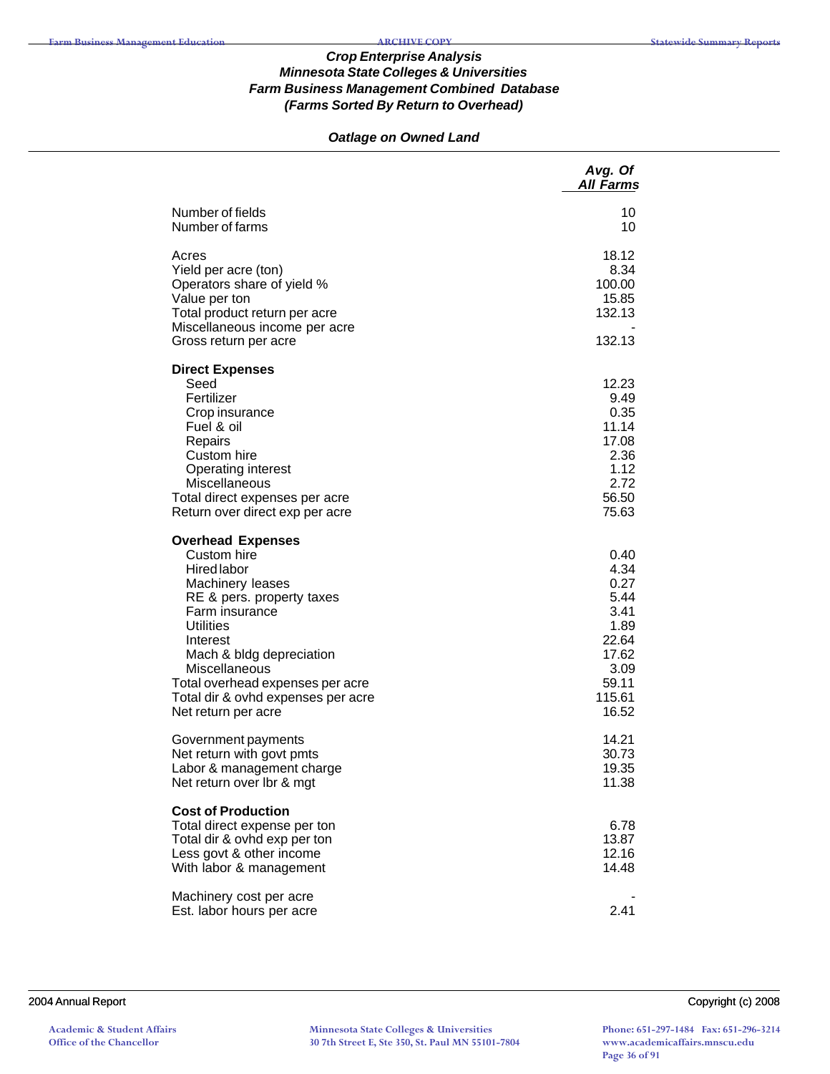## *Oatlage on Owned Land*

|                                                                                                                                                                                                                                                                                                                | Avg. Of<br>All Farms                                                                               |
|----------------------------------------------------------------------------------------------------------------------------------------------------------------------------------------------------------------------------------------------------------------------------------------------------------------|----------------------------------------------------------------------------------------------------|
| Number of fields<br>Number of farms                                                                                                                                                                                                                                                                            | 10<br>10                                                                                           |
| Acres<br>Yield per acre (ton)<br>Operators share of yield %<br>Value per ton<br>Total product return per acre<br>Miscellaneous income per acre<br>Gross return per acre                                                                                                                                        | 18.12<br>8.34<br>100.00<br>15.85<br>132.13<br>132.13                                               |
| <b>Direct Expenses</b><br>Seed<br>Fertilizer<br>Crop insurance<br>Fuel & oil<br>Repairs<br>Custom hire<br>Operating interest<br>Miscellaneous<br>Total direct expenses per acre<br>Return over direct exp per acre                                                                                             | 12.23<br>9.49<br>0.35<br>11.14<br>17.08<br>2.36<br>1.12<br>2.72<br>56.50<br>75.63                  |
| <b>Overhead Expenses</b><br>Custom hire<br><b>Hired labor</b><br>Machinery leases<br>RE & pers. property taxes<br>Farm insurance<br><b>Utilities</b><br>Interest<br>Mach & bldg depreciation<br>Miscellaneous<br>Total overhead expenses per acre<br>Total dir & ovhd expenses per acre<br>Net return per acre | 0.40<br>4.34<br>0.27<br>5.44<br>3.41<br>1.89<br>22.64<br>17.62<br>3.09<br>59.11<br>115.61<br>16.52 |
| Government payments<br>Net return with govt pmts<br>Labor & management charge<br>Net return over Ibr & mgt                                                                                                                                                                                                     | 14.21<br>30.73<br>19.35<br>11.38                                                                   |
| <b>Cost of Production</b><br>Total direct expense per ton<br>Total dir & ovhd exp per ton<br>Less govt & other income<br>With labor & management                                                                                                                                                               | 6.78<br>13.87<br>12.16<br>14.48                                                                    |
| Machinery cost per acre<br>Est. labor hours per acre                                                                                                                                                                                                                                                           | 2.41                                                                                               |

#### 2004 Annual Report Copyright (c) 2008

**Minnesota State Colleges & Universities 30 7th Street E, Ste 350, St. Paul MN 55101-7804**

**Phone: 651-297-1484 Fax: 651-296-3214 www.academicaffairs.mnscu.edu Page 36 of 91**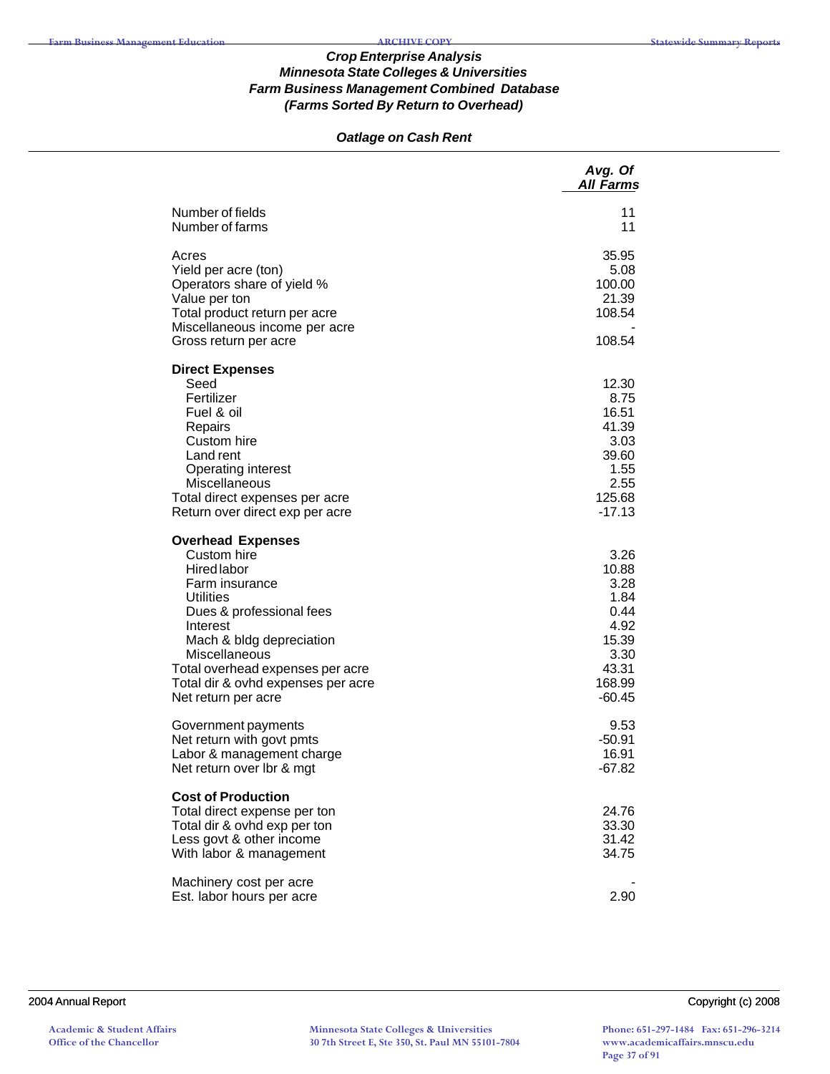# *Oatlage on Cash Rent*

|                                                                                                                                                                                                                                                                                    | Avg. Of<br><b>All Farms</b>                                                                   |
|------------------------------------------------------------------------------------------------------------------------------------------------------------------------------------------------------------------------------------------------------------------------------------|-----------------------------------------------------------------------------------------------|
| Number of fields<br>Number of farms                                                                                                                                                                                                                                                | 11<br>11                                                                                      |
| Acres<br>Yield per acre (ton)<br>Operators share of yield %<br>Value per ton<br>Total product return per acre<br>Miscellaneous income per acre<br>Gross return per acre                                                                                                            | 35.95<br>5.08<br>100.00<br>21.39<br>108.54<br>108.54                                          |
| <b>Direct Expenses</b><br>Seed<br>Fertilizer<br>Fuel & oil<br>Repairs<br>Custom hire<br>Land rent<br><b>Operating interest</b><br>Miscellaneous<br>Total direct expenses per acre<br>Return over direct exp per acre                                                               | 12.30<br>8.75<br>16.51<br>41.39<br>3.03<br>39.60<br>1.55<br>2.55<br>125.68<br>$-17.13$        |
| <b>Overhead Expenses</b><br>Custom hire<br><b>Hired labor</b><br>Farm insurance<br>Utilities<br>Dues & professional fees<br>Interest<br>Mach & bldg depreciation<br>Miscellaneous<br>Total overhead expenses per acre<br>Total dir & ovhd expenses per acre<br>Net return per acre | 3.26<br>10.88<br>3.28<br>1.84<br>0.44<br>4.92<br>15.39<br>3.30<br>43.31<br>168.99<br>$-60.45$ |
| Government payments<br>Net return with govt pmts<br>Labor & management charge<br>Net return over Ibr & mgt                                                                                                                                                                         | 9.53<br>$-50.91$<br>16.91<br>-67.82                                                           |
| <b>Cost of Production</b><br>Total direct expense per ton<br>Total dir & ovhd exp per ton<br>Less govt & other income<br>With labor & management                                                                                                                                   | 24.76<br>33.30<br>31.42<br>34.75                                                              |
| Machinery cost per acre<br>Est. labor hours per acre                                                                                                                                                                                                                               | 2.90                                                                                          |

### 2004 Annual Report Copyright (c) 2008

**Phone: 651-297-1484 Fax: 651-296-3214 www.academicaffairs.mnscu.edu Page 37 of 91**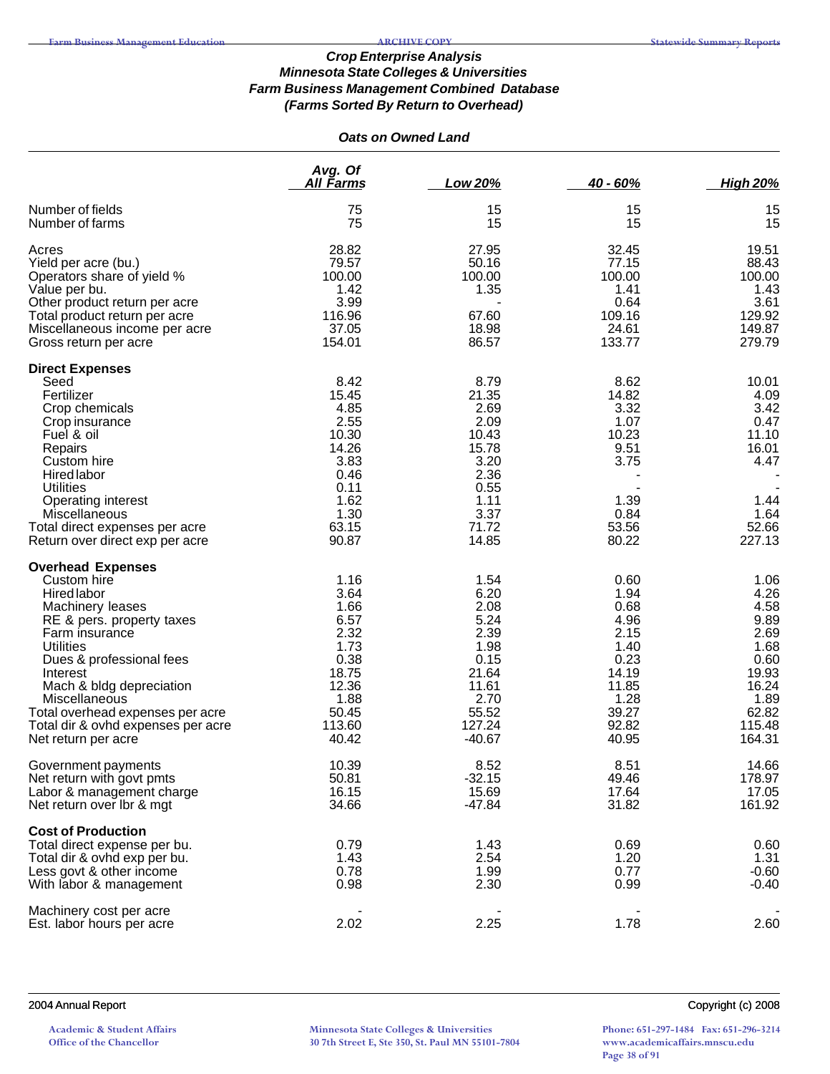# *Oats on Owned Land*

|                                                                                                                                                                                                                                                                                                                                     | Avg. Of<br><u>All Farms</u>                                                                                | Low 20%                                                                                                       | $40 - 60%$                                                                                                | <b>High 20%</b>                                                                                             |
|-------------------------------------------------------------------------------------------------------------------------------------------------------------------------------------------------------------------------------------------------------------------------------------------------------------------------------------|------------------------------------------------------------------------------------------------------------|---------------------------------------------------------------------------------------------------------------|-----------------------------------------------------------------------------------------------------------|-------------------------------------------------------------------------------------------------------------|
| Number of fields<br>Number of farms                                                                                                                                                                                                                                                                                                 | 75<br>75                                                                                                   | 15<br>15                                                                                                      | 15<br>15                                                                                                  | 15<br>15                                                                                                    |
| Acres<br>Yield per acre (bu.)<br>Operators share of yield %<br>Value per bu.<br>Other product return per acre<br>Total product return per acre<br>Miscellaneous income per acre<br>Gross return per acre                                                                                                                            | 28.82<br>79.57<br>100.00<br>1.42<br>3.99<br>116.96<br>37.05<br>154.01                                      | 27.95<br>50.16<br>100.00<br>1.35<br>67.60<br>18.98<br>86.57                                                   | 32.45<br>77.15<br>100.00<br>1.41<br>0.64<br>109.16<br>24.61<br>133.77                                     | 19.51<br>88.43<br>100.00<br>1.43<br>3.61<br>129.92<br>149.87<br>279.79                                      |
| <b>Direct Expenses</b><br>Seed<br>Fertilizer<br>Crop chemicals<br>Crop insurance<br>Fuel & oil<br>Repairs<br>Custom hire<br><b>Hired labor</b><br><b>Utilities</b><br><b>Operating interest</b><br>Miscellaneous<br>Total direct expenses per acre<br>Return over direct exp per acre                                               | 8.42<br>15.45<br>4.85<br>2.55<br>10.30<br>14.26<br>3.83<br>0.46<br>0.11<br>1.62<br>1.30<br>63.15<br>90.87  | 8.79<br>21.35<br>2.69<br>2.09<br>10.43<br>15.78<br>3.20<br>2.36<br>0.55<br>1.11<br>3.37<br>71.72<br>14.85     | 8.62<br>14.82<br>3.32<br>1.07<br>10.23<br>9.51<br>3.75<br>1.39<br>0.84<br>53.56<br>80.22                  | 10.01<br>4.09<br>3.42<br>0.47<br>11.10<br>16.01<br>4.47<br>1.44<br>1.64<br>52.66<br>227.13                  |
| <b>Overhead Expenses</b><br>Custom hire<br>Hired labor<br>Machinery leases<br>RE & pers. property taxes<br>Farm insurance<br><b>Utilities</b><br>Dues & professional fees<br>Interest<br>Mach & bldg depreciation<br>Miscellaneous<br>Total overhead expenses per acre<br>Total dir & ovhd expenses per acre<br>Net return per acre | 1.16<br>3.64<br>1.66<br>6.57<br>2.32<br>1.73<br>0.38<br>18.75<br>12.36<br>1.88<br>50.45<br>113.60<br>40.42 | 1.54<br>6.20<br>2.08<br>5.24<br>2.39<br>1.98<br>0.15<br>21.64<br>11.61<br>2.70<br>55.52<br>127.24<br>$-40.67$ | 0.60<br>1.94<br>0.68<br>4.96<br>2.15<br>1.40<br>0.23<br>14.19<br>11.85<br>1.28<br>39.27<br>92.82<br>40.95 | 1.06<br>4.26<br>4.58<br>9.89<br>2.69<br>1.68<br>0.60<br>19.93<br>16.24<br>1.89<br>62.82<br>115.48<br>164.31 |
| Government payments<br>Net return with govt pmts<br>Labor & management charge<br>Net return over Ibr & mgt                                                                                                                                                                                                                          | 10.39<br>50.81<br>16.15<br>34.66                                                                           | 8.52<br>$-32.15$<br>15.69<br>$-47.84$                                                                         | 8.51<br>49.46<br>17.64<br>31.82                                                                           | 14.66<br>178.97<br>17.05<br>161.92                                                                          |
| <b>Cost of Production</b><br>Total direct expense per bu.<br>Total dir & ovhd exp per bu.<br>Less govt & other income<br>With labor & management                                                                                                                                                                                    | 0.79<br>1.43<br>0.78<br>0.98                                                                               | 1.43<br>2.54<br>1.99<br>2.30                                                                                  | 0.69<br>1.20<br>0.77<br>0.99                                                                              | 0.60<br>1.31<br>$-0.60$<br>$-0.40$                                                                          |
| Machinery cost per acre<br>Est. labor hours per acre                                                                                                                                                                                                                                                                                | 2.02                                                                                                       | 2.25                                                                                                          | 1.78                                                                                                      | 2.60                                                                                                        |

**Phone: 651-297-1484 Fax: 651-296-3214 www.academicaffairs.mnscu.edu Page 38 of 91**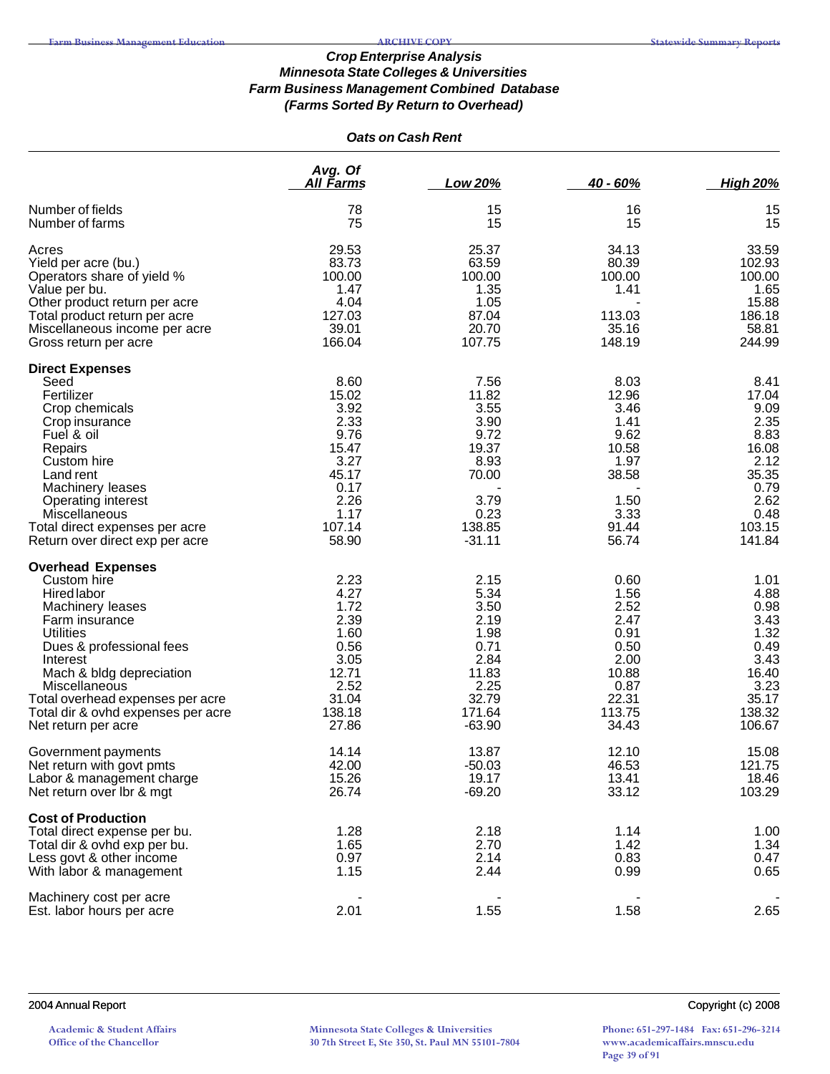# *Oats on Cash Rent*

|                                                                                                                                                                                                                                                                                                        | Avg. Of<br>All Farms                                                                                       | Low 20%                                                                                               | $40 - 60%$                                                                                        | <b>High 20%</b>                                                                                             |
|--------------------------------------------------------------------------------------------------------------------------------------------------------------------------------------------------------------------------------------------------------------------------------------------------------|------------------------------------------------------------------------------------------------------------|-------------------------------------------------------------------------------------------------------|---------------------------------------------------------------------------------------------------|-------------------------------------------------------------------------------------------------------------|
| Number of fields<br>Number of farms                                                                                                                                                                                                                                                                    | 78<br>75                                                                                                   | 15<br>15                                                                                              | 16<br>15                                                                                          | 15<br>15                                                                                                    |
| Acres<br>Yield per acre (bu.)<br>Operators share of yield %<br>Value per bu.<br>Other product return per acre<br>Total product return per acre<br>Miscellaneous income per acre<br>Gross return per acre                                                                                               | 29.53<br>83.73<br>100.00<br>1.47<br>4.04<br>127.03<br>39.01<br>166.04                                      | 25.37<br>63.59<br>100.00<br>1.35<br>1.05<br>87.04<br>20.70<br>107.75                                  | 34.13<br>80.39<br>100.00<br>1.41<br>113.03<br>35.16<br>148.19                                     | 33.59<br>102.93<br>100.00<br>1.65<br>15.88<br>186.18<br>58.81<br>244.99                                     |
| <b>Direct Expenses</b><br>Seed<br>Fertilizer<br>Crop chemicals<br>Crop insurance<br>Fuel & oil<br>Repairs<br>Custom hire<br>Land rent<br>Machinery leases<br>Operating interest<br>Miscellaneous<br>Total direct expenses per acre<br>Return over direct exp per acre                                  | 8.60<br>15.02<br>3.92<br>2.33<br>9.76<br>15.47<br>3.27<br>45.17<br>0.17<br>2.26<br>1.17<br>107.14<br>58.90 | 7.56<br>11.82<br>3.55<br>3.90<br>9.72<br>19.37<br>8.93<br>70.00<br>3.79<br>0.23<br>138.85<br>$-31.11$ | 8.03<br>12.96<br>3.46<br>1.41<br>9.62<br>10.58<br>1.97<br>38.58<br>1.50<br>3.33<br>91.44<br>56.74 | 8.41<br>17.04<br>9.09<br>2.35<br>8.83<br>16.08<br>2.12<br>35.35<br>0.79<br>2.62<br>0.48<br>103.15<br>141.84 |
| <b>Overhead Expenses</b><br>Custom hire<br>Hired labor<br>Machinery leases<br>Farm insurance<br><b>Utilities</b><br>Dues & professional fees<br>Interest<br>Mach & bldg depreciation<br>Miscellaneous<br>Total overhead expenses per acre<br>Total dir & ovhd expenses per acre<br>Net return per acre | 2.23<br>4.27<br>1.72<br>2.39<br>1.60<br>0.56<br>3.05<br>12.71<br>2.52<br>31.04<br>138.18<br>27.86          | 2.15<br>5.34<br>3.50<br>2.19<br>1.98<br>0.71<br>2.84<br>11.83<br>2.25<br>32.79<br>171.64<br>$-63.90$  | 0.60<br>1.56<br>2.52<br>2.47<br>0.91<br>0.50<br>2.00<br>10.88<br>0.87<br>22.31<br>113.75<br>34.43 | 1.01<br>4.88<br>0.98<br>3.43<br>1.32<br>0.49<br>3.43<br>16.40<br>3.23<br>35.17<br>138.32<br>106.67          |
| Government payments<br>Net return with govt pmts<br>Labor & management charge<br>Net return over Ibr & mgt                                                                                                                                                                                             | 14.14<br>42.00<br>15.26<br>26.74                                                                           | 13.87<br>$-50.03$<br>19.17<br>$-69.20$                                                                | 12.10<br>46.53<br>13.41<br>33.12                                                                  | 15.08<br>121.75<br>18.46<br>103.29                                                                          |
| <b>Cost of Production</b><br>Total direct expense per bu.<br>Total dir & ovhd exp per bu.<br>Less govt & other income<br>With labor & management                                                                                                                                                       | 1.28<br>1.65<br>0.97<br>1.15                                                                               | 2.18<br>2.70<br>2.14<br>2.44                                                                          | 1.14<br>1.42<br>0.83<br>0.99                                                                      | 1.00<br>1.34<br>0.47<br>0.65                                                                                |
| Machinery cost per acre<br>Est. labor hours per acre                                                                                                                                                                                                                                                   | 2.01                                                                                                       | 1.55                                                                                                  | 1.58                                                                                              | 2.65                                                                                                        |

## 2004 Annual Report Copyright (c) 2008

**Minnesota State Colleges & Universities 30 7th Street E, Ste 350, St. Paul MN 55101-7804**

**Phone: 651-297-1484 Fax: 651-296-3214 www.academicaffairs.mnscu.edu Page 39 of 91**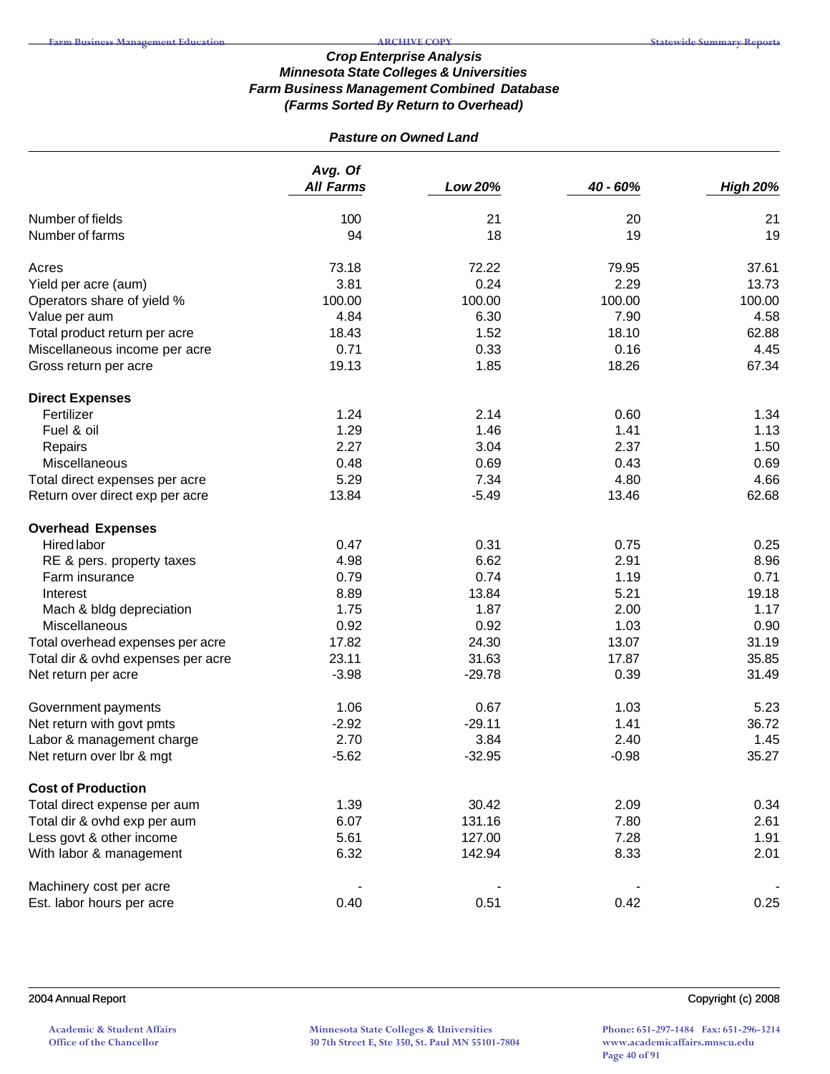# *Pasture on Owned Land*

|                                    | Avg. Of<br><b>All Farms</b> | <b>Low 20%</b> | 40 - 60% | <b>High 20%</b> |
|------------------------------------|-----------------------------|----------------|----------|-----------------|
| Number of fields                   | 100                         | 21             | 20       | 21              |
| Number of farms                    | 94                          | 18             | 19       | 19              |
| Acres                              | 73.18                       | 72.22          | 79.95    | 37.61           |
| Yield per acre (aum)               | 3.81                        | 0.24           | 2.29     | 13.73           |
| Operators share of yield %         | 100.00                      | 100.00         | 100.00   | 100.00          |
| Value per aum                      | 4.84                        | 6.30           | 7.90     | 4.58            |
| Total product return per acre      | 18.43                       | 1.52           | 18.10    | 62.88           |
| Miscellaneous income per acre      | 0.71                        | 0.33           | 0.16     | 4.45            |
| Gross return per acre              | 19.13                       | 1.85           | 18.26    | 67.34           |
| <b>Direct Expenses</b>             |                             |                |          |                 |
| Fertilizer                         | 1.24                        | 2.14           | 0.60     | 1.34            |
| Fuel & oil                         | 1.29                        | 1.46           | 1.41     | 1.13            |
| Repairs                            | 2.27                        | 3.04           | 2.37     | 1.50            |
| Miscellaneous                      | 0.48                        | 0.69           | 0.43     | 0.69            |
| Total direct expenses per acre     | 5.29                        | 7.34           | 4.80     | 4.66            |
| Return over direct exp per acre    | 13.84                       | $-5.49$        | 13.46    | 62.68           |
| <b>Overhead Expenses</b>           |                             |                |          |                 |
| <b>Hired labor</b>                 | 0.47                        | 0.31           | 0.75     | 0.25            |
| RE & pers. property taxes          | 4.98                        | 6.62           | 2.91     | 8.96            |
| Farm insurance                     | 0.79                        | 0.74           | 1.19     | 0.71            |
| Interest                           | 8.89                        | 13.84          | 5.21     | 19.18           |
| Mach & bldg depreciation           | 1.75                        | 1.87           | 2.00     | 1.17            |
| Miscellaneous                      | 0.92                        | 0.92           | 1.03     | 0.90            |
| Total overhead expenses per acre   | 17.82                       | 24.30          | 13.07    | 31.19           |
| Total dir & ovhd expenses per acre | 23.11                       | 31.63          | 17.87    | 35.85           |
| Net return per acre                | $-3.98$                     | $-29.78$       | 0.39     | 31.49           |
| Government payments                | 1.06                        | 0.67           | 1.03     | 5.23            |
| Net return with govt pmts          | $-2.92$                     | $-29.11$       | 1.41     | 36.72           |
| Labor & management charge          | 2.70                        | 3.84           | 2.40     | 1.45            |
| Net return over Ibr & mgt          | $-5.62$                     | $-32.95$       | $-0.98$  | 35.27           |
| <b>Cost of Production</b>          |                             |                |          |                 |
| Total direct expense per aum       | 1.39                        | 30.42          | 2.09     | 0.34            |
| Total dir & ovhd exp per aum       | 6.07                        | 131.16         | 7.80     | 2.61            |
| Less govt & other income           | 5.61                        | 127.00         | 7.28     | 1.91            |
| With labor & management            | 6.32                        | 142.94         | 8.33     | 2.01            |
| Machinery cost per acre            |                             |                |          |                 |
| Est. labor hours per acre          | 0.40                        | 0.51           | 0.42     | 0.25            |

2004 Annual Report Copyright (c) 2008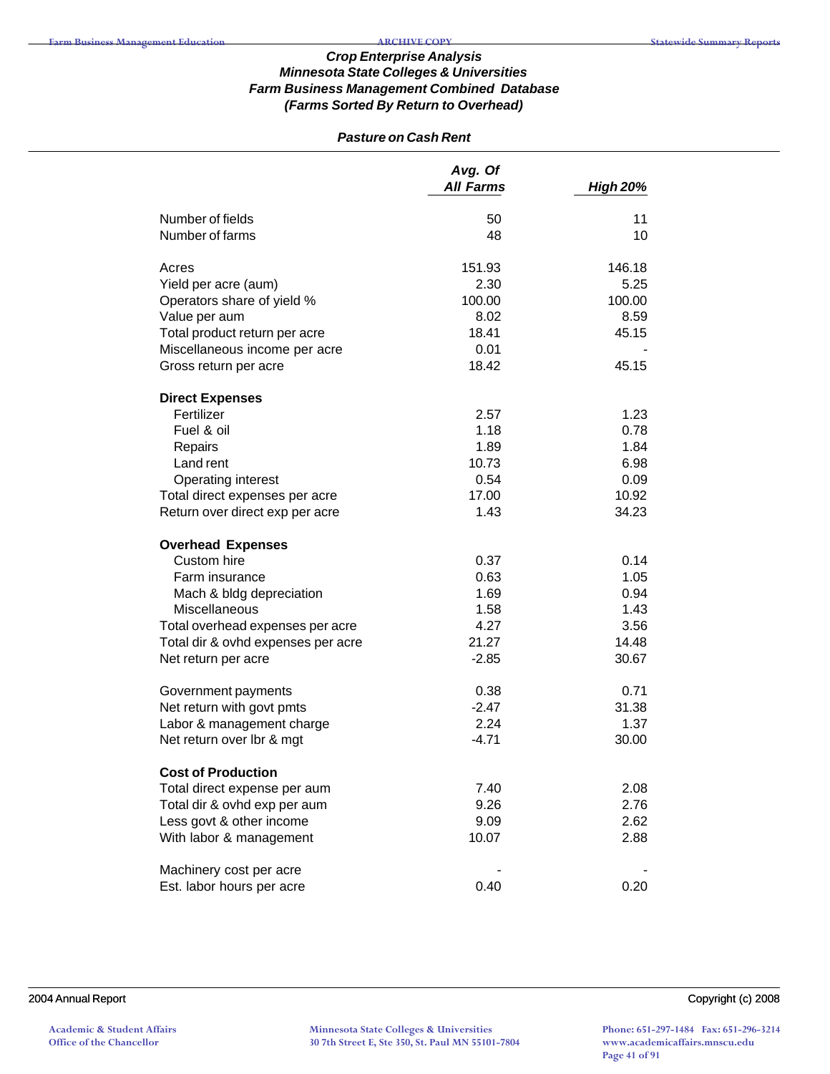# *Pasture on Cash Rent*

|                                    | Avg. Of<br><b>All Farms</b> | <b>High 20%</b> |
|------------------------------------|-----------------------------|-----------------|
| Number of fields                   | 50                          | 11              |
| Number of farms                    | 48                          | 10              |
| Acres                              | 151.93                      | 146.18          |
| Yield per acre (aum)               | 2.30                        | 5.25            |
| Operators share of yield %         | 100.00                      | 100.00          |
| Value per aum                      | 8.02                        | 8.59            |
| Total product return per acre      | 18.41                       | 45.15           |
| Miscellaneous income per acre      | 0.01                        |                 |
| Gross return per acre              | 18.42                       | 45.15           |
| <b>Direct Expenses</b>             |                             |                 |
| Fertilizer                         | 2.57                        | 1.23            |
| Fuel & oil                         | 1.18                        | 0.78            |
| Repairs                            | 1.89                        | 1.84            |
| Land rent                          | 10.73                       | 6.98            |
| Operating interest                 | 0.54                        | 0.09            |
| Total direct expenses per acre     | 17.00                       | 10.92           |
| Return over direct exp per acre    | 1.43                        | 34.23           |
| <b>Overhead Expenses</b>           |                             |                 |
| Custom hire                        | 0.37                        | 0.14            |
| Farm insurance                     | 0.63                        | 1.05            |
| Mach & bldg depreciation           | 1.69                        | 0.94            |
| <b>Miscellaneous</b>               | 1.58                        | 1.43            |
| Total overhead expenses per acre   | 4.27                        | 3.56            |
| Total dir & ovhd expenses per acre | 21.27                       | 14.48           |
| Net return per acre                | $-2.85$                     | 30.67           |
| Government payments                | 0.38                        | 0.71            |
| Net return with govt pmts          | $-2.47$                     | 31.38           |
| Labor & management charge          | 2.24                        | 1.37            |
| Net return over Ibr & mgt          | $-4.71$                     | 30.00           |
| <b>Cost of Production</b>          |                             |                 |
| Total direct expense per aum       | 7.40                        | 2.08            |
| Total dir & ovhd exp per aum       | 9.26                        | 2.76            |
| Less govt & other income           | 9.09                        | 2.62            |
| With labor & management            | 10.07                       | 2.88            |
| Machinery cost per acre            |                             |                 |
| Est. labor hours per acre          | 0.40                        | 0.20            |

2004 Annual Report Copyright (c) 2008

**Phone: 651-297-1484 Fax: 651-296-3214 www.academicaffairs.mnscu.edu Page 41 of 91**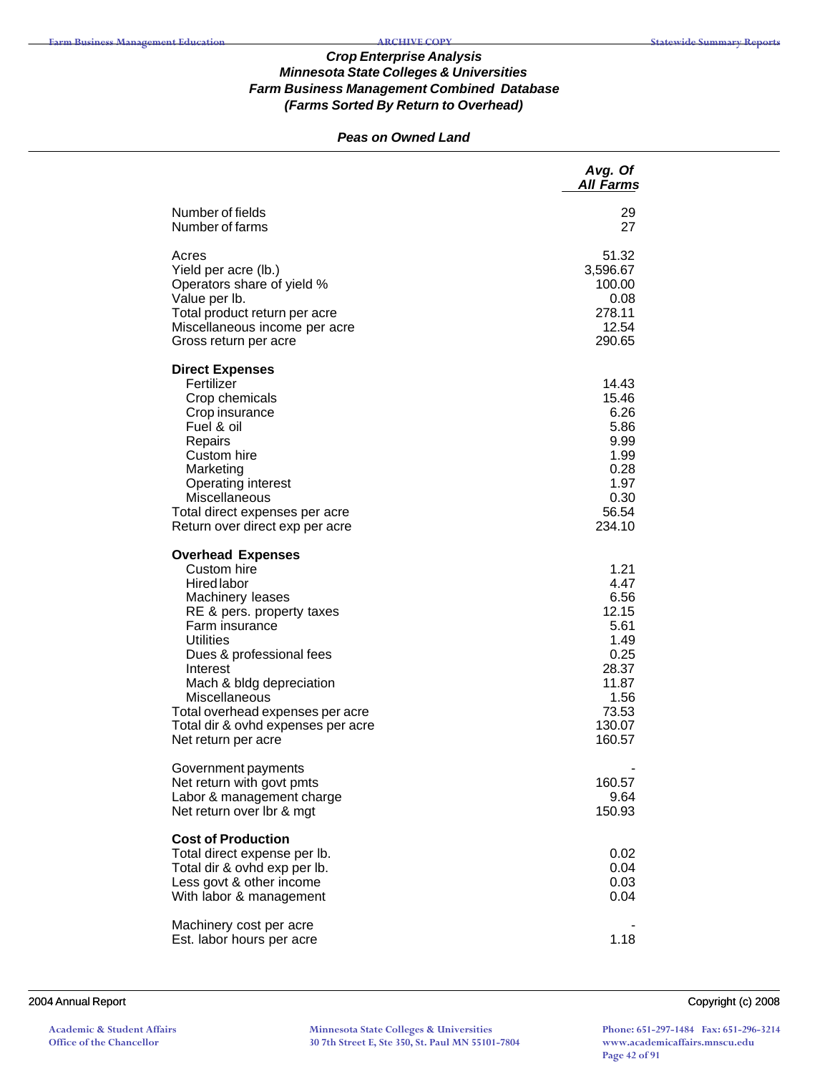## *Peas on Owned Land*

|                                                                                                                                                                                                                                                                                                                                            | Avg. Of<br><b>All Farms</b>                                                                                  |
|--------------------------------------------------------------------------------------------------------------------------------------------------------------------------------------------------------------------------------------------------------------------------------------------------------------------------------------------|--------------------------------------------------------------------------------------------------------------|
| Number of fields<br>Number of farms                                                                                                                                                                                                                                                                                                        | 29<br>27                                                                                                     |
| Acres<br>Yield per acre (lb.)<br>Operators share of yield %<br>Value per lb.<br>Total product return per acre<br>Miscellaneous income per acre<br>Gross return per acre                                                                                                                                                                    | 51.32<br>3,596.67<br>100.00<br>0.08<br>278.11<br>12.54<br>290.65                                             |
| <b>Direct Expenses</b><br>Fertilizer<br>Crop chemicals<br>Crop insurance<br>Fuel & oil<br>Repairs<br>Custom hire<br>Marketing<br><b>Operating interest</b><br>Miscellaneous<br>Total direct expenses per acre<br>Return over direct exp per acre                                                                                           | 14.43<br>15.46<br>6.26<br>5.86<br>9.99<br>1.99<br>0.28<br>1.97<br>0.30<br>56.54<br>234.10                    |
| <b>Overhead Expenses</b><br>Custom hire<br><b>Hired labor</b><br>Machinery leases<br>RE & pers. property taxes<br>Farm insurance<br><b>Utilities</b><br>Dues & professional fees<br>Interest<br>Mach & bldg depreciation<br>Miscellaneous<br>Total overhead expenses per acre<br>Total dir & ovhd expenses per acre<br>Net return per acre | 1.21<br>4.47<br>6.56<br>12.15<br>5.61<br>1.49<br>0.25<br>28.37<br>11.87<br>1.56<br>73.53<br>130.07<br>160.57 |
| Government payments<br>Net return with govt pmts<br>Labor & management charge<br>Net return over Ibr & mgt                                                                                                                                                                                                                                 | 160.57<br>9.64<br>150.93                                                                                     |
| <b>Cost of Production</b><br>Total direct expense per lb.<br>Total dir & ovhd exp per lb.<br>Less govt & other income<br>With labor & management                                                                                                                                                                                           | 0.02<br>0.04<br>0.03<br>0.04                                                                                 |
| Machinery cost per acre<br>Est. labor hours per acre                                                                                                                                                                                                                                                                                       | 1.18                                                                                                         |

**Academic & Student Affairs Office of the Chancellor**

**Minnesota State Colleges & Universities 30 7th Street E, Ste 350, St. Paul MN 55101-7804** **Phone: 651-297-1484 Fax: 651-296-3214 www.academicaffairs.mnscu.edu Page 42 of 91**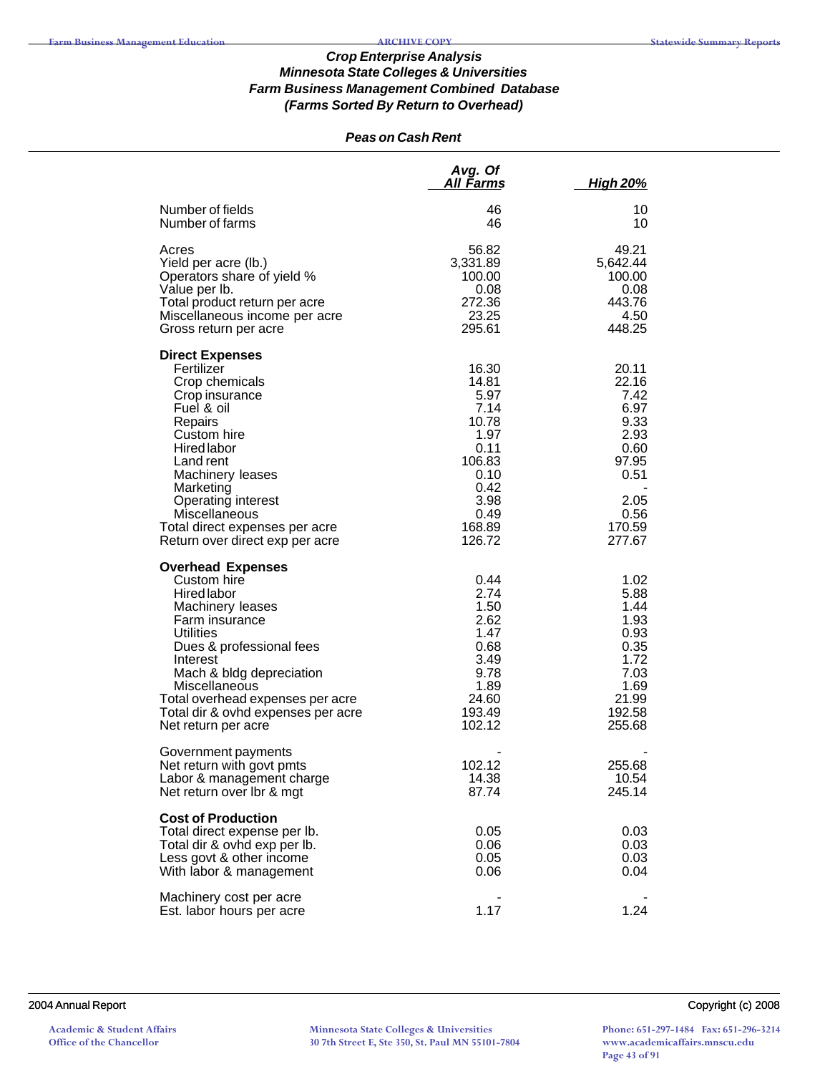### *Peas on Cash Rent*

|                                                                                                                                                                                                                                                                                                         | Avg. Of<br><u>All Farms</u>                                                                                           | <u>High 20%</u>                                                                                             |
|---------------------------------------------------------------------------------------------------------------------------------------------------------------------------------------------------------------------------------------------------------------------------------------------------------|-----------------------------------------------------------------------------------------------------------------------|-------------------------------------------------------------------------------------------------------------|
| Number of fields<br>Number of farms                                                                                                                                                                                                                                                                     | 46<br>46                                                                                                              | 10<br>10                                                                                                    |
| Acres<br>Yield per acre (lb.)<br>Operators share of yield %<br>Value per lb.<br>Total product return per acre<br>Miscellaneous income per acre<br>Gross return per acre                                                                                                                                 | 56.82<br>3,331.89<br>100.00<br>0.08<br>272.36<br>23.25<br>295.61                                                      | 49.21<br>5,642.44<br>100.00<br>0.08<br>443.76<br>4.50<br>448.25                                             |
| <b>Direct Expenses</b><br>Fertilizer<br>Crop chemicals<br>Crop insurance<br>Fuel & oil<br>Repairs<br>Custom hire<br><b>Hired labor</b><br>Land rent<br>Machinery leases<br>Marketing<br>Operating interest<br><b>Miscellaneous</b><br>Total direct expenses per acre<br>Return over direct exp per acre | 16.30<br>14.81<br>5.97<br>7.14<br>10.78<br>1.97<br>0.11<br>106.83<br>0.10<br>0.42<br>3.98<br>0.49<br>168.89<br>126.72 | 20.11<br>22.16<br>7.42<br>6.97<br>9.33<br>2.93<br>0.60<br>97.95<br>0.51<br>2.05<br>0.56<br>170.59<br>277.67 |
| <b>Overhead Expenses</b><br>Custom hire<br>Hired labor<br>Machinery leases<br>Farm insurance<br>Utilities<br>Dues & professional fees<br>Interest<br>Mach & bldg depreciation<br>Miscellaneous<br>Total overhead expenses per acre<br>Total dir & ovhd expenses per acre<br>Net return per acre         | 0.44<br>2.74<br>1.50<br>2.62<br>1.47<br>0.68<br>3.49<br>9.78<br>1.89<br>24.60<br>193.49<br>102.12                     | 1.02<br>5.88<br>1.44<br>1.93<br>0.93<br>0.35<br>1.72<br>7.03<br>1.69<br>21.99<br>192.58<br>255.68           |
| Government payments<br>Net return with govt pmts<br>Labor & management charge<br>Net return over Ibr & mgt                                                                                                                                                                                              | 102.12<br>14.38<br>87.74                                                                                              | 255.68<br>10.54<br>245.14                                                                                   |
| <b>Cost of Production</b><br>Total direct expense per lb.<br>Total dir & ovhd exp per lb.<br>Less govt & other income<br>With labor & management                                                                                                                                                        | 0.05<br>0.06<br>0.05<br>0.06                                                                                          | 0.03<br>0.03<br>0.03<br>0.04                                                                                |
| Machinery cost per acre<br>Est. labor hours per acre                                                                                                                                                                                                                                                    | 1.17                                                                                                                  | 1.24                                                                                                        |

## 2004 Annual Report Copyright (c) 2008

**Minnesota State Colleges & Universities 30 7th Street E, Ste 350, St. Paul MN 55101-7804**

**Phone: 651-297-1484 Fax: 651-296-3214 www.academicaffairs.mnscu.edu Page 43 of 91**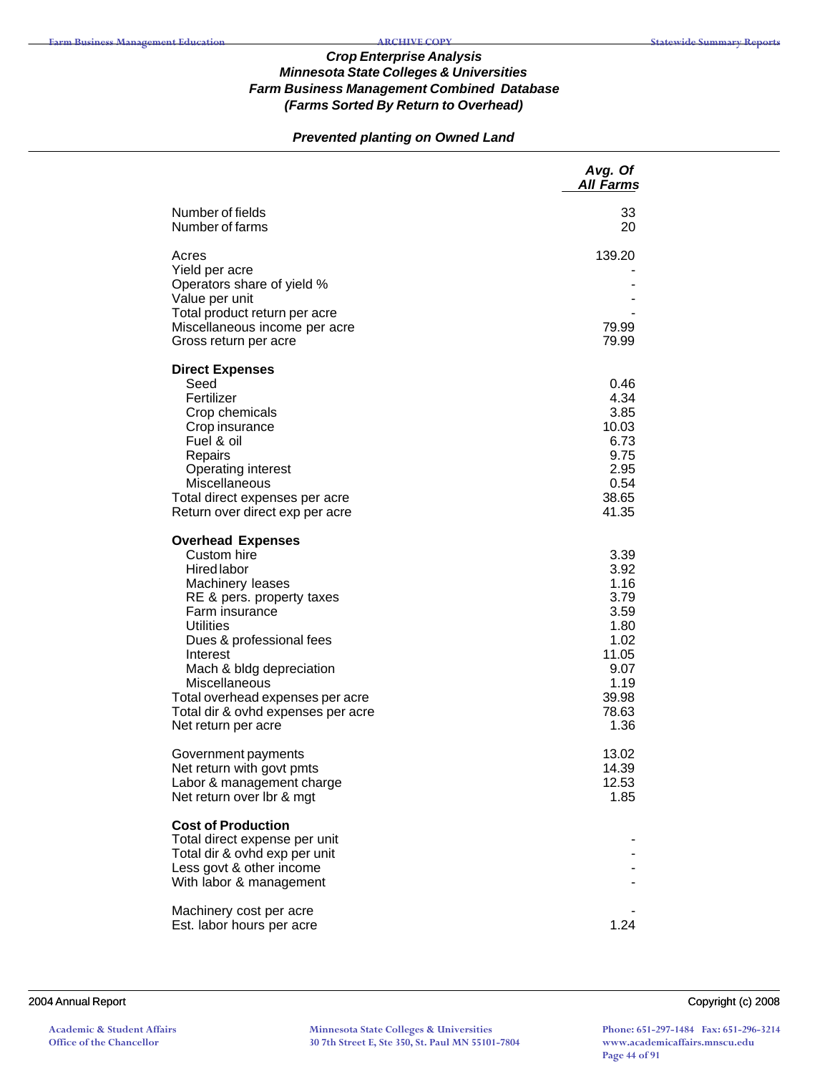# *Prevented planting on Owned Land*

|                                                                                                                                                                                                                                                                                                                                            | Avg. Of<br><b>All Farms</b>                                                                             |
|--------------------------------------------------------------------------------------------------------------------------------------------------------------------------------------------------------------------------------------------------------------------------------------------------------------------------------------------|---------------------------------------------------------------------------------------------------------|
| Number of fields<br>Number of farms                                                                                                                                                                                                                                                                                                        | 33<br>20                                                                                                |
| Acres<br>Yield per acre<br>Operators share of yield %<br>Value per unit<br>Total product return per acre<br>Miscellaneous income per acre<br>Gross return per acre                                                                                                                                                                         | 139.20<br>79.99<br>79.99                                                                                |
| <b>Direct Expenses</b><br>Seed<br>Fertilizer<br>Crop chemicals<br>Crop insurance<br>Fuel & oil<br>Repairs<br><b>Operating interest</b><br>Miscellaneous<br>Total direct expenses per acre<br>Return over direct exp per acre                                                                                                               | 0.46<br>4.34<br>3.85<br>10.03<br>6.73<br>9.75<br>2.95<br>0.54<br>38.65<br>41.35                         |
| <b>Overhead Expenses</b><br>Custom hire<br><b>Hired</b> labor<br>Machinery leases<br>RE & pers. property taxes<br>Farm insurance<br><b>Utilities</b><br>Dues & professional fees<br>Interest<br>Mach & bldg depreciation<br>Miscellaneous<br>Total overhead expenses per acre<br>Total dir & ovhd expenses per acre<br>Net return per acre | 3.39<br>3.92<br>1.16<br>3.79<br>3.59<br>1.80<br>1.02<br>11.05<br>9.07<br>1.19<br>39.98<br>78.63<br>1.36 |
| Government payments<br>Net return with govt pmts<br>Labor & management charge<br>Net return over Ibr & mgt                                                                                                                                                                                                                                 | 13.02<br>14.39<br>12.53<br>1.85                                                                         |
| <b>Cost of Production</b><br>Total direct expense per unit<br>Total dir & ovhd exp per unit<br>Less govt & other income<br>With labor & management                                                                                                                                                                                         |                                                                                                         |
| Machinery cost per acre<br>Est. labor hours per acre                                                                                                                                                                                                                                                                                       | 1.24                                                                                                    |

### 2004 Annual Report Copyright (c) 2008

**Phone: 651-297-1484 Fax: 651-296-3214 www.academicaffairs.mnscu.edu Page 44 of 91**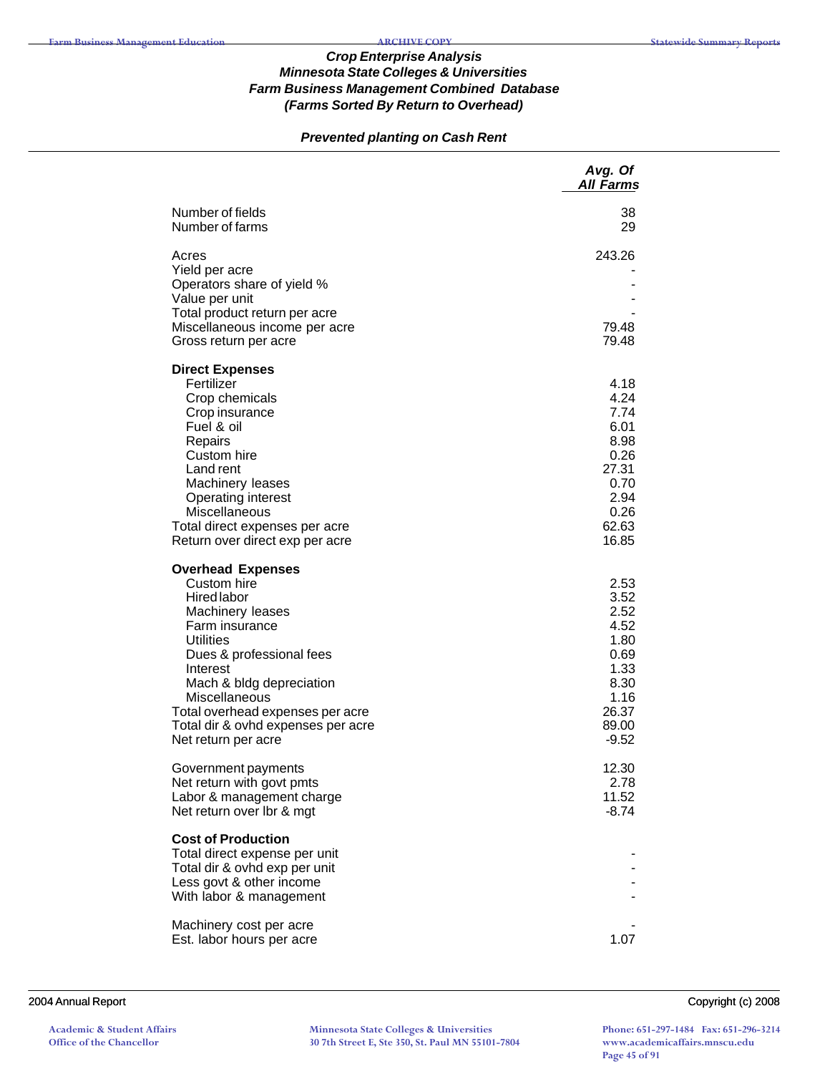# *Prevented planting on Cash Rent*

|                                                                                                                                                                                                                                                                                                               | Avg. Of<br>All Farms                                                                              |
|---------------------------------------------------------------------------------------------------------------------------------------------------------------------------------------------------------------------------------------------------------------------------------------------------------------|---------------------------------------------------------------------------------------------------|
| Number of fields<br>Number of farms                                                                                                                                                                                                                                                                           | 38<br>29                                                                                          |
| Acres<br>Yield per acre<br>Operators share of yield %<br>Value per unit<br>Total product return per acre<br>Miscellaneous income per acre<br>Gross return per acre                                                                                                                                            | 243.26<br>79.48<br>79.48                                                                          |
| <b>Direct Expenses</b><br>Fertilizer<br>Crop chemicals<br>Crop insurance<br>Fuel & oil<br>Repairs<br>Custom hire<br>Land rent<br>Machinery leases<br>Operating interest<br>Miscellaneous<br>Total direct expenses per acre<br>Return over direct exp per acre                                                 | 4.18<br>4.24<br>7.74<br>6.01<br>8.98<br>0.26<br>27.31<br>0.70<br>2.94<br>0.26<br>62.63<br>16.85   |
| <b>Overhead Expenses</b><br>Custom hire<br><b>Hired labor</b><br>Machinery leases<br>Farm insurance<br><b>Utilities</b><br>Dues & professional fees<br>Interest<br>Mach & bldg depreciation<br>Miscellaneous<br>Total overhead expenses per acre<br>Total dir & ovhd expenses per acre<br>Net return per acre | 2.53<br>3.52<br>2.52<br>4.52<br>1.80<br>0.69<br>1.33<br>8.30<br>1.16<br>26.37<br>89.00<br>$-9.52$ |
| Government payments<br>Net return with govt pmts<br>Labor & management charge<br>Net return over Ibr & mgt                                                                                                                                                                                                    | 12.30<br>2.78<br>11.52<br>$-8.74$                                                                 |
| <b>Cost of Production</b><br>Total direct expense per unit<br>Total dir & ovhd exp per unit<br>Less govt & other income<br>With labor & management                                                                                                                                                            |                                                                                                   |
| Machinery cost per acre<br>Est. labor hours per acre                                                                                                                                                                                                                                                          | 1.07                                                                                              |

### 2004 Annual Report Copyright (c) 2008

**Academic & Student Affairs Office of the Chancellor**

**Minnesota State Colleges & Universities 30 7th Street E, Ste 350, St. Paul MN 55101-7804**

**Phone: 651-297-1484 Fax: 651-296-3214 www.academicaffairs.mnscu.edu Page 45 of 91**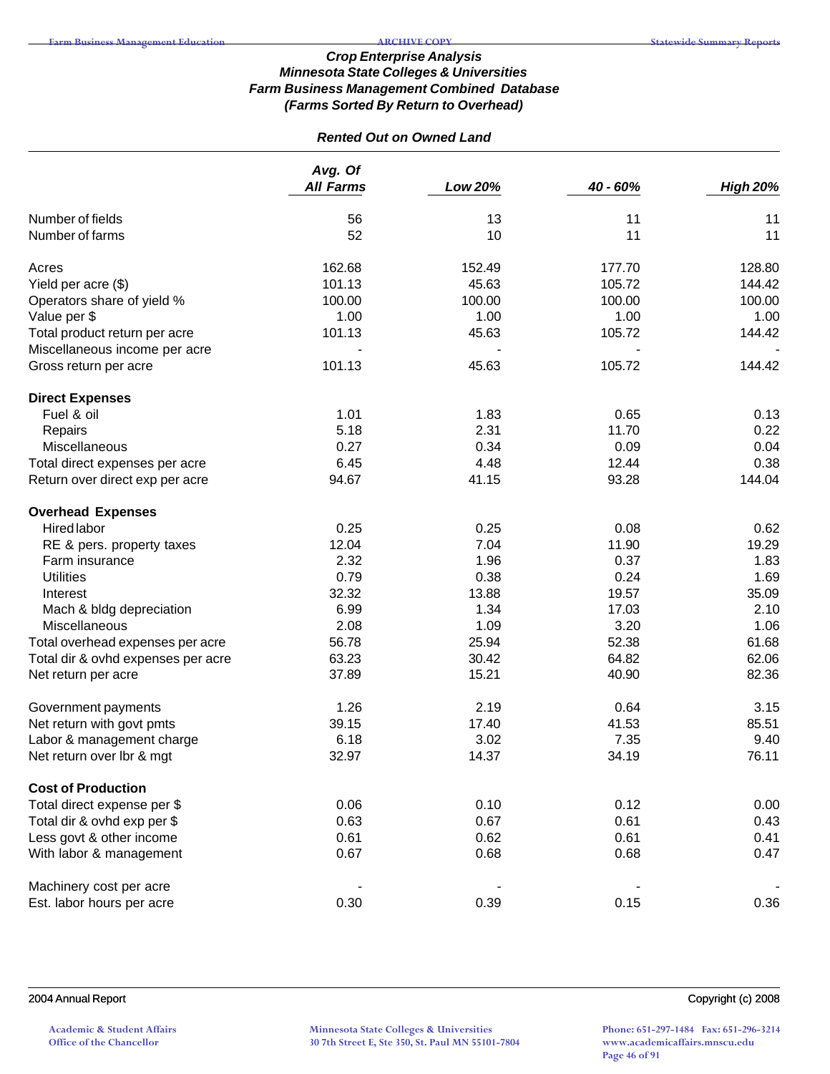# *Rented Out on Owned Land*

|                                    | Avg. Of<br><b>All Farms</b> | Low 20% | 40 - 60% | <b>High 20%</b> |
|------------------------------------|-----------------------------|---------|----------|-----------------|
| Number of fields                   | 56                          | 13      | 11       | 11              |
| Number of farms                    | 52                          | 10      | 11       | 11              |
| Acres                              | 162.68                      | 152.49  | 177.70   | 128.80          |
| Yield per acre (\$)                | 101.13                      | 45.63   | 105.72   | 144.42          |
| Operators share of yield %         | 100.00                      | 100.00  | 100.00   | 100.00          |
| Value per \$                       | 1.00                        | 1.00    | 1.00     | 1.00            |
| Total product return per acre      | 101.13                      | 45.63   | 105.72   | 144.42          |
| Miscellaneous income per acre      |                             |         |          |                 |
| Gross return per acre              | 101.13                      | 45.63   | 105.72   | 144.42          |
| <b>Direct Expenses</b>             |                             |         |          |                 |
| Fuel & oil                         | 1.01                        | 1.83    | 0.65     | 0.13            |
| Repairs                            | 5.18                        | 2.31    | 11.70    | 0.22            |
| Miscellaneous                      | 0.27                        | 0.34    | 0.09     | 0.04            |
| Total direct expenses per acre     | 6.45                        | 4.48    | 12.44    | 0.38            |
| Return over direct exp per acre    | 94.67                       | 41.15   | 93.28    | 144.04          |
| <b>Overhead Expenses</b>           |                             |         |          |                 |
| <b>Hired labor</b>                 | 0.25                        | 0.25    | 0.08     | 0.62            |
| RE & pers. property taxes          | 12.04                       | 7.04    | 11.90    | 19.29           |
| Farm insurance                     | 2.32                        | 1.96    | 0.37     | 1.83            |
| <b>Utilities</b>                   | 0.79                        | 0.38    | 0.24     | 1.69            |
| Interest                           | 32.32                       | 13.88   | 19.57    | 35.09           |
| Mach & bldg depreciation           | 6.99                        | 1.34    | 17.03    | 2.10            |
| Miscellaneous                      | 2.08                        | 1.09    | 3.20     | 1.06            |
| Total overhead expenses per acre   | 56.78                       | 25.94   | 52.38    | 61.68           |
| Total dir & ovhd expenses per acre | 63.23                       | 30.42   | 64.82    | 62.06           |
| Net return per acre                | 37.89                       | 15.21   | 40.90    | 82.36           |
| Government payments                | 1.26                        | 2.19    | 0.64     | 3.15            |
| Net return with govt pmts          | 39.15                       | 17.40   | 41.53    | 85.51           |
| Labor & management charge          | 6.18                        | 3.02    | 7.35     | 9.40            |
| Net return over lbr & mgt          | 32.97                       | 14.37   | 34.19    | 76.11           |
| <b>Cost of Production</b>          |                             |         |          |                 |
| Total direct expense per \$        | 0.06                        | 0.10    | 0.12     | 0.00            |
| Total dir & ovhd exp per \$        | 0.63                        | 0.67    | 0.61     | 0.43            |
| Less govt & other income           | 0.61                        | 0.62    | 0.61     | 0.41            |
| With labor & management            | 0.67                        | 0.68    | 0.68     | 0.47            |
| Machinery cost per acre            |                             |         |          |                 |
| Est. labor hours per acre          | 0.30                        | 0.39    | 0.15     | 0.36            |

**Phone: 651-297-1484 Fax: 651-296-3214 www.academicaffairs.mnscu.edu Page 46 of 91**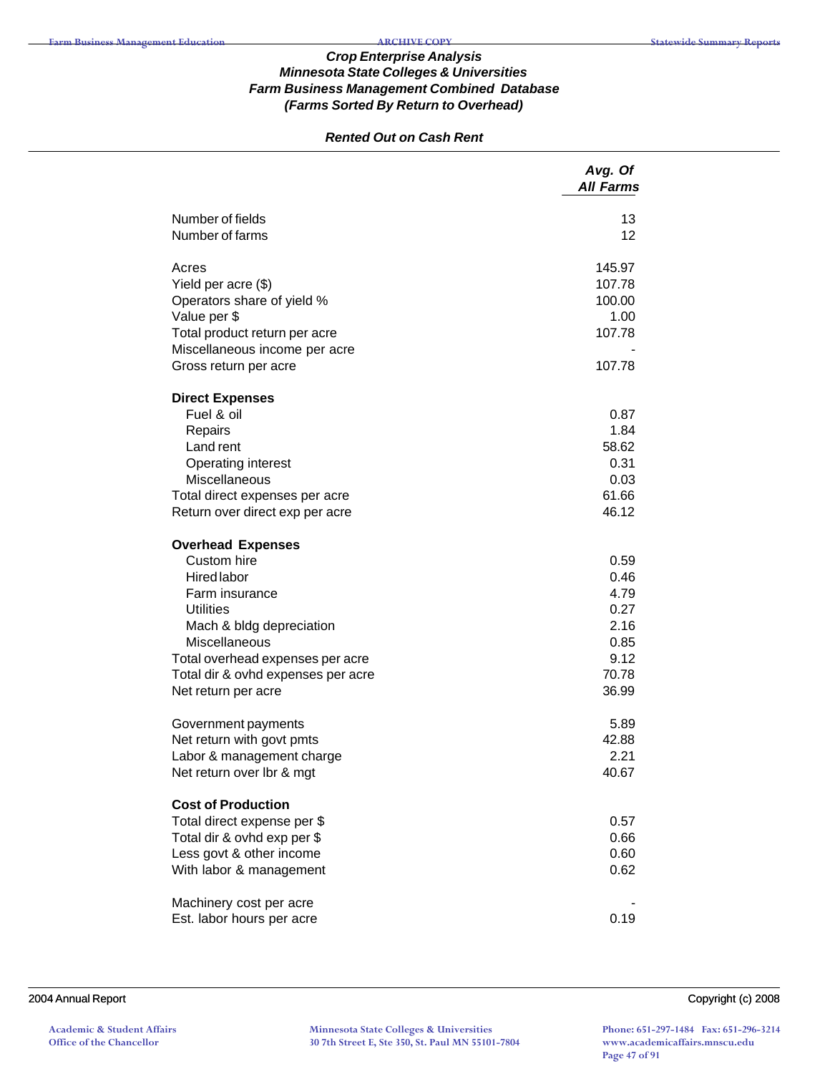# *Rented Out on Cash Rent*

|                                    | Avg. Of<br><b>All Farms</b> |
|------------------------------------|-----------------------------|
| Number of fields                   | 13                          |
| Number of farms                    | 12                          |
| Acres                              | 145.97                      |
| Yield per acre (\$)                | 107.78                      |
| Operators share of yield %         | 100.00                      |
| Value per \$                       | 1.00                        |
| Total product return per acre      | 107.78                      |
| Miscellaneous income per acre      | 107.78                      |
| Gross return per acre              |                             |
| <b>Direct Expenses</b>             |                             |
| Fuel & oil                         | 0.87                        |
| Repairs<br>Land rent               | 1.84<br>58.62               |
| <b>Operating interest</b>          | 0.31                        |
| Miscellaneous                      | 0.03                        |
| Total direct expenses per acre     | 61.66                       |
| Return over direct exp per acre    | 46.12                       |
| <b>Overhead Expenses</b>           |                             |
| Custom hire                        | 0.59                        |
| <b>Hired labor</b>                 | 0.46                        |
| Farm insurance                     | 4.79                        |
| <b>Utilities</b>                   | 0.27                        |
| Mach & bldg depreciation           | 2.16                        |
| Miscellaneous                      | 0.85                        |
| Total overhead expenses per acre   | 9.12                        |
| Total dir & ovhd expenses per acre | 70.78                       |
| Net return per acre                | 36.99                       |
| Government payments                | 5.89                        |
| Net return with govt pmts          | 42.88                       |
| Labor & management charge          | 2.21                        |
| Net return over lbr & mgt          | 40.67                       |
| <b>Cost of Production</b>          |                             |
| Total direct expense per \$        | 0.57                        |
| Total dir & ovhd exp per \$        | 0.66                        |
| Less govt & other income           | 0.60                        |
| With labor & management            | 0.62                        |
| Machinery cost per acre            |                             |
| Est. labor hours per acre          | 0.19                        |

**Academic & Student Affairs Office of the Chancellor**

**Minnesota State Colleges & Universities 30 7th Street E, Ste 350, St. Paul MN 55101-7804**

2004 Annual Report Copyright (c) 2008

**Phone: 651-297-1484 Fax: 651-296-3214 www.academicaffairs.mnscu.edu Page 47 of 91**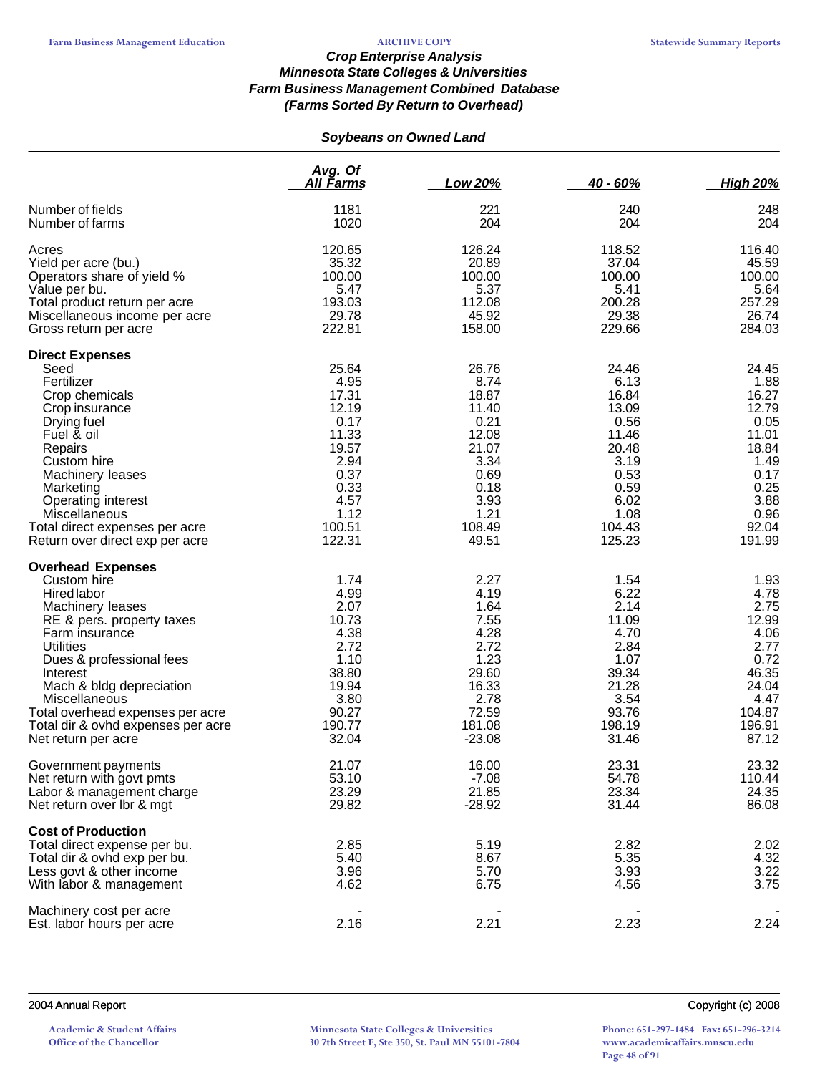# *Soybeans on Owned Land*

|                                                                                                                                                                                                                                                                                                                                     | Avg. Of<br><u>All Farms</u>                                                                                           | Low 20%                                                                                                              | $40 - 60%$                                                                                                            | <b>High 20%</b>                                                                                                      |
|-------------------------------------------------------------------------------------------------------------------------------------------------------------------------------------------------------------------------------------------------------------------------------------------------------------------------------------|-----------------------------------------------------------------------------------------------------------------------|----------------------------------------------------------------------------------------------------------------------|-----------------------------------------------------------------------------------------------------------------------|----------------------------------------------------------------------------------------------------------------------|
| Number of fields<br>Number of farms                                                                                                                                                                                                                                                                                                 | 1181<br>1020                                                                                                          | 221<br>204                                                                                                           | 240<br>204                                                                                                            | 248<br>204                                                                                                           |
| Acres<br>Yield per acre (bu.)<br>Operators share of yield %<br>Value per bu.<br>Total product return per acre<br>Miscellaneous income per acre<br>Gross return per acre                                                                                                                                                             | 120.65<br>35.32<br>100.00<br>5.47<br>193.03<br>29.78<br>222.81                                                        | 126.24<br>20.89<br>100.00<br>5.37<br>112.08<br>45.92<br>158.00                                                       | 118.52<br>37.04<br>100.00<br>5.41<br>200.28<br>29.38<br>229.66                                                        | 116.40<br>45.59<br>100.00<br>5.64<br>257.29<br>26.74<br>284.03                                                       |
| <b>Direct Expenses</b><br>Seed<br>Fertilizer<br>Crop chemicals<br>Crop insurance<br>Drying fuel<br>Fuel & oil<br>Repairs<br>Custom hire<br>Machinery leases<br>Marketing<br><b>Operating interest</b><br>Miscellaneous<br>Total direct expenses per acre<br>Return over direct exp per acre                                         | 25.64<br>4.95<br>17.31<br>12.19<br>0.17<br>11.33<br>19.57<br>2.94<br>0.37<br>0.33<br>4.57<br>1.12<br>100.51<br>122.31 | 26.76<br>8.74<br>18.87<br>11.40<br>0.21<br>12.08<br>21.07<br>3.34<br>0.69<br>0.18<br>3.93<br>1.21<br>108.49<br>49.51 | 24.46<br>6.13<br>16.84<br>13.09<br>0.56<br>11.46<br>20.48<br>3.19<br>0.53<br>0.59<br>6.02<br>1.08<br>104.43<br>125.23 | 24.45<br>1.88<br>16.27<br>12.79<br>0.05<br>11.01<br>18.84<br>1.49<br>0.17<br>0.25<br>3.88<br>0.96<br>92.04<br>191.99 |
| <b>Overhead Expenses</b><br>Custom hire<br>Hired labor<br>Machinery leases<br>RE & pers. property taxes<br>Farm insurance<br><b>Utilities</b><br>Dues & professional fees<br>Interest<br>Mach & bldg depreciation<br>Miscellaneous<br>Total overhead expenses per acre<br>Total dir & ovhd expenses per acre<br>Net return per acre | 1.74<br>4.99<br>2.07<br>10.73<br>4.38<br>2.72<br>1.10<br>38.80<br>19.94<br>3.80<br>90.27<br>190.77<br>32.04           | 2.27<br>4.19<br>1.64<br>7.55<br>4.28<br>2.72<br>1.23<br>29.60<br>16.33<br>2.78<br>72.59<br>181.08<br>$-23.08$        | 1.54<br>6.22<br>2.14<br>11.09<br>4.70<br>2.84<br>1.07<br>39.34<br>21.28<br>3.54<br>93.76<br>198.19<br>31.46           | 1.93<br>4.78<br>2.75<br>12.99<br>4.06<br>2.77<br>0.72<br>46.35<br>24.04<br>4.47<br>104.87<br>196.91<br>87.12         |
| Government payments<br>Net return with govt pmts<br>Labor & management charge<br>Net return over Ibr & mgt                                                                                                                                                                                                                          | 21.07<br>53.10<br>23.29<br>29.82                                                                                      | 16.00<br>$-7.08$<br>21.85<br>$-28.92$                                                                                | 23.31<br>54.78<br>23.34<br>31.44                                                                                      | 23.32<br>110.44<br>24.35<br>86.08                                                                                    |
| <b>Cost of Production</b><br>Total direct expense per bu.<br>Total dir & ovhd exp per bu.<br>Less govt & other income<br>With labor & management                                                                                                                                                                                    | 2.85<br>5.40<br>3.96<br>4.62                                                                                          | 5.19<br>8.67<br>5.70<br>6.75                                                                                         | 2.82<br>5.35<br>3.93<br>4.56                                                                                          | 2.02<br>4.32<br>3.22<br>3.75                                                                                         |
| Machinery cost per acre<br>Est. labor hours per acre                                                                                                                                                                                                                                                                                | 2.16                                                                                                                  | 2.21                                                                                                                 | 2.23                                                                                                                  | 2.24                                                                                                                 |

### 2004 Annual Report Copyright (c) 2008

**Minnesota State Colleges & Universities 30 7th Street E, Ste 350, St. Paul MN 55101-7804**

**Phone: 651-297-1484 Fax: 651-296-3214 www.academicaffairs.mnscu.edu Page 48 of 91**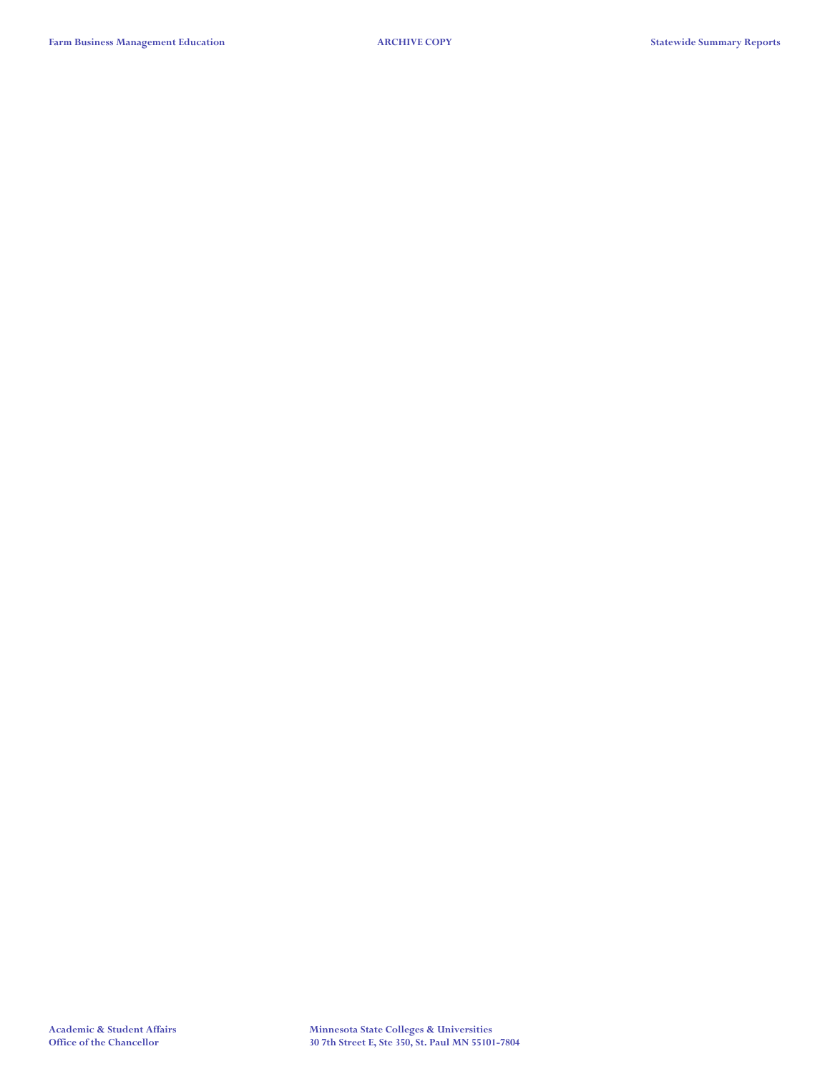**Farm Business Management Education** 

**Academic & Student Affairs** Office of the Chancellor